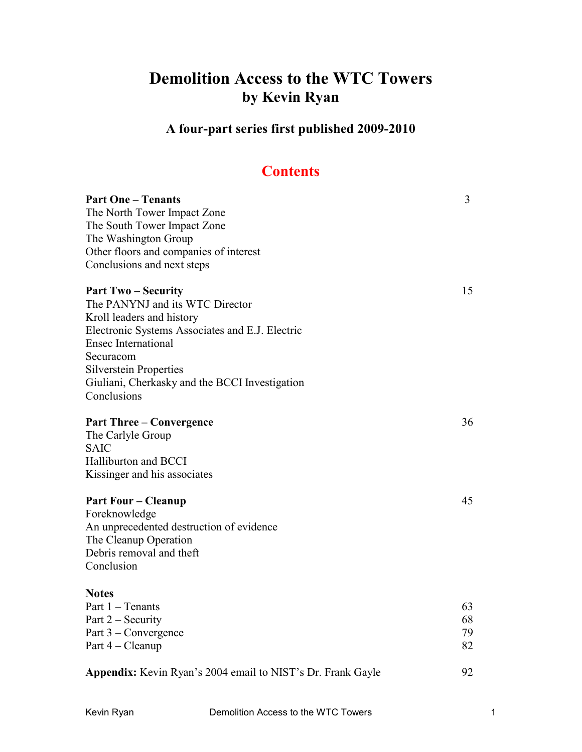# **Demolition Access to the WTC Towers by Kevin Ryan**

**A four-part series first published 2009-2010**

## **Contents**

| <b>Part One – Tenants</b><br>The North Tower Impact Zone<br>The South Tower Impact Zone<br>The Washington Group<br>Other floors and companies of interest<br>Conclusions and next steps                                                                                                  | $\overline{3}$       |
|------------------------------------------------------------------------------------------------------------------------------------------------------------------------------------------------------------------------------------------------------------------------------------------|----------------------|
| <b>Part Two-Security</b><br>The PANYNJ and its WTC Director<br>Kroll leaders and history<br>Electronic Systems Associates and E.J. Electric<br><b>Ensec International</b><br>Securacom<br><b>Silverstein Properties</b><br>Giuliani, Cherkasky and the BCCI Investigation<br>Conclusions | 15                   |
| <b>Part Three – Convergence</b><br>The Carlyle Group<br><b>SAIC</b><br><b>Halliburton and BCCI</b><br>Kissinger and his associates                                                                                                                                                       | 36                   |
| <b>Part Four – Cleanup</b><br>Foreknowledge<br>An unprecedented destruction of evidence<br>The Cleanup Operation<br>Debris removal and theft<br>Conclusion                                                                                                                               | 45                   |
| <b>Notes</b><br>Part 1 - Tenants<br>Part 2 – Security<br>Part 3 – Convergence<br>Part 4 – Cleanup                                                                                                                                                                                        | 63<br>68<br>79<br>82 |
| Appendix: Kevin Ryan's 2004 email to NIST's Dr. Frank Gayle                                                                                                                                                                                                                              | 92                   |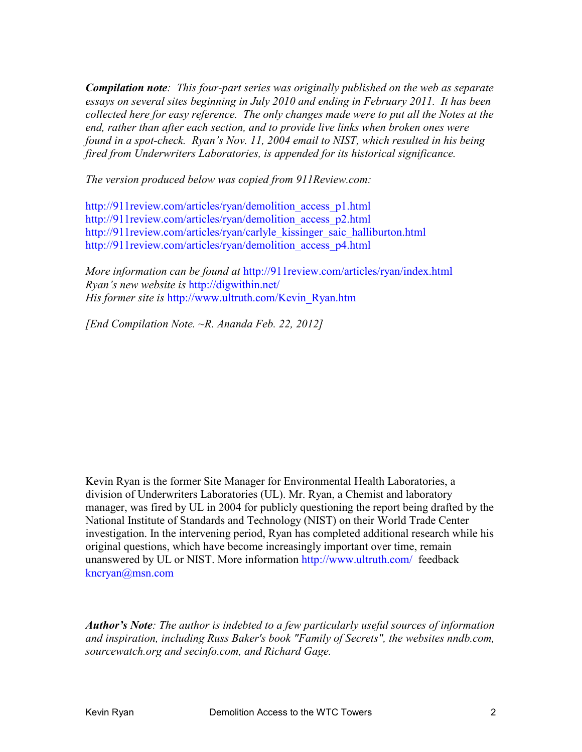*Compilation note: This four-part series was originally published on the web as separate essays on several sites beginning in July 2010 and ending in February 2011. It has been collected here for easy reference. The only changes made were to put all the Notes at the end, rather than after each section, and to provide live links when broken ones were found in a spot-check. Ryan's Nov. 11, 2004 email to NIST, which resulted in his being fired from Underwriters Laboratories, is appended for its historical significance.* 

*The version produced below was copied from 911Review.com:* 

http://911review.com/articles/ryan/demolition\_access\_p1.html http://911review.com/articles/ryan/demolition\_access\_p2.html http://911review.com/articles/ryan/carlyle\_kissinger\_saic\_halliburton.html http://911review.com/articles/ryan/demolition\_access**\_**p4.html

*More information can be found at* http://911review.com/articles/ryan/index.html *Ryan's new website is* http://digwithin.net/ *His former site is* http://www.ultruth.com/Kevin\_Ryan.htm

*[End Compilation Note. ~R. Ananda Feb. 22, 2012]* 

Kevin Ryan is the former Site Manager for Environmental Health Laboratories, a division of Underwriters Laboratories (UL). Mr. Ryan, a Chemist and laboratory manager, was fired by UL in 2004 for publicly questioning the report being drafted by the National Institute of Standards and Technology (NIST) on their World Trade Center investigation. In the intervening period, Ryan has completed additional research while his original questions, which have become increasingly important over time, remain unanswered by UL or NIST. More information http://www.ultruth.com/ feedback kncryan@msn.com

*Author's Note: The author is indebted to a few particularly useful sources of information and inspiration, including Russ Baker's book "Family of Secrets", the websites nndb.com, sourcewatch.org and secinfo.com, and Richard Gage.*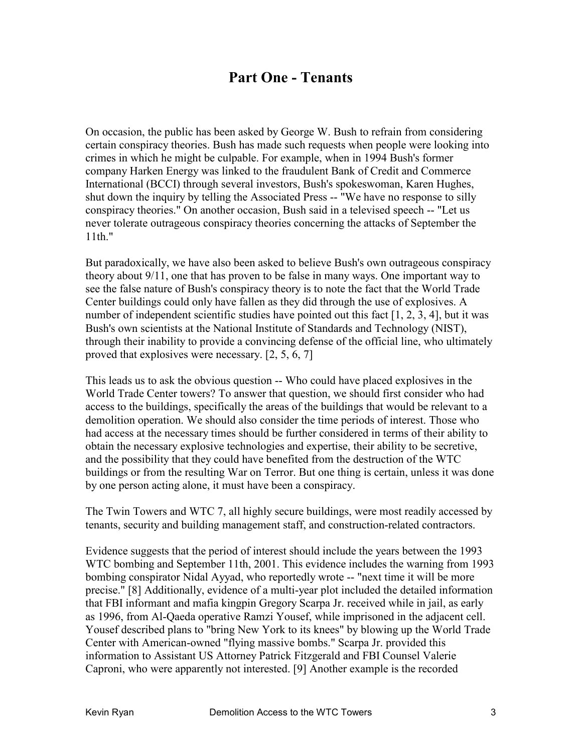## **Part One - Tenants**

On occasion, the public has been asked by George W. Bush to refrain from considering certain conspiracy theories. Bush has made such requests when people were looking into crimes in which he might be culpable. For example, when in 1994 Bush's former company Harken Energy was linked to the fraudulent Bank of Credit and Commerce International (BCCI) through several investors, Bush's spokeswoman, Karen Hughes, shut down the inquiry by telling the Associated Press -- "We have no response to silly conspiracy theories." On another occasion, Bush said in a televised speech -- "Let us never tolerate outrageous conspiracy theories concerning the attacks of September the 11th."

But paradoxically, we have also been asked to believe Bush's own outrageous conspiracy theory about 9/11, one that has proven to be false in many ways. One important way to see the false nature of Bush's conspiracy theory is to note the fact that the World Trade Center buildings could only have fallen as they did through the use of explosives. A number of independent scientific studies have pointed out this fact [1, 2, 3, 4], but it was Bush's own scientists at the National Institute of Standards and Technology (NIST), through their inability to provide a convincing defense of the official line, who ultimately proved that explosives were necessary. [2, 5, 6, 7]

This leads us to ask the obvious question -- Who could have placed explosives in the World Trade Center towers? To answer that question, we should first consider who had access to the buildings, specifically the areas of the buildings that would be relevant to a demolition operation. We should also consider the time periods of interest. Those who had access at the necessary times should be further considered in terms of their ability to obtain the necessary explosive technologies and expertise, their ability to be secretive, and the possibility that they could have benefited from the destruction of the WTC buildings or from the resulting War on Terror. But one thing is certain, unless it was done by one person acting alone, it must have been a conspiracy.

The Twin Towers and WTC 7, all highly secure buildings, were most readily accessed by tenants, security and building management staff, and construction-related contractors.

Evidence suggests that the period of interest should include the years between the 1993 WTC bombing and September 11th, 2001. This evidence includes the warning from 1993 bombing conspirator Nidal Ayyad, who reportedly wrote -- "next time it will be more precise." [8] Additionally, evidence of a multi-year plot included the detailed information that FBI informant and mafia kingpin Gregory Scarpa Jr. received while in jail, as early as 1996, from Al-Qaeda operative Ramzi Yousef, while imprisoned in the adjacent cell. Yousef described plans to "bring New York to its knees" by blowing up the World Trade Center with American-owned "flying massive bombs." Scarpa Jr. provided this information to Assistant US Attorney Patrick Fitzgerald and FBI Counsel Valerie Caproni, who were apparently not interested. [9] Another example is the recorded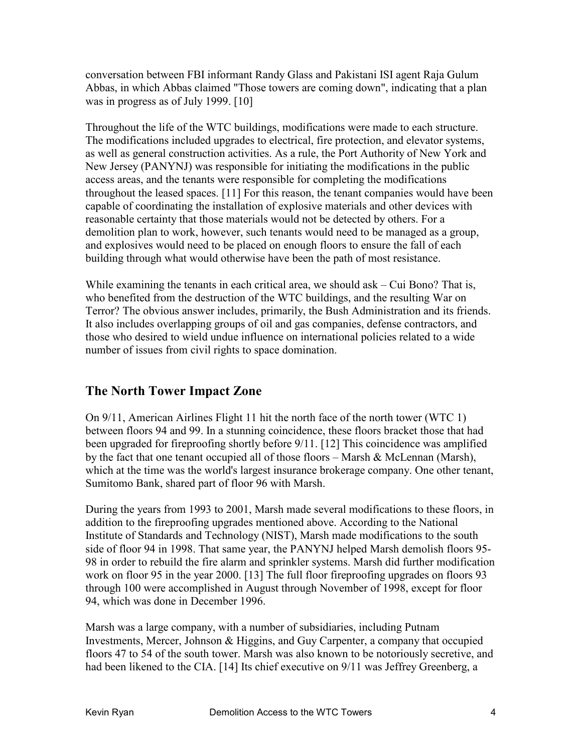conversation between FBI informant Randy Glass and Pakistani ISI agent Raja Gulum Abbas, in which Abbas claimed "Those towers are coming down", indicating that a plan was in progress as of July 1999. [10]

Throughout the life of the WTC buildings, modifications were made to each structure. The modifications included upgrades to electrical, fire protection, and elevator systems, as well as general construction activities. As a rule, the Port Authority of New York and New Jersey (PANYNJ) was responsible for initiating the modifications in the public access areas, and the tenants were responsible for completing the modifications throughout the leased spaces. [11] For this reason, the tenant companies would have been capable of coordinating the installation of explosive materials and other devices with reasonable certainty that those materials would not be detected by others. For a demolition plan to work, however, such tenants would need to be managed as a group, and explosives would need to be placed on enough floors to ensure the fall of each building through what would otherwise have been the path of most resistance.

While examining the tenants in each critical area, we should ask – Cui Bono? That is, who benefited from the destruction of the WTC buildings, and the resulting War on Terror? The obvious answer includes, primarily, the Bush Administration and its friends. It also includes overlapping groups of oil and gas companies, defense contractors, and those who desired to wield undue influence on international policies related to a wide number of issues from civil rights to space domination.

## **The North Tower Impact Zone**

On 9/11, American Airlines Flight 11 hit the north face of the north tower (WTC 1) between floors 94 and 99. In a stunning coincidence, these floors bracket those that had been upgraded for fireproofing shortly before 9/11. [12] This coincidence was amplified by the fact that one tenant occupied all of those floors – Marsh  $\&$  McLennan (Marsh), which at the time was the world's largest insurance brokerage company. One other tenant, Sumitomo Bank, shared part of floor 96 with Marsh.

During the years from 1993 to 2001, Marsh made several modifications to these floors, in addition to the fireproofing upgrades mentioned above. According to the National Institute of Standards and Technology (NIST), Marsh made modifications to the south side of floor 94 in 1998. That same year, the PANYNJ helped Marsh demolish floors 95- 98 in order to rebuild the fire alarm and sprinkler systems. Marsh did further modification work on floor 95 in the year 2000. [13] The full floor fireproofing upgrades on floors 93 through 100 were accomplished in August through November of 1998, except for floor 94, which was done in December 1996.

Marsh was a large company, with a number of subsidiaries, including Putnam Investments, Mercer, Johnson & Higgins, and Guy Carpenter, a company that occupied floors 47 to 54 of the south tower. Marsh was also known to be notoriously secretive, and had been likened to the CIA. [14] Its chief executive on 9/11 was Jeffrey Greenberg, a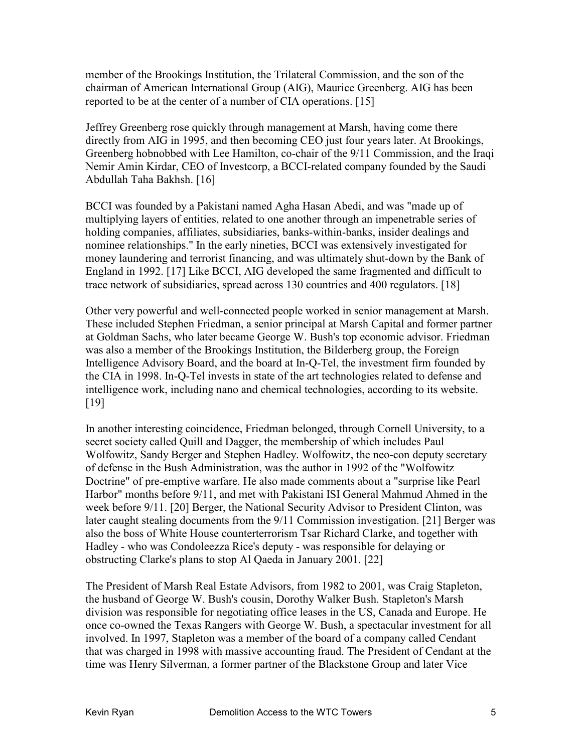member of the Brookings Institution, the Trilateral Commission, and the son of the chairman of American International Group (AIG), Maurice Greenberg. AIG has been reported to be at the center of a number of CIA operations. [15]

Jeffrey Greenberg rose quickly through management at Marsh, having come there directly from AIG in 1995, and then becoming CEO just four years later. At Brookings, Greenberg hobnobbed with Lee Hamilton, co-chair of the 9/11 Commission, and the Iraqi Nemir Amin Kirdar, CEO of Investcorp, a BCCI-related company founded by the Saudi Abdullah Taha Bakhsh. [16]

BCCI was founded by a Pakistani named Agha Hasan Abedi, and was "made up of multiplying layers of entities, related to one another through an impenetrable series of holding companies, affiliates, subsidiaries, banks-within-banks, insider dealings and nominee relationships." In the early nineties, BCCI was extensively investigated for money laundering and terrorist financing, and was ultimately shut-down by the Bank of England in 1992. [17] Like BCCI, AIG developed the same fragmented and difficult to trace network of subsidiaries, spread across 130 countries and 400 regulators. [18]

Other very powerful and well-connected people worked in senior management at Marsh. These included Stephen Friedman, a senior principal at Marsh Capital and former partner at Goldman Sachs, who later became George W. Bush's top economic advisor. Friedman was also a member of the Brookings Institution, the Bilderberg group, the Foreign Intelligence Advisory Board, and the board at In-Q-Tel, the investment firm founded by the CIA in 1998. In-Q-Tel invests in state of the art technologies related to defense and intelligence work, including nano and chemical technologies, according to its website. [19]

In another interesting coincidence, Friedman belonged, through Cornell University, to a secret society called Quill and Dagger, the membership of which includes Paul Wolfowitz, Sandy Berger and Stephen Hadley. Wolfowitz, the neo-con deputy secretary of defense in the Bush Administration, was the author in 1992 of the "Wolfowitz Doctrine" of pre-emptive warfare. He also made comments about a "surprise like Pearl Harbor" months before 9/11, and met with Pakistani ISI General Mahmud Ahmed in the week before 9/11. [20] Berger, the National Security Advisor to President Clinton, was later caught stealing documents from the 9/11 Commission investigation. [21] Berger was also the boss of White House counterterrorism Tsar Richard Clarke, and together with Hadley - who was Condoleezza Rice's deputy - was responsible for delaying or obstructing Clarke's plans to stop Al Qaeda in January 2001. [22]

The President of Marsh Real Estate Advisors, from 1982 to 2001, was Craig Stapleton, the husband of George W. Bush's cousin, Dorothy Walker Bush. Stapleton's Marsh division was responsible for negotiating office leases in the US, Canada and Europe. He once co-owned the Texas Rangers with George W. Bush, a spectacular investment for all involved. In 1997, Stapleton was a member of the board of a company called Cendant that was charged in 1998 with massive accounting fraud. The President of Cendant at the time was Henry Silverman, a former partner of the Blackstone Group and later Vice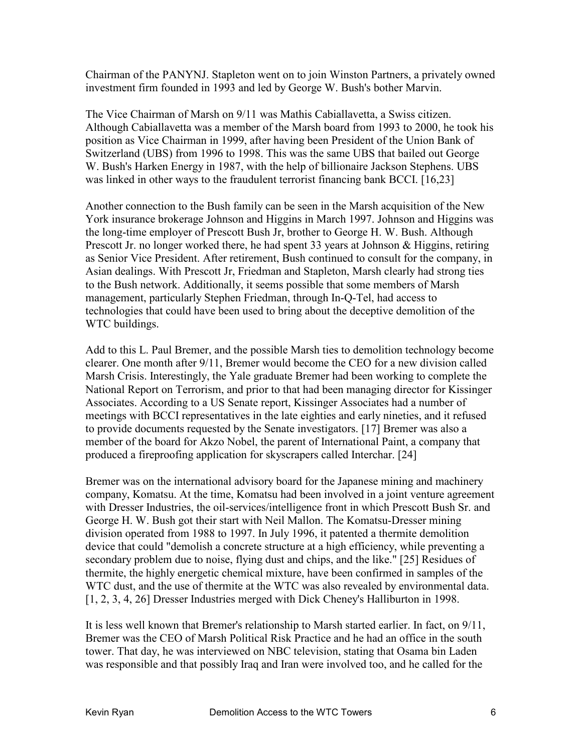Chairman of the PANYNJ. Stapleton went on to join Winston Partners, a privately owned investment firm founded in 1993 and led by George W. Bush's bother Marvin.

The Vice Chairman of Marsh on 9/11 was Mathis Cabiallavetta, a Swiss citizen. Although Cabiallavetta was a member of the Marsh board from 1993 to 2000, he took his position as Vice Chairman in 1999, after having been President of the Union Bank of Switzerland (UBS) from 1996 to 1998. This was the same UBS that bailed out George W. Bush's Harken Energy in 1987, with the help of billionaire Jackson Stephens. UBS was linked in other ways to the fraudulent terrorist financing bank BCCI. [16,23]

Another connection to the Bush family can be seen in the Marsh acquisition of the New York insurance brokerage Johnson and Higgins in March 1997. Johnson and Higgins was the long-time employer of Prescott Bush Jr, brother to George H. W. Bush. Although Prescott Jr. no longer worked there, he had spent 33 years at Johnson & Higgins, retiring as Senior Vice President. After retirement, Bush continued to consult for the company, in Asian dealings. With Prescott Jr, Friedman and Stapleton, Marsh clearly had strong ties to the Bush network. Additionally, it seems possible that some members of Marsh management, particularly Stephen Friedman, through In-Q-Tel, had access to technologies that could have been used to bring about the deceptive demolition of the WTC buildings.

Add to this L. Paul Bremer, and the possible Marsh ties to demolition technology become clearer. One month after 9/11, Bremer would become the CEO for a new division called Marsh Crisis. Interestingly, the Yale graduate Bremer had been working to complete the National Report on Terrorism, and prior to that had been managing director for Kissinger Associates. According to a US Senate report, Kissinger Associates had a number of meetings with BCCI representatives in the late eighties and early nineties, and it refused to provide documents requested by the Senate investigators. [17] Bremer was also a member of the board for Akzo Nobel, the parent of International Paint, a company that produced a fireproofing application for skyscrapers called Interchar. [24]

Bremer was on the international advisory board for the Japanese mining and machinery company, Komatsu. At the time, Komatsu had been involved in a joint venture agreement with Dresser Industries, the oil-services/intelligence front in which Prescott Bush Sr. and George H. W. Bush got their start with Neil Mallon. The Komatsu-Dresser mining division operated from 1988 to 1997. In July 1996, it patented a thermite demolition device that could "demolish a concrete structure at a high efficiency, while preventing a secondary problem due to noise, flying dust and chips, and the like." [25] Residues of thermite, the highly energetic chemical mixture, have been confirmed in samples of the WTC dust, and the use of thermite at the WTC was also revealed by environmental data. [1, 2, 3, 4, 26] Dresser Industries merged with Dick Cheney's Halliburton in 1998.

It is less well known that Bremer's relationship to Marsh started earlier. In fact, on 9/11, Bremer was the CEO of Marsh Political Risk Practice and he had an office in the south tower. That day, he was interviewed on NBC television, stating that Osama bin Laden was responsible and that possibly Iraq and Iran were involved too, and he called for the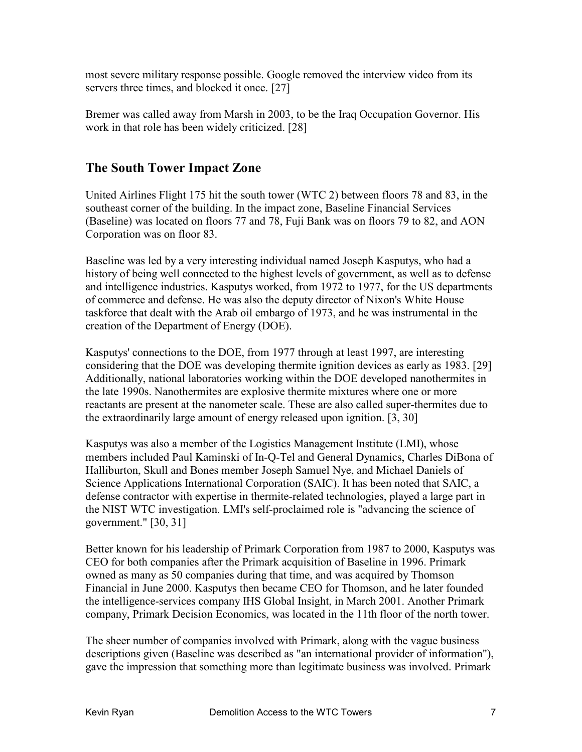most severe military response possible. Google removed the interview video from its servers three times, and blocked it once. [27]

Bremer was called away from Marsh in 2003, to be the Iraq Occupation Governor. His work in that role has been widely criticized. [28]

## **The South Tower Impact Zone**

United Airlines Flight 175 hit the south tower (WTC 2) between floors 78 and 83, in the southeast corner of the building. In the impact zone, Baseline Financial Services (Baseline) was located on floors 77 and 78, Fuji Bank was on floors 79 to 82, and AON Corporation was on floor 83.

Baseline was led by a very interesting individual named Joseph Kasputys, who had a history of being well connected to the highest levels of government, as well as to defense and intelligence industries. Kasputys worked, from 1972 to 1977, for the US departments of commerce and defense. He was also the deputy director of Nixon's White House taskforce that dealt with the Arab oil embargo of 1973, and he was instrumental in the creation of the Department of Energy (DOE).

Kasputys' connections to the DOE, from 1977 through at least 1997, are interesting considering that the DOE was developing thermite ignition devices as early as 1983. [29] Additionally, national laboratories working within the DOE developed nanothermites in the late 1990s. Nanothermites are explosive thermite mixtures where one or more reactants are present at the nanometer scale. These are also called super-thermites due to the extraordinarily large amount of energy released upon ignition. [3, 30]

Kasputys was also a member of the Logistics Management Institute (LMI), whose members included Paul Kaminski of In-Q-Tel and General Dynamics, Charles DiBona of Halliburton, Skull and Bones member Joseph Samuel Nye, and Michael Daniels of Science Applications International Corporation (SAIC). It has been noted that SAIC, a defense contractor with expertise in thermite-related technologies, played a large part in the NIST WTC investigation. LMI's self-proclaimed role is "advancing the science of government." [30, 31]

Better known for his leadership of Primark Corporation from 1987 to 2000, Kasputys was CEO for both companies after the Primark acquisition of Baseline in 1996. Primark owned as many as 50 companies during that time, and was acquired by Thomson Financial in June 2000. Kasputys then became CEO for Thomson, and he later founded the intelligence-services company IHS Global Insight, in March 2001. Another Primark company, Primark Decision Economics, was located in the 11th floor of the north tower.

The sheer number of companies involved with Primark, along with the vague business descriptions given (Baseline was described as "an international provider of information"), gave the impression that something more than legitimate business was involved. Primark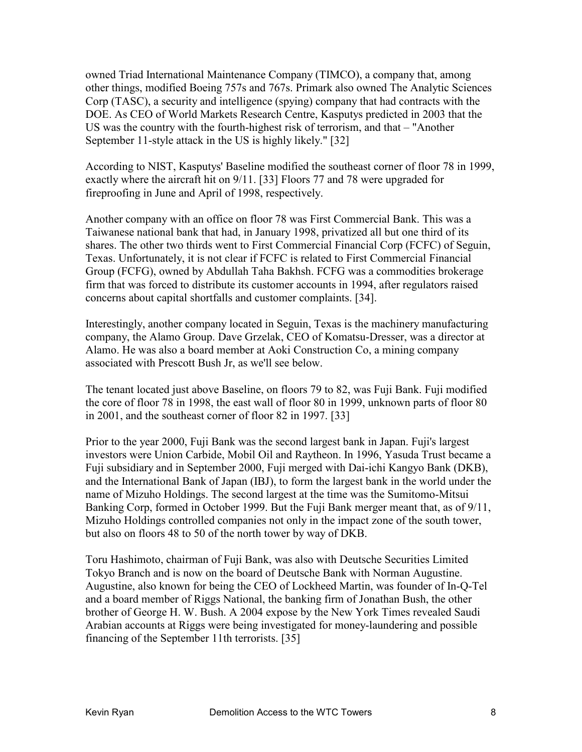owned Triad International Maintenance Company (TIMCO), a company that, among other things, modified Boeing 757s and 767s. Primark also owned The Analytic Sciences Corp (TASC), a security and intelligence (spying) company that had contracts with the DOE. As CEO of World Markets Research Centre, Kasputys predicted in 2003 that the US was the country with the fourth-highest risk of terrorism, and that – "Another September 11-style attack in the US is highly likely." [32]

According to NIST, Kasputys' Baseline modified the southeast corner of floor 78 in 1999, exactly where the aircraft hit on 9/11. [33] Floors 77 and 78 were upgraded for fireproofing in June and April of 1998, respectively.

Another company with an office on floor 78 was First Commercial Bank. This was a Taiwanese national bank that had, in January 1998, privatized all but one third of its shares. The other two thirds went to First Commercial Financial Corp (FCFC) of Seguin, Texas. Unfortunately, it is not clear if FCFC is related to First Commercial Financial Group (FCFG), owned by Abdullah Taha Bakhsh. FCFG was a commodities brokerage firm that was forced to distribute its customer accounts in 1994, after regulators raised concerns about capital shortfalls and customer complaints. [34].

Interestingly, another company located in Seguin, Texas is the machinery manufacturing company, the Alamo Group. Dave Grzelak, CEO of Komatsu-Dresser, was a director at Alamo. He was also a board member at Aoki Construction Co, a mining company associated with Prescott Bush Jr, as we'll see below.

The tenant located just above Baseline, on floors 79 to 82, was Fuji Bank. Fuji modified the core of floor 78 in 1998, the east wall of floor 80 in 1999, unknown parts of floor 80 in 2001, and the southeast corner of floor 82 in 1997. [33]

Prior to the year 2000, Fuji Bank was the second largest bank in Japan. Fuji's largest investors were Union Carbide, Mobil Oil and Raytheon. In 1996, Yasuda Trust became a Fuji subsidiary and in September 2000, Fuji merged with Dai-ichi Kangyo Bank (DKB), and the International Bank of Japan (IBJ), to form the largest bank in the world under the name of Mizuho Holdings. The second largest at the time was the Sumitomo-Mitsui Banking Corp, formed in October 1999. But the Fuji Bank merger meant that, as of 9/11, Mizuho Holdings controlled companies not only in the impact zone of the south tower, but also on floors 48 to 50 of the north tower by way of DKB.

Toru Hashimoto, chairman of Fuji Bank, was also with Deutsche Securities Limited Tokyo Branch and is now on the board of Deutsche Bank with Norman Augustine. Augustine, also known for being the CEO of Lockheed Martin, was founder of In-Q-Tel and a board member of Riggs National, the banking firm of Jonathan Bush, the other brother of George H. W. Bush. A 2004 expose by the New York Times revealed Saudi Arabian accounts at Riggs were being investigated for money-laundering and possible financing of the September 11th terrorists. [35]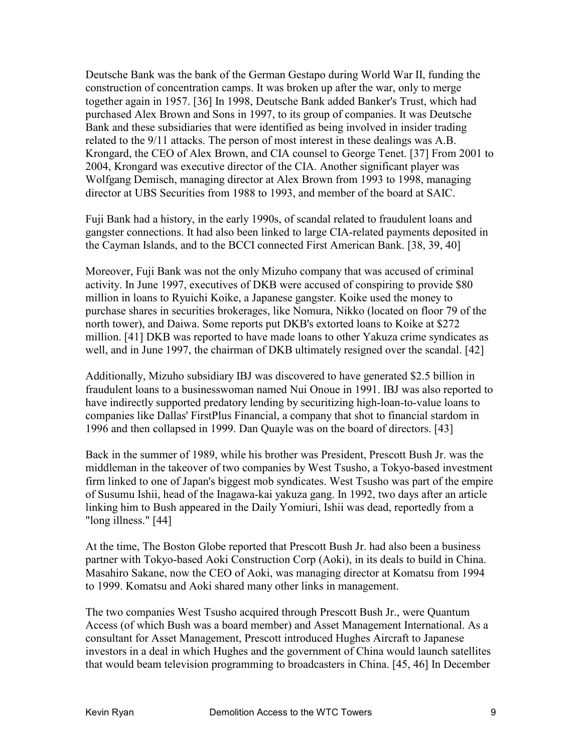Deutsche Bank was the bank of the German Gestapo during World War II, funding the construction of concentration camps. It was broken up after the war, only to merge together again in 1957. [36] In 1998, Deutsche Bank added Banker's Trust, which had purchased Alex Brown and Sons in 1997, to its group of companies. It was Deutsche Bank and these subsidiaries that were identified as being involved in insider trading related to the 9/11 attacks. The person of most interest in these dealings was A.B. Krongard, the CEO of Alex Brown, and CIA counsel to George Tenet. [37] From 2001 to 2004, Krongard was executive director of the CIA. Another significant player was Wolfgang Demisch, managing director at Alex Brown from 1993 to 1998, managing director at UBS Securities from 1988 to 1993, and member of the board at SAIC.

Fuji Bank had a history, in the early 1990s, of scandal related to fraudulent loans and gangster connections. It had also been linked to large CIA-related payments deposited in the Cayman Islands, and to the BCCI connected First American Bank. [38, 39, 40]

Moreover, Fuji Bank was not the only Mizuho company that was accused of criminal activity. In June 1997, executives of DKB were accused of conspiring to provide \$80 million in loans to Ryuichi Koike, a Japanese gangster. Koike used the money to purchase shares in securities brokerages, like Nomura, Nikko (located on floor 79 of the north tower), and Daiwa. Some reports put DKB's extorted loans to Koike at \$272 million. [41] DKB was reported to have made loans to other Yakuza crime syndicates as well, and in June 1997, the chairman of DKB ultimately resigned over the scandal. [42]

Additionally, Mizuho subsidiary IBJ was discovered to have generated \$2.5 billion in fraudulent loans to a businesswoman named Nui Onoue in 1991. IBJ was also reported to have indirectly supported predatory lending by securitizing high-loan-to-value loans to companies like Dallas' FirstPlus Financial, a company that shot to financial stardom in 1996 and then collapsed in 1999. Dan Quayle was on the board of directors. [43]

Back in the summer of 1989, while his brother was President, Prescott Bush Jr. was the middleman in the takeover of two companies by West Tsusho, a Tokyo-based investment firm linked to one of Japan's biggest mob syndicates. West Tsusho was part of the empire of Susumu Ishii, head of the Inagawa-kai yakuza gang. In 1992, two days after an article linking him to Bush appeared in the Daily Yomiuri, Ishii was dead, reportedly from a "long illness." [44]

At the time, The Boston Globe reported that Prescott Bush Jr. had also been a business partner with Tokyo-based Aoki Construction Corp (Aoki), in its deals to build in China. Masahiro Sakane, now the CEO of Aoki, was managing director at Komatsu from 1994 to 1999. Komatsu and Aoki shared many other links in management.

The two companies West Tsusho acquired through Prescott Bush Jr., were Quantum Access (of which Bush was a board member) and Asset Management International. As a consultant for Asset Management, Prescott introduced Hughes Aircraft to Japanese investors in a deal in which Hughes and the government of China would launch satellites that would beam television programming to broadcasters in China. [45, 46] In December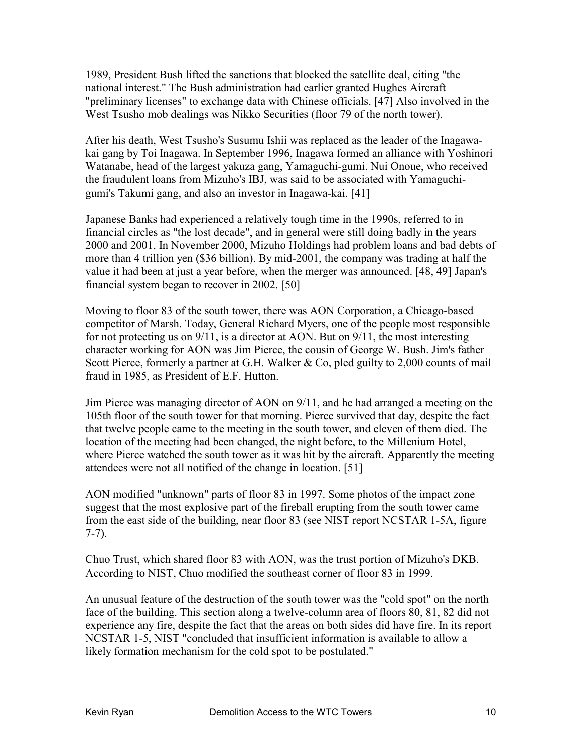1989, President Bush lifted the sanctions that blocked the satellite deal, citing "the national interest." The Bush administration had earlier granted Hughes Aircraft "preliminary licenses" to exchange data with Chinese officials. [47] Also involved in the West Tsusho mob dealings was Nikko Securities (floor 79 of the north tower).

After his death, West Tsusho's Susumu Ishii was replaced as the leader of the Inagawakai gang by Toi Inagawa. In September 1996, Inagawa formed an alliance with Yoshinori Watanabe, head of the largest yakuza gang, Yamaguchi-gumi. Nui Onoue, who received the fraudulent loans from Mizuho's IBJ, was said to be associated with Yamaguchigumi's Takumi gang, and also an investor in Inagawa-kai. [41]

Japanese Banks had experienced a relatively tough time in the 1990s, referred to in financial circles as "the lost decade", and in general were still doing badly in the years 2000 and 2001. In November 2000, Mizuho Holdings had problem loans and bad debts of more than 4 trillion yen (\$36 billion). By mid-2001, the company was trading at half the value it had been at just a year before, when the merger was announced. [48, 49] Japan's financial system began to recover in 2002. [50]

Moving to floor 83 of the south tower, there was AON Corporation, a Chicago-based competitor of Marsh. Today, General Richard Myers, one of the people most responsible for not protecting us on 9/11, is a director at AON. But on 9/11, the most interesting character working for AON was Jim Pierce, the cousin of George W. Bush. Jim's father Scott Pierce, formerly a partner at G.H. Walker & Co, pled guilty to 2,000 counts of mail fraud in 1985, as President of E.F. Hutton.

Jim Pierce was managing director of AON on 9/11, and he had arranged a meeting on the 105th floor of the south tower for that morning. Pierce survived that day, despite the fact that twelve people came to the meeting in the south tower, and eleven of them died. The location of the meeting had been changed, the night before, to the Millenium Hotel, where Pierce watched the south tower as it was hit by the aircraft. Apparently the meeting attendees were not all notified of the change in location. [51]

AON modified "unknown" parts of floor 83 in 1997. Some photos of the impact zone suggest that the most explosive part of the fireball erupting from the south tower came from the east side of the building, near floor 83 (see NIST report NCSTAR 1-5A, figure 7-7).

Chuo Trust, which shared floor 83 with AON, was the trust portion of Mizuho's DKB. According to NIST, Chuo modified the southeast corner of floor 83 in 1999.

An unusual feature of the destruction of the south tower was the "cold spot" on the north face of the building. This section along a twelve-column area of floors 80, 81, 82 did not experience any fire, despite the fact that the areas on both sides did have fire. In its report NCSTAR 1-5, NIST "concluded that insufficient information is available to allow a likely formation mechanism for the cold spot to be postulated."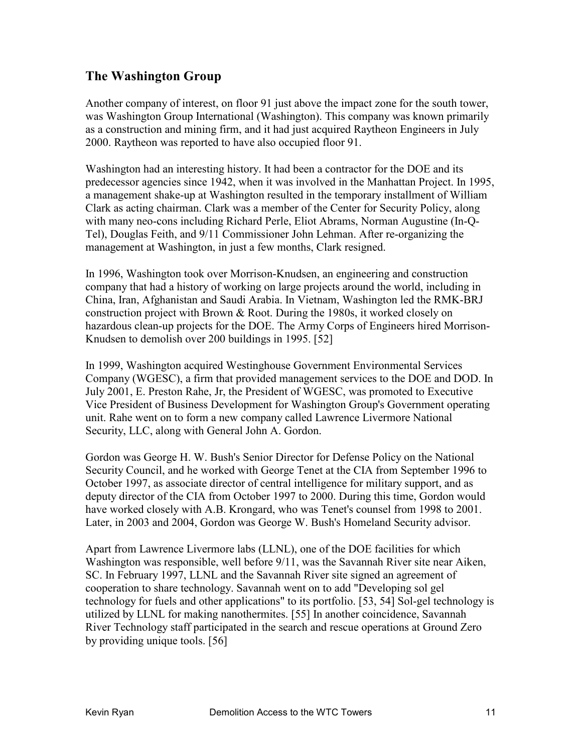## **The Washington Group**

Another company of interest, on floor 91 just above the impact zone for the south tower, was Washington Group International (Washington). This company was known primarily as a construction and mining firm, and it had just acquired Raytheon Engineers in July 2000. Raytheon was reported to have also occupied floor 91.

Washington had an interesting history. It had been a contractor for the DOE and its predecessor agencies since 1942, when it was involved in the Manhattan Project. In 1995, a management shake-up at Washington resulted in the temporary installment of William Clark as acting chairman. Clark was a member of the Center for Security Policy, along with many neo-cons including Richard Perle, Eliot Abrams, Norman Augustine (In-Q-Tel), Douglas Feith, and 9/11 Commissioner John Lehman. After re-organizing the management at Washington, in just a few months, Clark resigned.

In 1996, Washington took over Morrison-Knudsen, an engineering and construction company that had a history of working on large projects around the world, including in China, Iran, Afghanistan and Saudi Arabia. In Vietnam, Washington led the RMK-BRJ construction project with Brown & Root. During the 1980s, it worked closely on hazardous clean-up projects for the DOE. The Army Corps of Engineers hired Morrison-Knudsen to demolish over 200 buildings in 1995. [52]

In 1999, Washington acquired Westinghouse Government Environmental Services Company (WGESC), a firm that provided management services to the DOE and DOD. In July 2001, E. Preston Rahe, Jr, the President of WGESC, was promoted to Executive Vice President of Business Development for Washington Group's Government operating unit. Rahe went on to form a new company called Lawrence Livermore National Security, LLC, along with General John A. Gordon.

Gordon was George H. W. Bush's Senior Director for Defense Policy on the National Security Council, and he worked with George Tenet at the CIA from September 1996 to October 1997, as associate director of central intelligence for military support, and as deputy director of the CIA from October 1997 to 2000. During this time, Gordon would have worked closely with A.B. Krongard, who was Tenet's counsel from 1998 to 2001. Later, in 2003 and 2004, Gordon was George W. Bush's Homeland Security advisor.

Apart from Lawrence Livermore labs (LLNL), one of the DOE facilities for which Washington was responsible, well before 9/11, was the Savannah River site near Aiken, SC. In February 1997, LLNL and the Savannah River site signed an agreement of cooperation to share technology. Savannah went on to add "Developing sol gel technology for fuels and other applications" to its portfolio. [53, 54] Sol-gel technology is utilized by LLNL for making nanothermites. [55] In another coincidence, Savannah River Technology staff participated in the search and rescue operations at Ground Zero by providing unique tools. [56]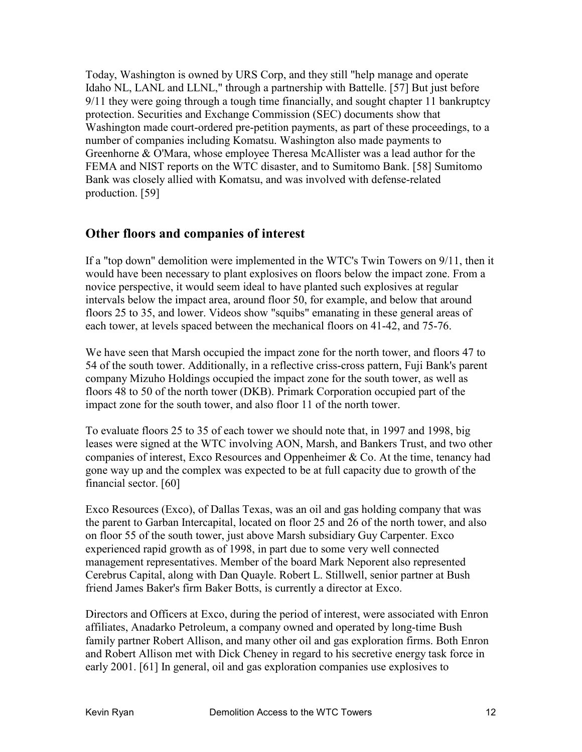Today, Washington is owned by URS Corp, and they still "help manage and operate Idaho NL, LANL and LLNL," through a partnership with Battelle. [57] But just before 9/11 they were going through a tough time financially, and sought chapter 11 bankruptcy protection. Securities and Exchange Commission (SEC) documents show that Washington made court-ordered pre-petition payments, as part of these proceedings, to a number of companies including Komatsu. Washington also made payments to Greenhorne & O'Mara, whose employee Theresa McAllister was a lead author for the FEMA and NIST reports on the WTC disaster, and to Sumitomo Bank. [58] Sumitomo Bank was closely allied with Komatsu, and was involved with defense-related production. [59]

### **Other floors and companies of interest**

If a "top down" demolition were implemented in the WTC's Twin Towers on 9/11, then it would have been necessary to plant explosives on floors below the impact zone. From a novice perspective, it would seem ideal to have planted such explosives at regular intervals below the impact area, around floor 50, for example, and below that around floors 25 to 35, and lower. Videos show "squibs" emanating in these general areas of each tower, at levels spaced between the mechanical floors on 41-42, and 75-76.

We have seen that Marsh occupied the impact zone for the north tower, and floors 47 to 54 of the south tower. Additionally, in a reflective criss-cross pattern, Fuji Bank's parent company Mizuho Holdings occupied the impact zone for the south tower, as well as floors 48 to 50 of the north tower (DKB). Primark Corporation occupied part of the impact zone for the south tower, and also floor 11 of the north tower.

To evaluate floors 25 to 35 of each tower we should note that, in 1997 and 1998, big leases were signed at the WTC involving AON, Marsh, and Bankers Trust, and two other companies of interest, Exco Resources and Oppenheimer & Co. At the time, tenancy had gone way up and the complex was expected to be at full capacity due to growth of the financial sector. [60]

Exco Resources (Exco), of Dallas Texas, was an oil and gas holding company that was the parent to Garban Intercapital, located on floor 25 and 26 of the north tower, and also on floor 55 of the south tower, just above Marsh subsidiary Guy Carpenter. Exco experienced rapid growth as of 1998, in part due to some very well connected management representatives. Member of the board Mark Neporent also represented Cerebrus Capital, along with Dan Quayle. Robert L. Stillwell, senior partner at Bush friend James Baker's firm Baker Botts, is currently a director at Exco.

Directors and Officers at Exco, during the period of interest, were associated with Enron affiliates, Anadarko Petroleum, a company owned and operated by long-time Bush family partner Robert Allison, and many other oil and gas exploration firms. Both Enron and Robert Allison met with Dick Cheney in regard to his secretive energy task force in early 2001. [61] In general, oil and gas exploration companies use explosives to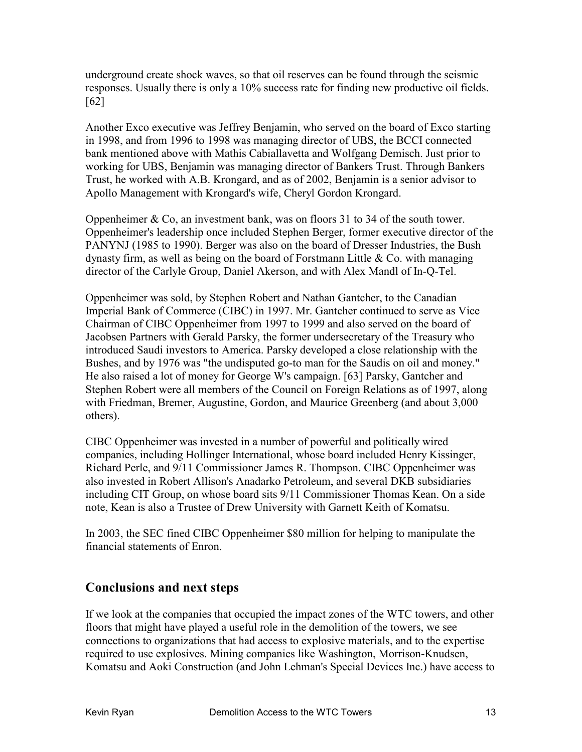underground create shock waves, so that oil reserves can be found through the seismic responses. Usually there is only a 10% success rate for finding new productive oil fields. [62]

Another Exco executive was Jeffrey Benjamin, who served on the board of Exco starting in 1998, and from 1996 to 1998 was managing director of UBS, the BCCI connected bank mentioned above with Mathis Cabiallavetta and Wolfgang Demisch. Just prior to working for UBS, Benjamin was managing director of Bankers Trust. Through Bankers Trust, he worked with A.B. Krongard, and as of 2002, Benjamin is a senior advisor to Apollo Management with Krongard's wife, Cheryl Gordon Krongard.

Oppenheimer & Co, an investment bank, was on floors 31 to 34 of the south tower. Oppenheimer's leadership once included Stephen Berger, former executive director of the PANYNJ (1985 to 1990). Berger was also on the board of Dresser Industries, the Bush dynasty firm, as well as being on the board of Forstmann Little  $\&$  Co. with managing director of the Carlyle Group, Daniel Akerson, and with Alex Mandl of In-Q-Tel.

Oppenheimer was sold, by Stephen Robert and Nathan Gantcher, to the Canadian Imperial Bank of Commerce (CIBC) in 1997. Mr. Gantcher continued to serve as Vice Chairman of CIBC Oppenheimer from 1997 to 1999 and also served on the board of Jacobsen Partners with Gerald Parsky, the former undersecretary of the Treasury who introduced Saudi investors to America. Parsky developed a close relationship with the Bushes, and by 1976 was "the undisputed go-to man for the Saudis on oil and money." He also raised a lot of money for George W's campaign. [63] Parsky, Gantcher and Stephen Robert were all members of the Council on Foreign Relations as of 1997, along with Friedman, Bremer, Augustine, Gordon, and Maurice Greenberg (and about 3,000 others).

CIBC Oppenheimer was invested in a number of powerful and politically wired companies, including Hollinger International, whose board included Henry Kissinger, Richard Perle, and 9/11 Commissioner James R. Thompson. CIBC Oppenheimer was also invested in Robert Allison's Anadarko Petroleum, and several DKB subsidiaries including CIT Group, on whose board sits 9/11 Commissioner Thomas Kean. On a side note, Kean is also a Trustee of Drew University with Garnett Keith of Komatsu.

In 2003, the SEC fined CIBC Oppenheimer \$80 million for helping to manipulate the financial statements of Enron.

### **Conclusions and next steps**

If we look at the companies that occupied the impact zones of the WTC towers, and other floors that might have played a useful role in the demolition of the towers, we see connections to organizations that had access to explosive materials, and to the expertise required to use explosives. Mining companies like Washington, Morrison-Knudsen, Komatsu and Aoki Construction (and John Lehman's Special Devices Inc.) have access to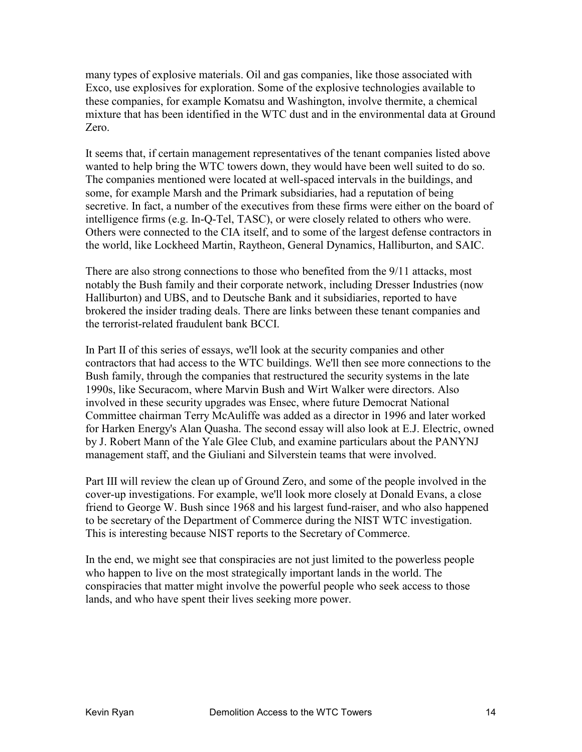many types of explosive materials. Oil and gas companies, like those associated with Exco, use explosives for exploration. Some of the explosive technologies available to these companies, for example Komatsu and Washington, involve thermite, a chemical mixture that has been identified in the WTC dust and in the environmental data at Ground Zero.

It seems that, if certain management representatives of the tenant companies listed above wanted to help bring the WTC towers down, they would have been well suited to do so. The companies mentioned were located at well-spaced intervals in the buildings, and some, for example Marsh and the Primark subsidiaries, had a reputation of being secretive. In fact, a number of the executives from these firms were either on the board of intelligence firms (e.g. In-Q-Tel, TASC), or were closely related to others who were. Others were connected to the CIA itself, and to some of the largest defense contractors in the world, like Lockheed Martin, Raytheon, General Dynamics, Halliburton, and SAIC.

There are also strong connections to those who benefited from the 9/11 attacks, most notably the Bush family and their corporate network, including Dresser Industries (now Halliburton) and UBS, and to Deutsche Bank and it subsidiaries, reported to have brokered the insider trading deals. There are links between these tenant companies and the terrorist-related fraudulent bank BCCI.

In Part II of this series of essays, we'll look at the security companies and other contractors that had access to the WTC buildings. We'll then see more connections to the Bush family, through the companies that restructured the security systems in the late 1990s, like Securacom, where Marvin Bush and Wirt Walker were directors. Also involved in these security upgrades was Ensec, where future Democrat National Committee chairman Terry McAuliffe was added as a director in 1996 and later worked for Harken Energy's Alan Quasha. The second essay will also look at E.J. Electric, owned by J. Robert Mann of the Yale Glee Club, and examine particulars about the PANYNJ management staff, and the Giuliani and Silverstein teams that were involved.

Part III will review the clean up of Ground Zero, and some of the people involved in the cover-up investigations. For example, we'll look more closely at Donald Evans, a close friend to George W. Bush since 1968 and his largest fund-raiser, and who also happened to be secretary of the Department of Commerce during the NIST WTC investigation. This is interesting because NIST reports to the Secretary of Commerce.

In the end, we might see that conspiracies are not just limited to the powerless people who happen to live on the most strategically important lands in the world. The conspiracies that matter might involve the powerful people who seek access to those lands, and who have spent their lives seeking more power.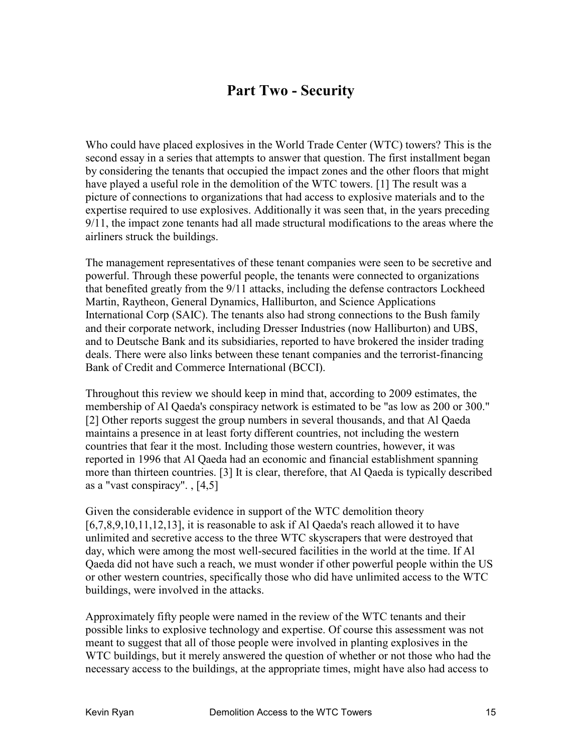## **Part Two - Security**

Who could have placed explosives in the World Trade Center (WTC) towers? This is the second essay in a series that attempts to answer that question. The first installment began by considering the tenants that occupied the impact zones and the other floors that might have played a useful role in the demolition of the WTC towers. [1] The result was a picture of connections to organizations that had access to explosive materials and to the expertise required to use explosives. Additionally it was seen that, in the years preceding 9/11, the impact zone tenants had all made structural modifications to the areas where the airliners struck the buildings.

The management representatives of these tenant companies were seen to be secretive and powerful. Through these powerful people, the tenants were connected to organizations that benefited greatly from the 9/11 attacks, including the defense contractors Lockheed Martin, Raytheon, General Dynamics, Halliburton, and Science Applications International Corp (SAIC). The tenants also had strong connections to the Bush family and their corporate network, including Dresser Industries (now Halliburton) and UBS, and to Deutsche Bank and its subsidiaries, reported to have brokered the insider trading deals. There were also links between these tenant companies and the terrorist-financing Bank of Credit and Commerce International (BCCI).

Throughout this review we should keep in mind that, according to 2009 estimates, the membership of Al Qaeda's conspiracy network is estimated to be "as low as 200 or 300." [2] Other reports suggest the group numbers in several thousands, and that Al Qaeda maintains a presence in at least forty different countries, not including the western countries that fear it the most. Including those western countries, however, it was reported in 1996 that Al Qaeda had an economic and financial establishment spanning more than thirteen countries. [3] It is clear, therefore, that Al Qaeda is typically described as a "vast conspiracy". , [4,5]

Given the considerable evidence in support of the WTC demolition theory [6,7,8,9,10,11,12,13], it is reasonable to ask if Al Qaeda's reach allowed it to have unlimited and secretive access to the three WTC skyscrapers that were destroyed that day, which were among the most well-secured facilities in the world at the time. If Al Qaeda did not have such a reach, we must wonder if other powerful people within the US or other western countries, specifically those who did have unlimited access to the WTC buildings, were involved in the attacks.

Approximately fifty people were named in the review of the WTC tenants and their possible links to explosive technology and expertise. Of course this assessment was not meant to suggest that all of those people were involved in planting explosives in the WTC buildings, but it merely answered the question of whether or not those who had the necessary access to the buildings, at the appropriate times, might have also had access to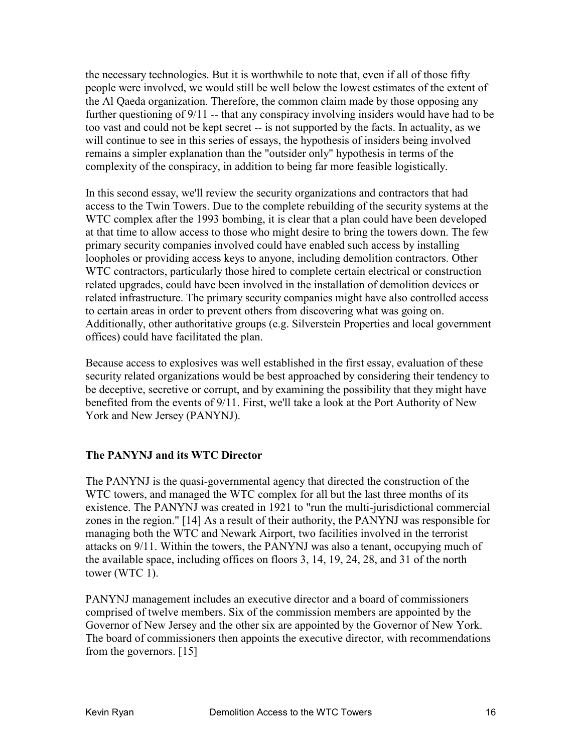the necessary technologies. But it is worthwhile to note that, even if all of those fifty people were involved, we would still be well below the lowest estimates of the extent of the Al Qaeda organization. Therefore, the common claim made by those opposing any further questioning of 9/11 -- that any conspiracy involving insiders would have had to be too vast and could not be kept secret -- is not supported by the facts. In actuality, as we will continue to see in this series of essays, the hypothesis of insiders being involved remains a simpler explanation than the "outsider only" hypothesis in terms of the complexity of the conspiracy, in addition to being far more feasible logistically.

In this second essay, we'll review the security organizations and contractors that had access to the Twin Towers. Due to the complete rebuilding of the security systems at the WTC complex after the 1993 bombing, it is clear that a plan could have been developed at that time to allow access to those who might desire to bring the towers down. The few primary security companies involved could have enabled such access by installing loopholes or providing access keys to anyone, including demolition contractors. Other WTC contractors, particularly those hired to complete certain electrical or construction related upgrades, could have been involved in the installation of demolition devices or related infrastructure. The primary security companies might have also controlled access to certain areas in order to prevent others from discovering what was going on. Additionally, other authoritative groups (e.g. Silverstein Properties and local government offices) could have facilitated the plan.

Because access to explosives was well established in the first essay, evaluation of these security related organizations would be best approached by considering their tendency to be deceptive, secretive or corrupt, and by examining the possibility that they might have benefited from the events of 9/11. First, we'll take a look at the Port Authority of New York and New Jersey (PANYNJ).

#### **The PANYNJ and its WTC Director**

The PANYNJ is the quasi-governmental agency that directed the construction of the WTC towers, and managed the WTC complex for all but the last three months of its existence. The PANYNJ was created in 1921 to "run the multi-jurisdictional commercial zones in the region." [14] As a result of their authority, the PANYNJ was responsible for managing both the WTC and Newark Airport, two facilities involved in the terrorist attacks on 9/11. Within the towers, the PANYNJ was also a tenant, occupying much of the available space, including offices on floors 3, 14, 19, 24, 28, and 31 of the north tower (WTC 1).

PANYNJ management includes an executive director and a board of commissioners comprised of twelve members. Six of the commission members are appointed by the Governor of New Jersey and the other six are appointed by the Governor of New York. The board of commissioners then appoints the executive director, with recommendations from the governors. [15]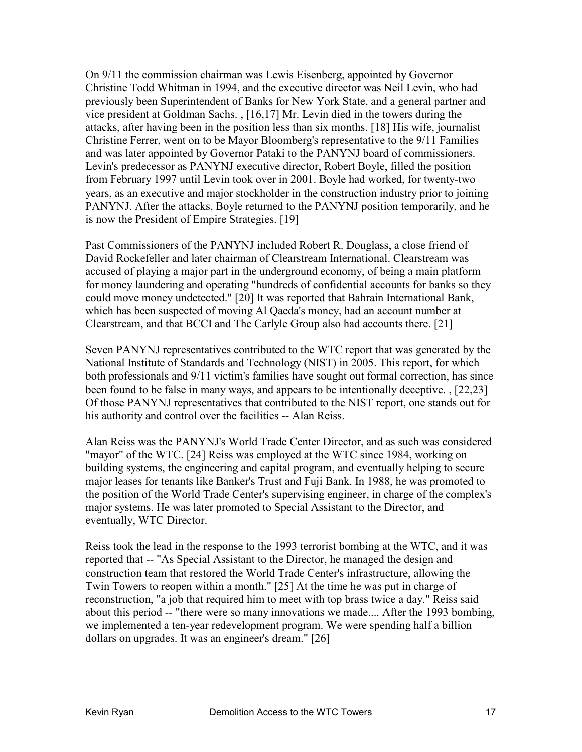On 9/11 the commission chairman was Lewis Eisenberg, appointed by Governor Christine Todd Whitman in 1994, and the executive director was Neil Levin, who had previously been Superintendent of Banks for New York State, and a general partner and vice president at Goldman Sachs. , [16,17] Mr. Levin died in the towers during the attacks, after having been in the position less than six months. [18] His wife, journalist Christine Ferrer, went on to be Mayor Bloomberg's representative to the 9/11 Families and was later appointed by Governor Pataki to the PANYNJ board of commissioners. Levin's predecessor as PANYNJ executive director, Robert Boyle, filled the position from February 1997 until Levin took over in 2001. Boyle had worked, for twenty-two years, as an executive and major stockholder in the construction industry prior to joining PANYNJ. After the attacks, Boyle returned to the PANYNJ position temporarily, and he is now the President of Empire Strategies. [19]

Past Commissioners of the PANYNJ included Robert R. Douglass, a close friend of David Rockefeller and later chairman of Clearstream International. Clearstream was accused of playing a major part in the underground economy, of being a main platform for money laundering and operating "hundreds of confidential accounts for banks so they could move money undetected." [20] It was reported that Bahrain International Bank, which has been suspected of moving Al Qaeda's money, had an account number at Clearstream, and that BCCI and The Carlyle Group also had accounts there. [21]

Seven PANYNJ representatives contributed to the WTC report that was generated by the National Institute of Standards and Technology (NIST) in 2005. This report, for which both professionals and 9/11 victim's families have sought out formal correction, has since been found to be false in many ways, and appears to be intentionally deceptive. , [22,23] Of those PANYNJ representatives that contributed to the NIST report, one stands out for his authority and control over the facilities -- Alan Reiss.

Alan Reiss was the PANYNJ's World Trade Center Director, and as such was considered "mayor" of the WTC. [24] Reiss was employed at the WTC since 1984, working on building systems, the engineering and capital program, and eventually helping to secure major leases for tenants like Banker's Trust and Fuji Bank. In 1988, he was promoted to the position of the World Trade Center's supervising engineer, in charge of the complex's major systems. He was later promoted to Special Assistant to the Director, and eventually, WTC Director.

Reiss took the lead in the response to the 1993 terrorist bombing at the WTC, and it was reported that -- "As Special Assistant to the Director, he managed the design and construction team that restored the World Trade Center's infrastructure, allowing the Twin Towers to reopen within a month." [25] At the time he was put in charge of reconstruction, "a job that required him to meet with top brass twice a day." Reiss said about this period -- "there were so many innovations we made.... After the 1993 bombing, we implemented a ten-year redevelopment program. We were spending half a billion dollars on upgrades. It was an engineer's dream." [26]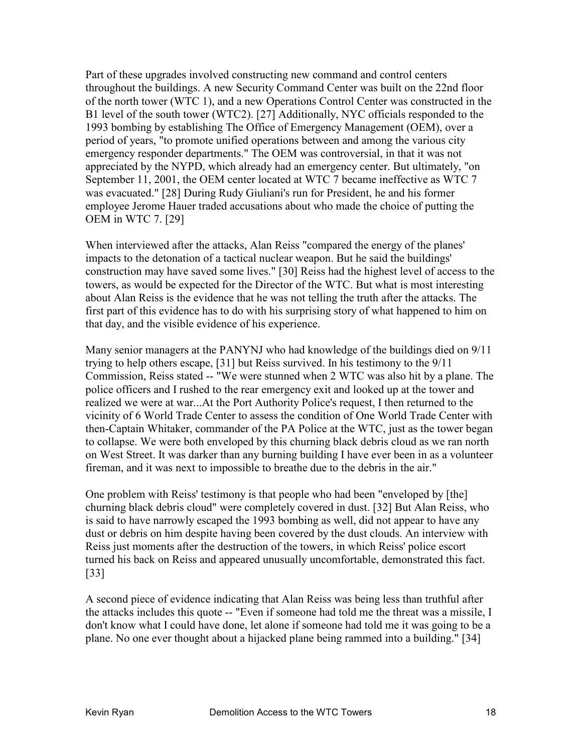Part of these upgrades involved constructing new command and control centers throughout the buildings. A new Security Command Center was built on the 22nd floor of the north tower (WTC 1), and a new Operations Control Center was constructed in the B1 level of the south tower (WTC2). [27] Additionally, NYC officials responded to the 1993 bombing by establishing The Office of Emergency Management (OEM), over a period of years, "to promote unified operations between and among the various city emergency responder departments." The OEM was controversial, in that it was not appreciated by the NYPD, which already had an emergency center. But ultimately, "on September 11, 2001, the OEM center located at WTC 7 became ineffective as WTC 7 was evacuated." [28] During Rudy Giuliani's run for President, he and his former employee Jerome Hauer traded accusations about who made the choice of putting the OEM in WTC 7. [29]

When interviewed after the attacks, Alan Reiss "compared the energy of the planes' impacts to the detonation of a tactical nuclear weapon. But he said the buildings' construction may have saved some lives." [30] Reiss had the highest level of access to the towers, as would be expected for the Director of the WTC. But what is most interesting about Alan Reiss is the evidence that he was not telling the truth after the attacks. The first part of this evidence has to do with his surprising story of what happened to him on that day, and the visible evidence of his experience.

Many senior managers at the PANYNJ who had knowledge of the buildings died on 9/11 trying to help others escape, [31] but Reiss survived. In his testimony to the 9/11 Commission, Reiss stated -- "We were stunned when 2 WTC was also hit by a plane. The police officers and I rushed to the rear emergency exit and looked up at the tower and realized we were at war...At the Port Authority Police's request, I then returned to the vicinity of 6 World Trade Center to assess the condition of One World Trade Center with then-Captain Whitaker, commander of the PA Police at the WTC, just as the tower began to collapse. We were both enveloped by this churning black debris cloud as we ran north on West Street. It was darker than any burning building I have ever been in as a volunteer fireman, and it was next to impossible to breathe due to the debris in the air."

One problem with Reiss' testimony is that people who had been "enveloped by [the] churning black debris cloud" were completely covered in dust. [32] But Alan Reiss, who is said to have narrowly escaped the 1993 bombing as well, did not appear to have any dust or debris on him despite having been covered by the dust clouds. An interview with Reiss just moments after the destruction of the towers, in which Reiss' police escort turned his back on Reiss and appeared unusually uncomfortable, demonstrated this fact. [33]

A second piece of evidence indicating that Alan Reiss was being less than truthful after the attacks includes this quote -- "Even if someone had told me the threat was a missile, I don't know what I could have done, let alone if someone had told me it was going to be a plane. No one ever thought about a hijacked plane being rammed into a building." [34]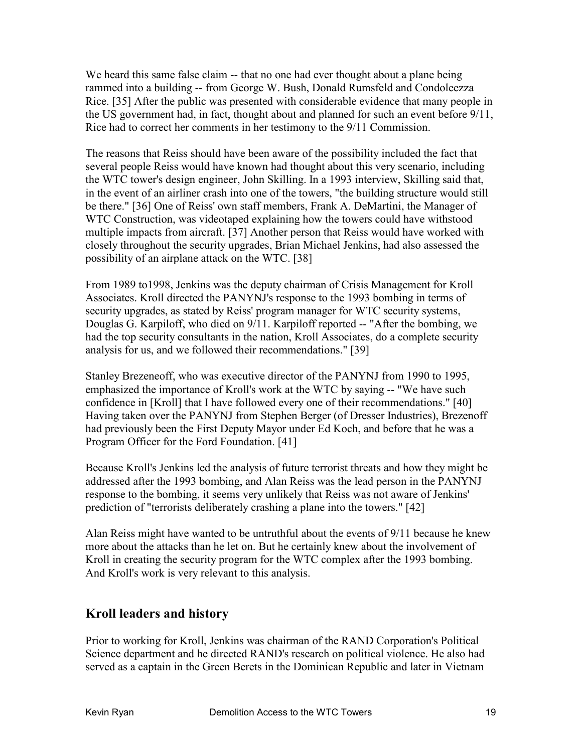We heard this same false claim -- that no one had ever thought about a plane being rammed into a building -- from George W. Bush, Donald Rumsfeld and Condoleezza Rice. [35] After the public was presented with considerable evidence that many people in the US government had, in fact, thought about and planned for such an event before 9/11, Rice had to correct her comments in her testimony to the 9/11 Commission.

The reasons that Reiss should have been aware of the possibility included the fact that several people Reiss would have known had thought about this very scenario, including the WTC tower's design engineer, John Skilling. In a 1993 interview, Skilling said that, in the event of an airliner crash into one of the towers, "the building structure would still be there." [36] One of Reiss' own staff members, Frank A. DeMartini, the Manager of WTC Construction, was videotaped explaining how the towers could have withstood multiple impacts from aircraft. [37] Another person that Reiss would have worked with closely throughout the security upgrades, Brian Michael Jenkins, had also assessed the possibility of an airplane attack on the WTC. [38]

From 1989 to1998, Jenkins was the deputy chairman of Crisis Management for Kroll Associates. Kroll directed the PANYNJ's response to the 1993 bombing in terms of security upgrades, as stated by Reiss' program manager for WTC security systems, Douglas G. Karpiloff, who died on 9/11. Karpiloff reported -- "After the bombing, we had the top security consultants in the nation, Kroll Associates, do a complete security analysis for us, and we followed their recommendations." [39]

Stanley Brezeneoff, who was executive director of the PANYNJ from 1990 to 1995, emphasized the importance of Kroll's work at the WTC by saying -- "We have such confidence in [Kroll] that I have followed every one of their recommendations." [40] Having taken over the PANYNJ from Stephen Berger (of Dresser Industries), Brezenoff had previously been the First Deputy Mayor under Ed Koch, and before that he was a Program Officer for the Ford Foundation. [41]

Because Kroll's Jenkins led the analysis of future terrorist threats and how they might be addressed after the 1993 bombing, and Alan Reiss was the lead person in the PANYNJ response to the bombing, it seems very unlikely that Reiss was not aware of Jenkins' prediction of "terrorists deliberately crashing a plane into the towers." [42]

Alan Reiss might have wanted to be untruthful about the events of 9/11 because he knew more about the attacks than he let on. But he certainly knew about the involvement of Kroll in creating the security program for the WTC complex after the 1993 bombing. And Kroll's work is very relevant to this analysis.

### **Kroll leaders and history**

Prior to working for Kroll, Jenkins was chairman of the RAND Corporation's Political Science department and he directed RAND's research on political violence. He also had served as a captain in the Green Berets in the Dominican Republic and later in Vietnam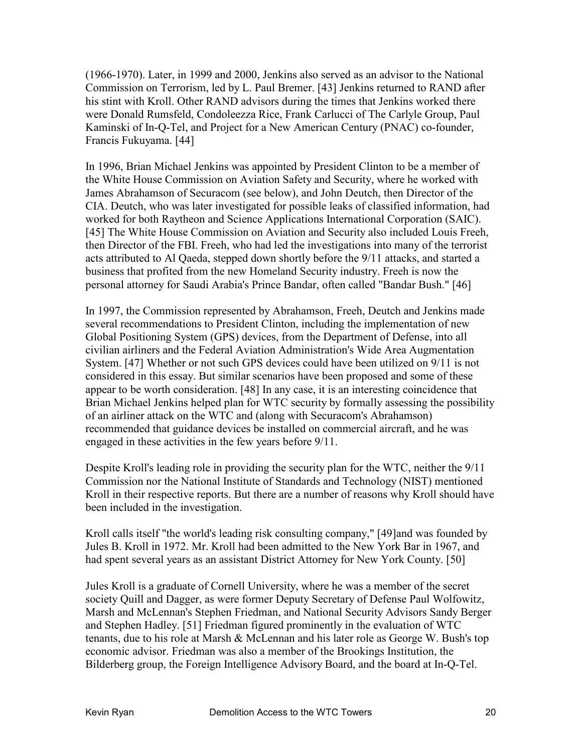(1966-1970). Later, in 1999 and 2000, Jenkins also served as an advisor to the National Commission on Terrorism, led by L. Paul Bremer. [43] Jenkins returned to RAND after his stint with Kroll. Other RAND advisors during the times that Jenkins worked there were Donald Rumsfeld, Condoleezza Rice, Frank Carlucci of The Carlyle Group, Paul Kaminski of In-Q-Tel, and Project for a New American Century (PNAC) co-founder, Francis Fukuyama. [44]

In 1996, Brian Michael Jenkins was appointed by President Clinton to be a member of the White House Commission on Aviation Safety and Security, where he worked with James Abrahamson of Securacom (see below), and John Deutch, then Director of the CIA. Deutch, who was later investigated for possible leaks of classified information, had worked for both Raytheon and Science Applications International Corporation (SAIC). [45] The White House Commission on Aviation and Security also included Louis Freeh, then Director of the FBI. Freeh, who had led the investigations into many of the terrorist acts attributed to Al Qaeda, stepped down shortly before the 9/11 attacks, and started a business that profited from the new Homeland Security industry. Freeh is now the personal attorney for Saudi Arabia's Prince Bandar, often called "Bandar Bush." [46]

In 1997, the Commission represented by Abrahamson, Freeh, Deutch and Jenkins made several recommendations to President Clinton, including the implementation of new Global Positioning System (GPS) devices, from the Department of Defense, into all civilian airliners and the Federal Aviation Administration's Wide Area Augmentation System. [47] Whether or not such GPS devices could have been utilized on 9/11 is not considered in this essay. But similar scenarios have been proposed and some of these appear to be worth consideration. [48] In any case, it is an interesting coincidence that Brian Michael Jenkins helped plan for WTC security by formally assessing the possibility of an airliner attack on the WTC and (along with Securacom's Abrahamson) recommended that guidance devices be installed on commercial aircraft, and he was engaged in these activities in the few years before 9/11.

Despite Kroll's leading role in providing the security plan for the WTC, neither the 9/11 Commission nor the National Institute of Standards and Technology (NIST) mentioned Kroll in their respective reports. But there are a number of reasons why Kroll should have been included in the investigation.

Kroll calls itself "the world's leading risk consulting company," [49]and was founded by Jules B. Kroll in 1972. Mr. Kroll had been admitted to the New York Bar in 1967, and had spent several years as an assistant District Attorney for New York County. [50]

Jules Kroll is a graduate of Cornell University, where he was a member of the secret society Quill and Dagger, as were former Deputy Secretary of Defense Paul Wolfowitz, Marsh and McLennan's Stephen Friedman, and National Security Advisors Sandy Berger and Stephen Hadley. [51] Friedman figured prominently in the evaluation of WTC tenants, due to his role at Marsh & McLennan and his later role as George W. Bush's top economic advisor. Friedman was also a member of the Brookings Institution, the Bilderberg group, the Foreign Intelligence Advisory Board, and the board at In-Q-Tel.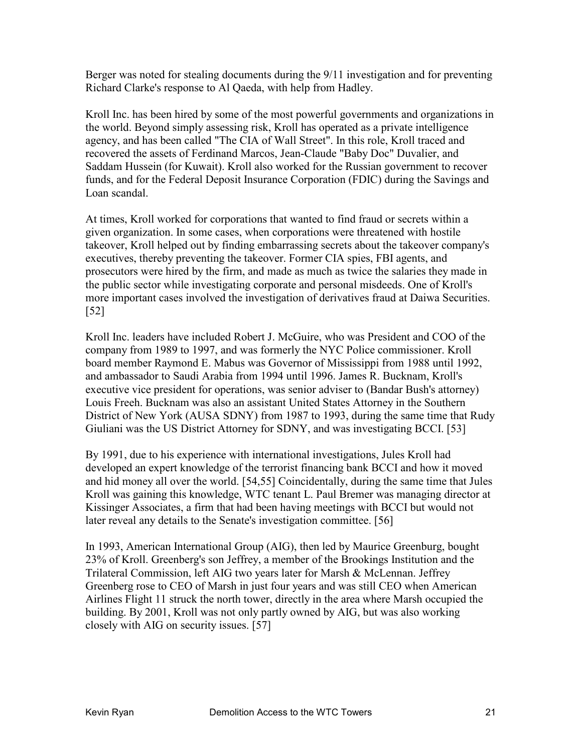Berger was noted for stealing documents during the 9/11 investigation and for preventing Richard Clarke's response to Al Qaeda, with help from Hadley.

Kroll Inc. has been hired by some of the most powerful governments and organizations in the world. Beyond simply assessing risk, Kroll has operated as a private intelligence agency, and has been called "The CIA of Wall Street". In this role, Kroll traced and recovered the assets of Ferdinand Marcos, Jean-Claude "Baby Doc" Duvalier, and Saddam Hussein (for Kuwait). Kroll also worked for the Russian government to recover funds, and for the Federal Deposit Insurance Corporation (FDIC) during the Savings and Loan scandal.

At times, Kroll worked for corporations that wanted to find fraud or secrets within a given organization. In some cases, when corporations were threatened with hostile takeover, Kroll helped out by finding embarrassing secrets about the takeover company's executives, thereby preventing the takeover. Former CIA spies, FBI agents, and prosecutors were hired by the firm, and made as much as twice the salaries they made in the public sector while investigating corporate and personal misdeeds. One of Kroll's more important cases involved the investigation of derivatives fraud at Daiwa Securities. [52]

Kroll Inc. leaders have included Robert J. McGuire, who was President and COO of the company from 1989 to 1997, and was formerly the NYC Police commissioner. Kroll board member Raymond E. Mabus was Governor of Mississippi from 1988 until 1992, and ambassador to Saudi Arabia from 1994 until 1996. James R. Bucknam, Kroll's executive vice president for operations, was senior adviser to (Bandar Bush's attorney) Louis Freeh. Bucknam was also an assistant United States Attorney in the Southern District of New York (AUSA SDNY) from 1987 to 1993, during the same time that Rudy Giuliani was the US District Attorney for SDNY, and was investigating BCCI. [53]

By 1991, due to his experience with international investigations, Jules Kroll had developed an expert knowledge of the terrorist financing bank BCCI and how it moved and hid money all over the world. [54,55] Coincidentally, during the same time that Jules Kroll was gaining this knowledge, WTC tenant L. Paul Bremer was managing director at Kissinger Associates, a firm that had been having meetings with BCCI but would not later reveal any details to the Senate's investigation committee. [56]

In 1993, American International Group (AIG), then led by Maurice Greenburg, bought 23% of Kroll. Greenberg's son Jeffrey, a member of the Brookings Institution and the Trilateral Commission, left AIG two years later for Marsh & McLennan. Jeffrey Greenberg rose to CEO of Marsh in just four years and was still CEO when American Airlines Flight 11 struck the north tower, directly in the area where Marsh occupied the building. By 2001, Kroll was not only partly owned by AIG, but was also working closely with AIG on security issues. [57]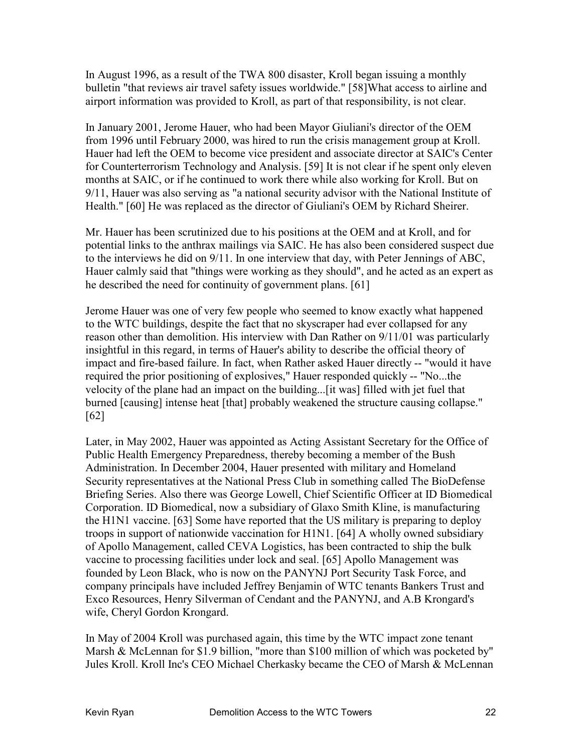In August 1996, as a result of the TWA 800 disaster, Kroll began issuing a monthly bulletin "that reviews air travel safety issues worldwide." [58]What access to airline and airport information was provided to Kroll, as part of that responsibility, is not clear.

In January 2001, Jerome Hauer, who had been Mayor Giuliani's director of the OEM from 1996 until February 2000, was hired to run the crisis management group at Kroll. Hauer had left the OEM to become vice president and associate director at SAIC's Center for Counterterrorism Technology and Analysis. [59] It is not clear if he spent only eleven months at SAIC, or if he continued to work there while also working for Kroll. But on 9/11, Hauer was also serving as "a national security advisor with the National Institute of Health." [60] He was replaced as the director of Giuliani's OEM by Richard Sheirer.

Mr. Hauer has been scrutinized due to his positions at the OEM and at Kroll, and for potential links to the anthrax mailings via SAIC. He has also been considered suspect due to the interviews he did on 9/11. In one interview that day, with Peter Jennings of ABC, Hauer calmly said that "things were working as they should", and he acted as an expert as he described the need for continuity of government plans. [61]

Jerome Hauer was one of very few people who seemed to know exactly what happened to the WTC buildings, despite the fact that no skyscraper had ever collapsed for any reason other than demolition. His interview with Dan Rather on 9/11/01 was particularly insightful in this regard, in terms of Hauer's ability to describe the official theory of impact and fire-based failure. In fact, when Rather asked Hauer directly -- "would it have required the prior positioning of explosives," Hauer responded quickly -- "No...the velocity of the plane had an impact on the building...[it was] filled with jet fuel that burned [causing] intense heat [that] probably weakened the structure causing collapse." [62]

Later, in May 2002, Hauer was appointed as Acting Assistant Secretary for the Office of Public Health Emergency Preparedness, thereby becoming a member of the Bush Administration. In December 2004, Hauer presented with military and Homeland Security representatives at the National Press Club in something called The BioDefense Briefing Series. Also there was George Lowell, Chief Scientific Officer at ID Biomedical Corporation. ID Biomedical, now a subsidiary of Glaxo Smith Kline, is manufacturing the H1N1 vaccine. [63] Some have reported that the US military is preparing to deploy troops in support of nationwide vaccination for H1N1. [64] A wholly owned subsidiary of Apollo Management, called CEVA Logistics, has been contracted to ship the bulk vaccine to processing facilities under lock and seal. [65] Apollo Management was founded by Leon Black, who is now on the PANYNJ Port Security Task Force, and company principals have included Jeffrey Benjamin of WTC tenants Bankers Trust and Exco Resources, Henry Silverman of Cendant and the PANYNJ, and A.B Krongard's wife, Cheryl Gordon Krongard.

In May of 2004 Kroll was purchased again, this time by the WTC impact zone tenant Marsh & McLennan for \$1.9 billion, "more than \$100 million of which was pocketed by" Jules Kroll. Kroll Inc's CEO Michael Cherkasky became the CEO of Marsh & McLennan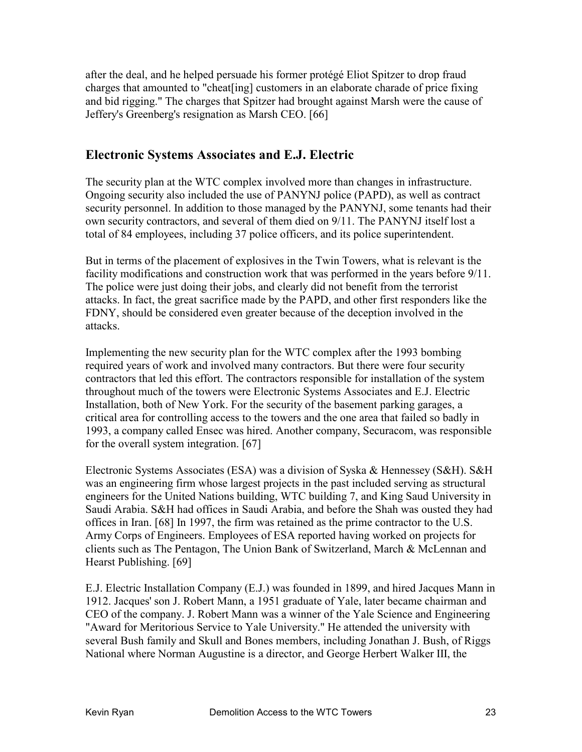after the deal, and he helped persuade his former protégé Eliot Spitzer to drop fraud charges that amounted to "cheat[ing] customers in an elaborate charade of price fixing and bid rigging." The charges that Spitzer had brought against Marsh were the cause of Jeffery's Greenberg's resignation as Marsh CEO. [66]

#### **Electronic Systems Associates and E.J. Electric**

The security plan at the WTC complex involved more than changes in infrastructure. Ongoing security also included the use of PANYNJ police (PAPD), as well as contract security personnel. In addition to those managed by the PANYNJ, some tenants had their own security contractors, and several of them died on 9/11. The PANYNJ itself lost a total of 84 employees, including 37 police officers, and its police superintendent.

But in terms of the placement of explosives in the Twin Towers, what is relevant is the facility modifications and construction work that was performed in the years before 9/11. The police were just doing their jobs, and clearly did not benefit from the terrorist attacks. In fact, the great sacrifice made by the PAPD, and other first responders like the FDNY, should be considered even greater because of the deception involved in the attacks.

Implementing the new security plan for the WTC complex after the 1993 bombing required years of work and involved many contractors. But there were four security contractors that led this effort. The contractors responsible for installation of the system throughout much of the towers were Electronic Systems Associates and E.J. Electric Installation, both of New York. For the security of the basement parking garages, a critical area for controlling access to the towers and the one area that failed so badly in 1993, a company called Ensec was hired. Another company, Securacom, was responsible for the overall system integration. [67]

Electronic Systems Associates (ESA) was a division of Syska & Hennessey (S&H). S&H was an engineering firm whose largest projects in the past included serving as structural engineers for the United Nations building, WTC building 7, and King Saud University in Saudi Arabia. S&H had offices in Saudi Arabia, and before the Shah was ousted they had offices in Iran. [68] In 1997, the firm was retained as the prime contractor to the U.S. Army Corps of Engineers. Employees of ESA reported having worked on projects for clients such as The Pentagon, The Union Bank of Switzerland, March & McLennan and Hearst Publishing. [69]

E.J. Electric Installation Company (E.J.) was founded in 1899, and hired Jacques Mann in 1912. Jacques' son J. Robert Mann, a 1951 graduate of Yale, later became chairman and CEO of the company. J. Robert Mann was a winner of the Yale Science and Engineering "Award for Meritorious Service to Yale University." He attended the university with several Bush family and Skull and Bones members, including Jonathan J. Bush, of Riggs National where Norman Augustine is a director, and George Herbert Walker III, the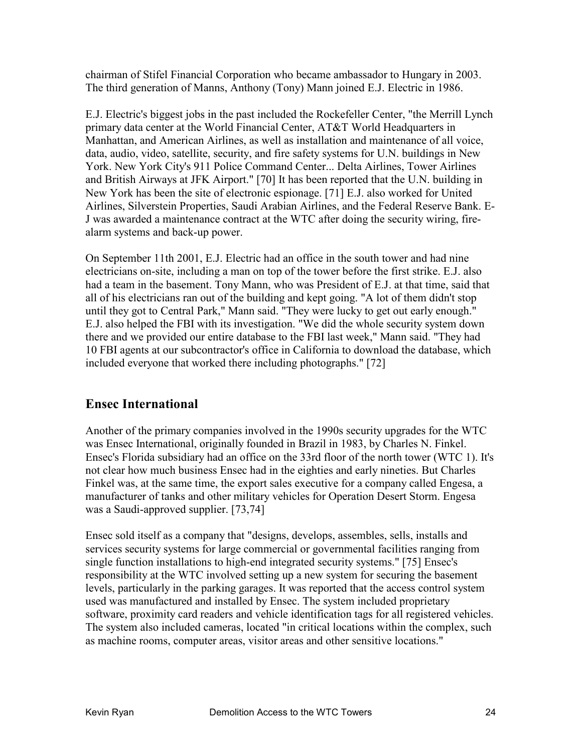chairman of Stifel Financial Corporation who became ambassador to Hungary in 2003. The third generation of Manns, Anthony (Tony) Mann joined E.J. Electric in 1986.

E.J. Electric's biggest jobs in the past included the Rockefeller Center, "the Merrill Lynch primary data center at the World Financial Center, AT&T World Headquarters in Manhattan, and American Airlines, as well as installation and maintenance of all voice, data, audio, video, satellite, security, and fire safety systems for U.N. buildings in New York. New York City's 911 Police Command Center... Delta Airlines, Tower Airlines and British Airways at JFK Airport." [70] It has been reported that the U.N. building in New York has been the site of electronic espionage. [71] E.J. also worked for United Airlines, Silverstein Properties, Saudi Arabian Airlines, and the Federal Reserve Bank. E-J was awarded a maintenance contract at the WTC after doing the security wiring, firealarm systems and back-up power.

On September 11th 2001, E.J. Electric had an office in the south tower and had nine electricians on-site, including a man on top of the tower before the first strike. E.J. also had a team in the basement. Tony Mann, who was President of E.J. at that time, said that all of his electricians ran out of the building and kept going. "A lot of them didn't stop until they got to Central Park," Mann said. "They were lucky to get out early enough." E.J. also helped the FBI with its investigation. "We did the whole security system down there and we provided our entire database to the FBI last week," Mann said. "They had 10 FBI agents at our subcontractor's office in California to download the database, which included everyone that worked there including photographs." [72]

## **Ensec International**

Another of the primary companies involved in the 1990s security upgrades for the WTC was Ensec International, originally founded in Brazil in 1983, by Charles N. Finkel. Ensec's Florida subsidiary had an office on the 33rd floor of the north tower (WTC 1). It's not clear how much business Ensec had in the eighties and early nineties. But Charles Finkel was, at the same time, the export sales executive for a company called Engesa, a manufacturer of tanks and other military vehicles for Operation Desert Storm. Engesa was a Saudi-approved supplier. [73,74]

Ensec sold itself as a company that "designs, develops, assembles, sells, installs and services security systems for large commercial or governmental facilities ranging from single function installations to high-end integrated security systems." [75] Ensec's responsibility at the WTC involved setting up a new system for securing the basement levels, particularly in the parking garages. It was reported that the access control system used was manufactured and installed by Ensec. The system included proprietary software, proximity card readers and vehicle identification tags for all registered vehicles. The system also included cameras, located "in critical locations within the complex, such as machine rooms, computer areas, visitor areas and other sensitive locations."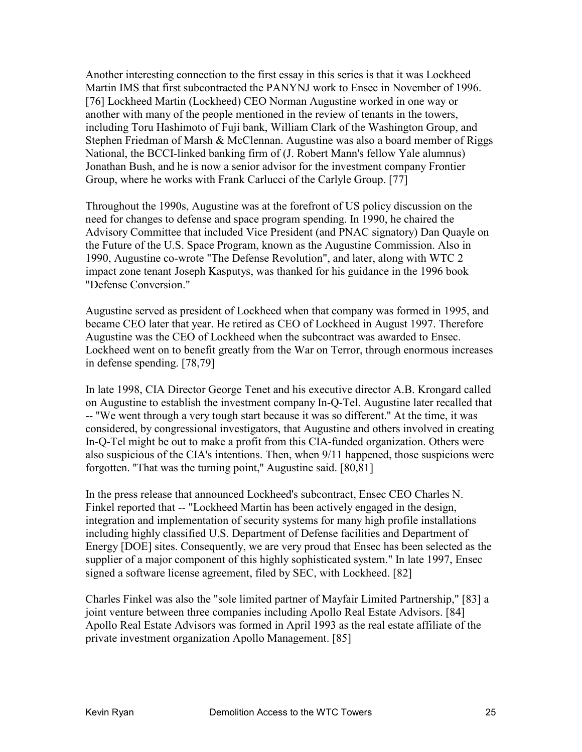Another interesting connection to the first essay in this series is that it was Lockheed Martin IMS that first subcontracted the PANYNJ work to Ensec in November of 1996. [76] Lockheed Martin (Lockheed) CEO Norman Augustine worked in one way or another with many of the people mentioned in the review of tenants in the towers, including Toru Hashimoto of Fuji bank, William Clark of the Washington Group, and Stephen Friedman of Marsh & McClennan. Augustine was also a board member of Riggs National, the BCCI-linked banking firm of (J. Robert Mann's fellow Yale alumnus) Jonathan Bush, and he is now a senior advisor for the investment company Frontier Group, where he works with Frank Carlucci of the Carlyle Group. [77]

Throughout the 1990s, Augustine was at the forefront of US policy discussion on the need for changes to defense and space program spending. In 1990, he chaired the Advisory Committee that included Vice President (and PNAC signatory) Dan Quayle on the Future of the U.S. Space Program, known as the Augustine Commission. Also in 1990, Augustine co-wrote "The Defense Revolution", and later, along with WTC 2 impact zone tenant Joseph Kasputys, was thanked for his guidance in the 1996 book "Defense Conversion."

Augustine served as president of Lockheed when that company was formed in 1995, and became CEO later that year. He retired as CEO of Lockheed in August 1997. Therefore Augustine was the CEO of Lockheed when the subcontract was awarded to Ensec. Lockheed went on to benefit greatly from the War on Terror, through enormous increases in defense spending. [78,79]

In late 1998, CIA Director George Tenet and his executive director A.B. Krongard called on Augustine to establish the investment company In-Q-Tel. Augustine later recalled that -- ''We went through a very tough start because it was so different.'' At the time, it was considered, by congressional investigators, that Augustine and others involved in creating In-Q-Tel might be out to make a profit from this CIA-funded organization. Others were also suspicious of the CIA's intentions. Then, when 9/11 happened, those suspicions were forgotten. "That was the turning point," Augustine said. [80,81]

In the press release that announced Lockheed's subcontract, Ensec CEO Charles N. Finkel reported that -- "Lockheed Martin has been actively engaged in the design, integration and implementation of security systems for many high profile installations including highly classified U.S. Department of Defense facilities and Department of Energy [DOE] sites. Consequently, we are very proud that Ensec has been selected as the supplier of a major component of this highly sophisticated system." In late 1997, Ensec signed a software license agreement, filed by SEC, with Lockheed. [82]

Charles Finkel was also the "sole limited partner of Mayfair Limited Partnership," [83] a joint venture between three companies including Apollo Real Estate Advisors. [84] Apollo Real Estate Advisors was formed in April 1993 as the real estate affiliate of the private investment organization Apollo Management. [85]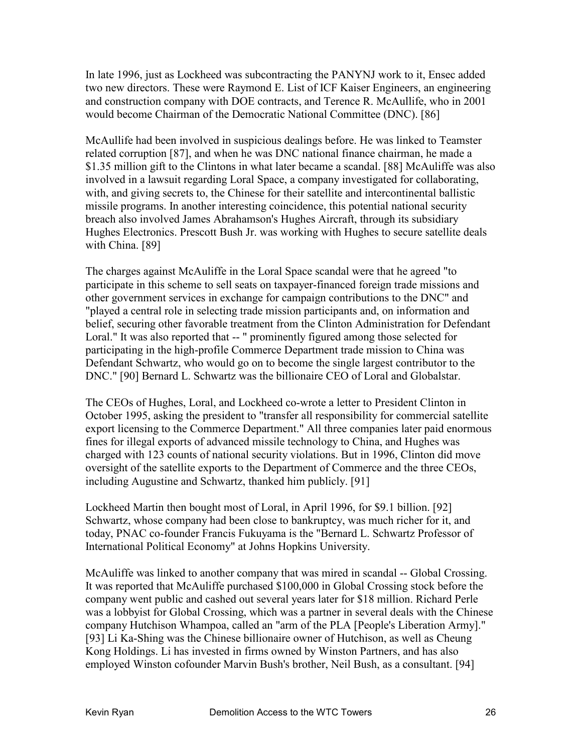In late 1996, just as Lockheed was subcontracting the PANYNJ work to it, Ensec added two new directors. These were Raymond E. List of ICF Kaiser Engineers, an engineering and construction company with DOE contracts, and Terence R. McAullife, who in 2001 would become Chairman of the Democratic National Committee (DNC). [86]

McAullife had been involved in suspicious dealings before. He was linked to Teamster related corruption [87], and when he was DNC national finance chairman, he made a \$1.35 million gift to the Clintons in what later became a scandal. [88] McAuliffe was also involved in a lawsuit regarding Loral Space, a company investigated for collaborating, with, and giving secrets to, the Chinese for their satellite and intercontinental ballistic missile programs. In another interesting coincidence, this potential national security breach also involved James Abrahamson's Hughes Aircraft, through its subsidiary Hughes Electronics. Prescott Bush Jr. was working with Hughes to secure satellite deals with China. [89]

The charges against McAuliffe in the Loral Space scandal were that he agreed "to participate in this scheme to sell seats on taxpayer-financed foreign trade missions and other government services in exchange for campaign contributions to the DNC" and "played a central role in selecting trade mission participants and, on information and belief, securing other favorable treatment from the Clinton Administration for Defendant Loral." It was also reported that -- " prominently figured among those selected for participating in the high-profile Commerce Department trade mission to China was Defendant Schwartz, who would go on to become the single largest contributor to the DNC." [90] Bernard L. Schwartz was the billionaire CEO of Loral and Globalstar.

The CEOs of Hughes, Loral, and Lockheed co-wrote a letter to President Clinton in October 1995, asking the president to "transfer all responsibility for commercial satellite export licensing to the Commerce Department." All three companies later paid enormous fines for illegal exports of advanced missile technology to China, and Hughes was charged with 123 counts of national security violations. But in 1996, Clinton did move oversight of the satellite exports to the Department of Commerce and the three CEOs, including Augustine and Schwartz, thanked him publicly. [91]

Lockheed Martin then bought most of Loral, in April 1996, for \$9.1 billion. [92] Schwartz, whose company had been close to bankruptcy, was much richer for it, and today, PNAC co-founder Francis Fukuyama is the "Bernard L. Schwartz Professor of International Political Economy" at Johns Hopkins University.

McAuliffe was linked to another company that was mired in scandal -- Global Crossing. It was reported that McAuliffe purchased \$100,000 in Global Crossing stock before the company went public and cashed out several years later for \$18 million. Richard Perle was a lobbyist for Global Crossing, which was a partner in several deals with the Chinese company Hutchison Whampoa, called an "arm of the PLA [People's Liberation Army]." [93] Li Ka-Shing was the Chinese billionaire owner of Hutchison, as well as Cheung Kong Holdings. Li has invested in firms owned by Winston Partners, and has also employed Winston cofounder Marvin Bush's brother, Neil Bush, as a consultant. [94]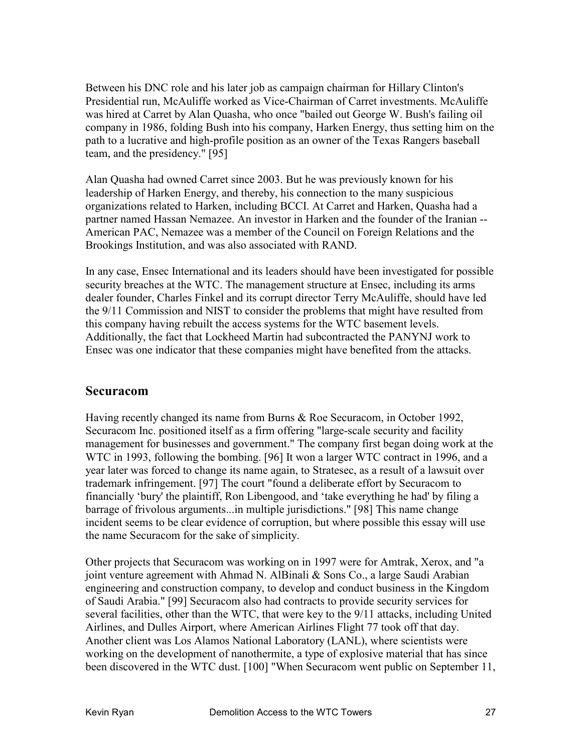Between his DNC role and his later job as campaign chairman for Hillary Clinton's Presidential run, McAuliffe worked as Vice-Chairman of Carret investments. McAuliffe was hired at Carret by Alan Quasha, who once "bailed out George W. Bush's failing oil company in 1986, folding Bush into his company, Harken Energy, thus setting him on the path to a lucrative and high-profile position as an owner of the Texas Rangers baseball team, and the presidency." [95]

Alan Quasha had owned Carret since 2003. But he was previously known for his leadership of Harken Energy, and thereby, his connection to the many suspicious organizations related to Harken, including BCCI. At Carret and Harken, Quasha had a partner named Hassan Nemazee. An investor in Harken and the founder of the Iranian -- American PAC, Nemazee was a member of the Council on Foreign Relations and the Brookings Institution, and was also associated with RAND.

In any case, Ensec International and its leaders should have been investigated for possible security breaches at the WTC. The management structure at Ensec, including its arms dealer founder, Charles Finkel and its corrupt director Terry McAuliffe, should have led the 9/11 Commission and NIST to consider the problems that might have resulted from this company having rebuilt the access systems for the WTC basement levels. Additionally, the fact that Lockheed Martin had subcontracted the PANYNJ work to Ensec was one indicator that these companies might have benefited from the attacks.

#### **Securacom**

Having recently changed its name from Burns & Roe Securacom, in October 1992, Securacom Inc. positioned itself as a firm offering "large-scale security and facility management for businesses and government." The company first began doing work at the WTC in 1993, following the bombing. [96] It won a larger WTC contract in 1996, and a year later was forced to change its name again, to Stratesec, as a result of a lawsuit over trademark infringement. [97] The court "found a deliberate effort by Securacom to financially 'bury' the plaintiff, Ron Libengood, and 'take everything he had' by filing a barrage of frivolous arguments...in multiple jurisdictions." [98] This name change incident seems to be clear evidence of corruption, but where possible this essay will use the name Securacom for the sake of simplicity.

Other projects that Securacom was working on in 1997 were for Amtrak, Xerox, and "a joint venture agreement with Ahmad N. AlBinali & Sons Co., a large Saudi Arabian engineering and construction company, to develop and conduct business in the Kingdom of Saudi Arabia." [99] Securacom also had contracts to provide security services for several facilities, other than the WTC, that were key to the 9/11 attacks, including United Airlines, and Dulles Airport, where American Airlines Flight 77 took off that day. Another client was Los Alamos National Laboratory (LANL), where scientists were working on the development of nanothermite, a type of explosive material that has since been discovered in the WTC dust. [100] "When Securacom went public on September 11,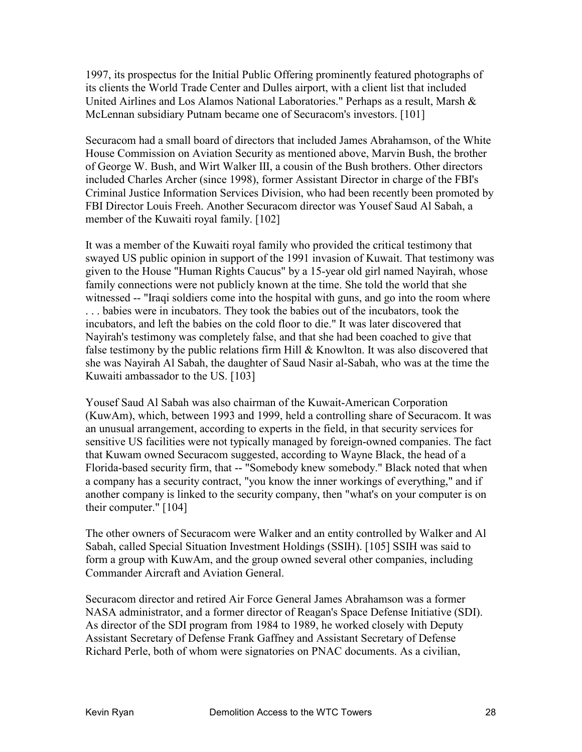1997, its prospectus for the Initial Public Offering prominently featured photographs of its clients the World Trade Center and Dulles airport, with a client list that included United Airlines and Los Alamos National Laboratories." Perhaps as a result, Marsh & McLennan subsidiary Putnam became one of Securacom's investors. [101]

Securacom had a small board of directors that included James Abrahamson, of the White House Commission on Aviation Security as mentioned above, Marvin Bush, the brother of George W. Bush, and Wirt Walker III, a cousin of the Bush brothers. Other directors included Charles Archer (since 1998), former Assistant Director in charge of the FBI's Criminal Justice Information Services Division, who had been recently been promoted by FBI Director Louis Freeh. Another Securacom director was Yousef Saud Al Sabah, a member of the Kuwaiti royal family. [102]

It was a member of the Kuwaiti royal family who provided the critical testimony that swayed US public opinion in support of the 1991 invasion of Kuwait. That testimony was given to the House "Human Rights Caucus" by a 15-year old girl named Nayirah, whose family connections were not publicly known at the time. She told the world that she witnessed -- "Iraqi soldiers come into the hospital with guns, and go into the room where . . . babies were in incubators. They took the babies out of the incubators, took the incubators, and left the babies on the cold floor to die." It was later discovered that Nayirah's testimony was completely false, and that she had been coached to give that false testimony by the public relations firm Hill & Knowlton. It was also discovered that she was Nayirah Al Sabah, the daughter of Saud Nasir al-Sabah, who was at the time the Kuwaiti ambassador to the US. [103]

Yousef Saud Al Sabah was also chairman of the Kuwait-American Corporation (KuwAm), which, between 1993 and 1999, held a controlling share of Securacom. It was an unusual arrangement, according to experts in the field, in that security services for sensitive US facilities were not typically managed by foreign-owned companies. The fact that Kuwam owned Securacom suggested, according to Wayne Black, the head of a Florida-based security firm, that -- "Somebody knew somebody." Black noted that when a company has a security contract, "you know the inner workings of everything," and if another company is linked to the security company, then "what's on your computer is on their computer." [104]

The other owners of Securacom were Walker and an entity controlled by Walker and Al Sabah, called Special Situation Investment Holdings (SSIH). [105] SSIH was said to form a group with KuwAm, and the group owned several other companies, including Commander Aircraft and Aviation General.

Securacom director and retired Air Force General James Abrahamson was a former NASA administrator, and a former director of Reagan's Space Defense Initiative (SDI). As director of the SDI program from 1984 to 1989, he worked closely with Deputy Assistant Secretary of Defense Frank Gaffney and Assistant Secretary of Defense Richard Perle, both of whom were signatories on PNAC documents. As a civilian,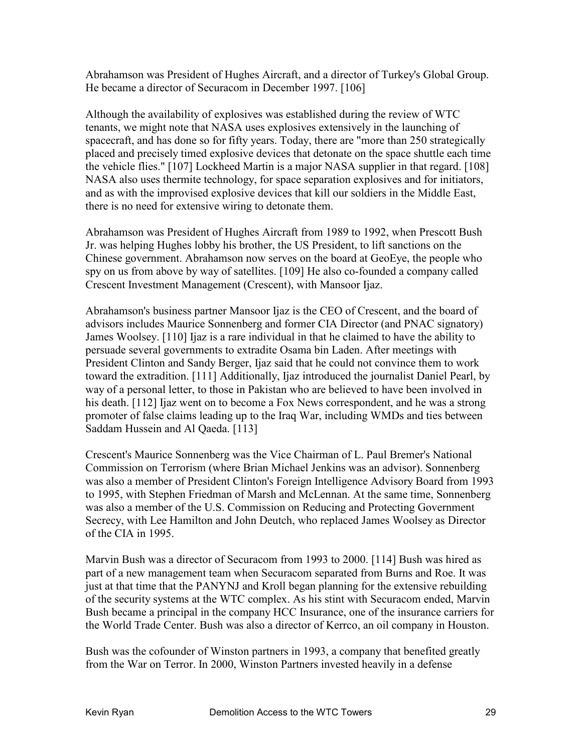Abrahamson was President of Hughes Aircraft, and a director of Turkey's Global Group. He became a director of Securacom in December 1997. [106]

Although the availability of explosives was established during the review of WTC tenants, we might note that NASA uses explosives extensively in the launching of spacecraft, and has done so for fifty years. Today, there are "more than 250 strategically placed and precisely timed explosive devices that detonate on the space shuttle each time the vehicle flies." [107] Lockheed Martin is a major NASA supplier in that regard. [108] NASA also uses thermite technology, for space separation explosives and for initiators, and as with the improvised explosive devices that kill our soldiers in the Middle East, there is no need for extensive wiring to detonate them.

Abrahamson was President of Hughes Aircraft from 1989 to 1992, when Prescott Bush Jr. was helping Hughes lobby his brother, the US President, to lift sanctions on the Chinese government. Abrahamson now serves on the board at GeoEye, the people who spy on us from above by way of satellites. [109] He also co-founded a company called Crescent Investment Management (Crescent), with Mansoor Ijaz.

Abrahamson's business partner Mansoor Ijaz is the CEO of Crescent, and the board of advisors includes Maurice Sonnenberg and former CIA Director (and PNAC signatory) James Woolsey. [110] Ijaz is a rare individual in that he claimed to have the ability to persuade several governments to extradite Osama bin Laden. After meetings with President Clinton and Sandy Berger, Ijaz said that he could not convince them to work toward the extradition. [111] Additionally, Ijaz introduced the journalist Daniel Pearl, by way of a personal letter, to those in Pakistan who are believed to have been involved in his death. [112] Ijaz went on to become a Fox News correspondent, and he was a strong promoter of false claims leading up to the Iraq War, including WMDs and ties between Saddam Hussein and Al Qaeda. [113]

Crescent's Maurice Sonnenberg was the Vice Chairman of L. Paul Bremer's National Commission on Terrorism (where Brian Michael Jenkins was an advisor). Sonnenberg was also a member of President Clinton's Foreign Intelligence Advisory Board from 1993 to 1995, with Stephen Friedman of Marsh and McLennan. At the same time, Sonnenberg was also a member of the U.S. Commission on Reducing and Protecting Government Secrecy, with Lee Hamilton and John Deutch, who replaced James Woolsey as Director of the CIA in 1995.

Marvin Bush was a director of Securacom from 1993 to 2000. [114] Bush was hired as part of a new management team when Securacom separated from Burns and Roe. It was just at that time that the PANYNJ and Kroll began planning for the extensive rebuilding of the security systems at the WTC complex. As his stint with Securacom ended, Marvin Bush became a principal in the company HCC Insurance, one of the insurance carriers for the World Trade Center. Bush was also a director of Kerrco, an oil company in Houston.

Bush was the cofounder of Winston partners in 1993, a company that benefited greatly from the War on Terror. In 2000, Winston Partners invested heavily in a defense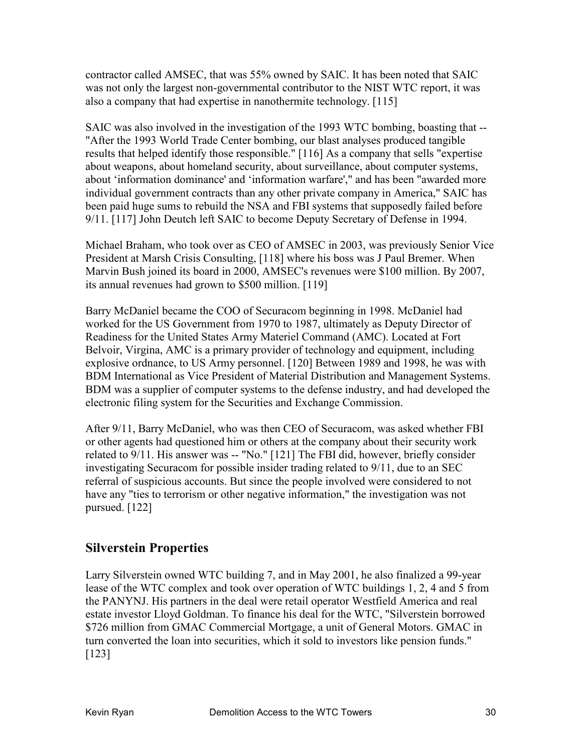contractor called AMSEC, that was 55% owned by SAIC. It has been noted that SAIC was not only the largest non-governmental contributor to the NIST WTC report, it was also a company that had expertise in nanothermite technology. [115]

SAIC was also involved in the investigation of the 1993 WTC bombing, boasting that -- "After the 1993 World Trade Center bombing, our blast analyses produced tangible results that helped identify those responsible." [116] As a company that sells "expertise about weapons, about homeland security, about surveillance, about computer systems, about 'information dominance' and 'information warfare'," and has been "awarded more individual government contracts than any other private company in America," SAIC has been paid huge sums to rebuild the NSA and FBI systems that supposedly failed before 9/11. [117] John Deutch left SAIC to become Deputy Secretary of Defense in 1994.

Michael Braham, who took over as CEO of AMSEC in 2003, was previously Senior Vice President at Marsh Crisis Consulting, [118] where his boss was J Paul Bremer. When Marvin Bush joined its board in 2000, AMSEC's revenues were \$100 million. By 2007, its annual revenues had grown to \$500 million. [119]

Barry McDaniel became the COO of Securacom beginning in 1998. McDaniel had worked for the US Government from 1970 to 1987, ultimately as Deputy Director of Readiness for the United States Army Materiel Command (AMC). Located at Fort Belvoir, Virgina, AMC is a primary provider of technology and equipment, including explosive ordnance, to US Army personnel. [120] Between 1989 and 1998, he was with BDM International as Vice President of Material Distribution and Management Systems. BDM was a supplier of computer systems to the defense industry, and had developed the electronic filing system for the Securities and Exchange Commission.

After 9/11, Barry McDaniel, who was then CEO of Securacom, was asked whether FBI or other agents had questioned him or others at the company about their security work related to 9/11. His answer was -- "No." [121] The FBI did, however, briefly consider investigating Securacom for possible insider trading related to 9/11, due to an SEC referral of suspicious accounts. But since the people involved were considered to not have any "ties to terrorism or other negative information," the investigation was not pursued. [122]

## **Silverstein Properties**

Larry Silverstein owned WTC building 7, and in May 2001, he also finalized a 99-year lease of the WTC complex and took over operation of WTC buildings 1, 2, 4 and 5 from the PANYNJ. His partners in the deal were retail operator Westfield America and real estate investor Lloyd Goldman. To finance his deal for the WTC, "Silverstein borrowed \$726 million from GMAC Commercial Mortgage, a unit of General Motors. GMAC in turn converted the loan into securities, which it sold to investors like pension funds." [123]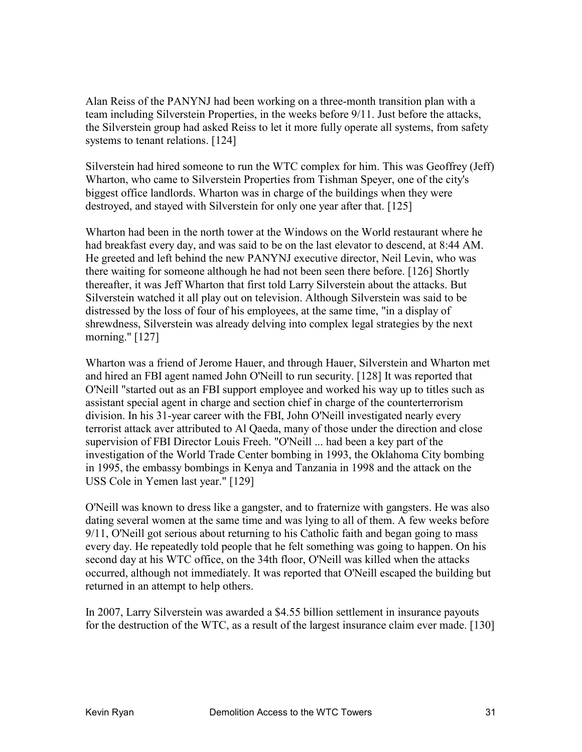Alan Reiss of the PANYNJ had been working on a three-month transition plan with a team including Silverstein Properties, in the weeks before 9/11. Just before the attacks, the Silverstein group had asked Reiss to let it more fully operate all systems, from safety systems to tenant relations. [124]

Silverstein had hired someone to run the WTC complex for him. This was Geoffrey (Jeff) Wharton, who came to Silverstein Properties from Tishman Speyer, one of the city's biggest office landlords. Wharton was in charge of the buildings when they were destroyed, and stayed with Silverstein for only one year after that. [125]

Wharton had been in the north tower at the Windows on the World restaurant where he had breakfast every day, and was said to be on the last elevator to descend, at 8:44 AM. He greeted and left behind the new PANYNJ executive director, Neil Levin, who was there waiting for someone although he had not been seen there before. [126] Shortly thereafter, it was Jeff Wharton that first told Larry Silverstein about the attacks. But Silverstein watched it all play out on television. Although Silverstein was said to be distressed by the loss of four of his employees, at the same time, "in a display of shrewdness, Silverstein was already delving into complex legal strategies by the next morning." [127]

Wharton was a friend of Jerome Hauer, and through Hauer, Silverstein and Wharton met and hired an FBI agent named John O'Neill to run security. [128] It was reported that O'Neill "started out as an FBI support employee and worked his way up to titles such as assistant special agent in charge and section chief in charge of the counterterrorism division. In his 31-year career with the FBI, John O'Neill investigated nearly every terrorist attack aver attributed to Al Qaeda, many of those under the direction and close supervision of FBI Director Louis Freeh. "O'Neill ... had been a key part of the investigation of the World Trade Center bombing in 1993, the Oklahoma City bombing in 1995, the embassy bombings in Kenya and Tanzania in 1998 and the attack on the USS Cole in Yemen last year." [129]

O'Neill was known to dress like a gangster, and to fraternize with gangsters. He was also dating several women at the same time and was lying to all of them. A few weeks before 9/11, O'Neill got serious about returning to his Catholic faith and began going to mass every day. He repeatedly told people that he felt something was going to happen. On his second day at his WTC office, on the 34th floor, O'Neill was killed when the attacks occurred, although not immediately. It was reported that O'Neill escaped the building but returned in an attempt to help others.

In 2007, Larry Silverstein was awarded a \$4.55 billion settlement in insurance payouts for the destruction of the WTC, as a result of the largest insurance claim ever made. [130]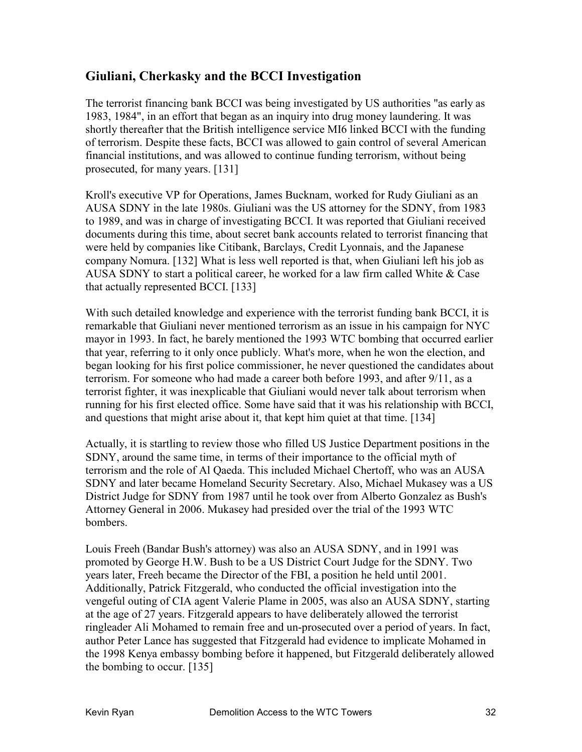## **Giuliani, Cherkasky and the BCCI Investigation**

The terrorist financing bank BCCI was being investigated by US authorities "as early as 1983, 1984", in an effort that began as an inquiry into drug money laundering. It was shortly thereafter that the British intelligence service MI6 linked BCCI with the funding of terrorism. Despite these facts, BCCI was allowed to gain control of several American financial institutions, and was allowed to continue funding terrorism, without being prosecuted, for many years. [131]

Kroll's executive VP for Operations, James Bucknam, worked for Rudy Giuliani as an AUSA SDNY in the late 1980s. Giuliani was the US attorney for the SDNY, from 1983 to 1989, and was in charge of investigating BCCI. It was reported that Giuliani received documents during this time, about secret bank accounts related to terrorist financing that were held by companies like Citibank, Barclays, Credit Lyonnais, and the Japanese company Nomura. [132] What is less well reported is that, when Giuliani left his job as AUSA SDNY to start a political career, he worked for a law firm called White & Case that actually represented BCCI. [133]

With such detailed knowledge and experience with the terrorist funding bank BCCI, it is remarkable that Giuliani never mentioned terrorism as an issue in his campaign for NYC mayor in 1993. In fact, he barely mentioned the 1993 WTC bombing that occurred earlier that year, referring to it only once publicly. What's more, when he won the election, and began looking for his first police commissioner, he never questioned the candidates about terrorism. For someone who had made a career both before 1993, and after 9/11, as a terrorist fighter, it was inexplicable that Giuliani would never talk about terrorism when running for his first elected office. Some have said that it was his relationship with BCCI, and questions that might arise about it, that kept him quiet at that time. [134]

Actually, it is startling to review those who filled US Justice Department positions in the SDNY, around the same time, in terms of their importance to the official myth of terrorism and the role of Al Qaeda. This included Michael Chertoff, who was an AUSA SDNY and later became Homeland Security Secretary. Also, Michael Mukasey was a US District Judge for SDNY from 1987 until he took over from Alberto Gonzalez as Bush's Attorney General in 2006. Mukasey had presided over the trial of the 1993 WTC bombers.

Louis Freeh (Bandar Bush's attorney) was also an AUSA SDNY, and in 1991 was promoted by George H.W. Bush to be a US District Court Judge for the SDNY. Two years later, Freeh became the Director of the FBI, a position he held until 2001. Additionally, Patrick Fitzgerald, who conducted the official investigation into the vengeful outing of CIA agent Valerie Plame in 2005, was also an AUSA SDNY, starting at the age of 27 years. Fitzgerald appears to have deliberately allowed the terrorist ringleader Ali Mohamed to remain free and un-prosecuted over a period of years. In fact, author Peter Lance has suggested that Fitzgerald had evidence to implicate Mohamed in the 1998 Kenya embassy bombing before it happened, but Fitzgerald deliberately allowed the bombing to occur. [135]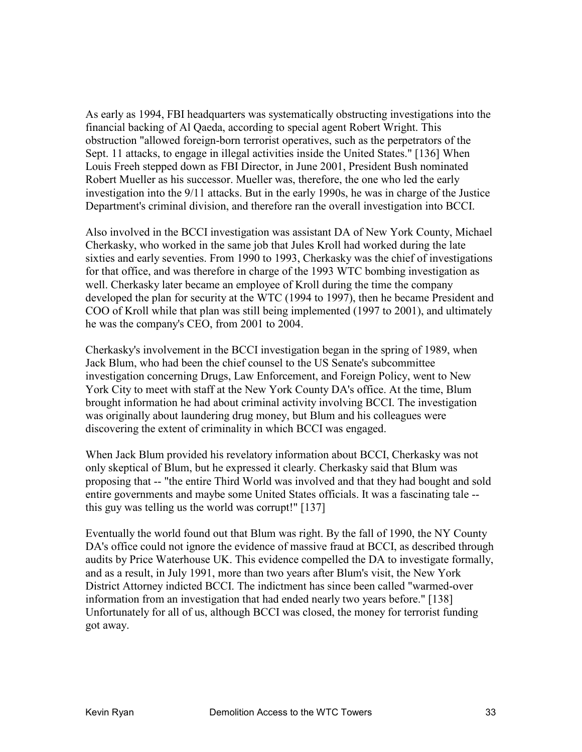As early as 1994, FBI headquarters was systematically obstructing investigations into the financial backing of Al Qaeda, according to special agent Robert Wright. This obstruction "allowed foreign-born terrorist operatives, such as the perpetrators of the Sept. 11 attacks, to engage in illegal activities inside the United States." [136] When Louis Freeh stepped down as FBI Director, in June 2001, President Bush nominated Robert Mueller as his successor. Mueller was, therefore, the one who led the early investigation into the 9/11 attacks. But in the early 1990s, he was in charge of the Justice Department's criminal division, and therefore ran the overall investigation into BCCI.

Also involved in the BCCI investigation was assistant DA of New York County, Michael Cherkasky, who worked in the same job that Jules Kroll had worked during the late sixties and early seventies. From 1990 to 1993, Cherkasky was the chief of investigations for that office, and was therefore in charge of the 1993 WTC bombing investigation as well. Cherkasky later became an employee of Kroll during the time the company developed the plan for security at the WTC (1994 to 1997), then he became President and COO of Kroll while that plan was still being implemented (1997 to 2001), and ultimately he was the company's CEO, from 2001 to 2004.

Cherkasky's involvement in the BCCI investigation began in the spring of 1989, when Jack Blum, who had been the chief counsel to the US Senate's subcommittee investigation concerning Drugs, Law Enforcement, and Foreign Policy, went to New York City to meet with staff at the New York County DA's office. At the time, Blum brought information he had about criminal activity involving BCCI. The investigation was originally about laundering drug money, but Blum and his colleagues were discovering the extent of criminality in which BCCI was engaged.

When Jack Blum provided his revelatory information about BCCI, Cherkasky was not only skeptical of Blum, but he expressed it clearly. Cherkasky said that Blum was proposing that -- "the entire Third World was involved and that they had bought and sold entire governments and maybe some United States officials. It was a fascinating tale - this guy was telling us the world was corrupt!" [137]

Eventually the world found out that Blum was right. By the fall of 1990, the NY County DA's office could not ignore the evidence of massive fraud at BCCI, as described through audits by Price Waterhouse UK. This evidence compelled the DA to investigate formally, and as a result, in July 1991, more than two years after Blum's visit, the New York District Attorney indicted BCCI. The indictment has since been called "warmed-over information from an investigation that had ended nearly two years before." [138] Unfortunately for all of us, although BCCI was closed, the money for terrorist funding got away.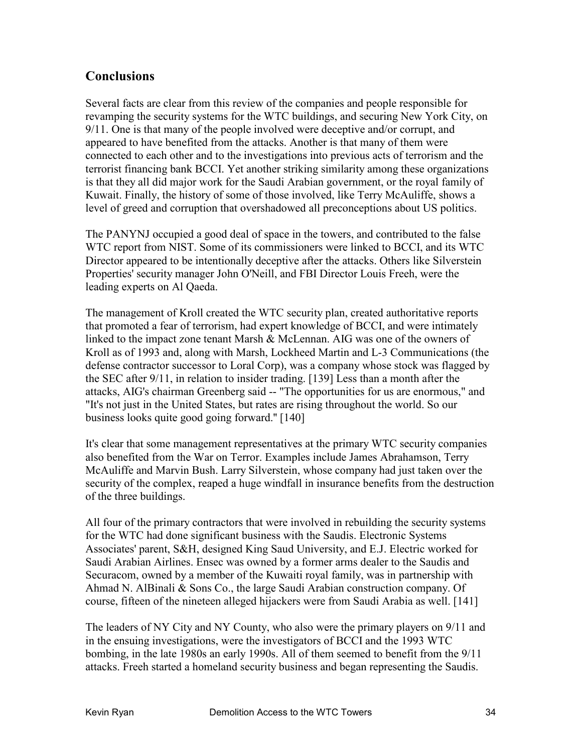## **Conclusions**

Several facts are clear from this review of the companies and people responsible for revamping the security systems for the WTC buildings, and securing New York City, on 9/11. One is that many of the people involved were deceptive and/or corrupt, and appeared to have benefited from the attacks. Another is that many of them were connected to each other and to the investigations into previous acts of terrorism and the terrorist financing bank BCCI. Yet another striking similarity among these organizations is that they all did major work for the Saudi Arabian government, or the royal family of Kuwait. Finally, the history of some of those involved, like Terry McAuliffe, shows a level of greed and corruption that overshadowed all preconceptions about US politics.

The PANYNJ occupied a good deal of space in the towers, and contributed to the false WTC report from NIST. Some of its commissioners were linked to BCCI, and its WTC Director appeared to be intentionally deceptive after the attacks. Others like Silverstein Properties' security manager John O'Neill, and FBI Director Louis Freeh, were the leading experts on Al Qaeda.

The management of Kroll created the WTC security plan, created authoritative reports that promoted a fear of terrorism, had expert knowledge of BCCI, and were intimately linked to the impact zone tenant Marsh & McLennan. AIG was one of the owners of Kroll as of 1993 and, along with Marsh, Lockheed Martin and L-3 Communications (the defense contractor successor to Loral Corp), was a company whose stock was flagged by the SEC after 9/11, in relation to insider trading. [139] Less than a month after the attacks, AIG's chairman Greenberg said -- "The opportunities for us are enormous," and "It's not just in the United States, but rates are rising throughout the world. So our business looks quite good going forward.'' [140]

It's clear that some management representatives at the primary WTC security companies also benefited from the War on Terror. Examples include James Abrahamson, Terry McAuliffe and Marvin Bush. Larry Silverstein, whose company had just taken over the security of the complex, reaped a huge windfall in insurance benefits from the destruction of the three buildings.

All four of the primary contractors that were involved in rebuilding the security systems for the WTC had done significant business with the Saudis. Electronic Systems Associates' parent, S&H, designed King Saud University, and E.J. Electric worked for Saudi Arabian Airlines. Ensec was owned by a former arms dealer to the Saudis and Securacom, owned by a member of the Kuwaiti royal family, was in partnership with Ahmad N. AlBinali & Sons Co., the large Saudi Arabian construction company. Of course, fifteen of the nineteen alleged hijackers were from Saudi Arabia as well. [141]

The leaders of NY City and NY County, who also were the primary players on 9/11 and in the ensuing investigations, were the investigators of BCCI and the 1993 WTC bombing, in the late 1980s an early 1990s. All of them seemed to benefit from the 9/11 attacks. Freeh started a homeland security business and began representing the Saudis.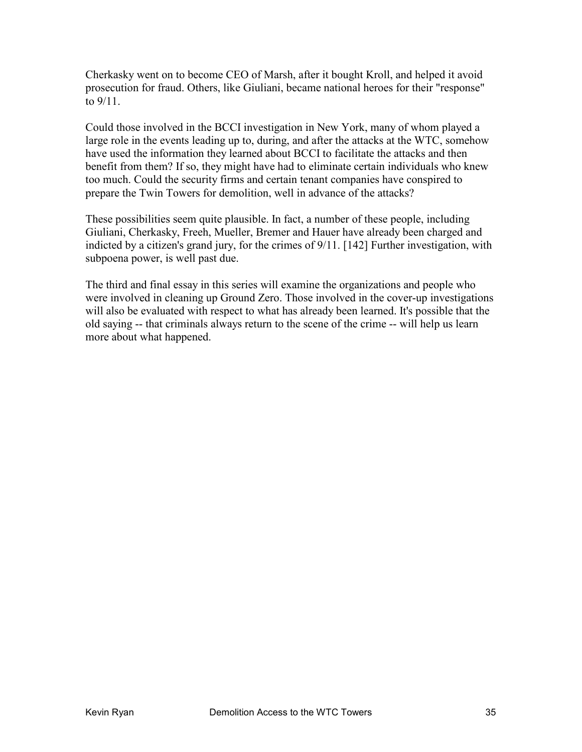Cherkasky went on to become CEO of Marsh, after it bought Kroll, and helped it avoid prosecution for fraud. Others, like Giuliani, became national heroes for their "response" to 9/11.

Could those involved in the BCCI investigation in New York, many of whom played a large role in the events leading up to, during, and after the attacks at the WTC, somehow have used the information they learned about BCCI to facilitate the attacks and then benefit from them? If so, they might have had to eliminate certain individuals who knew too much. Could the security firms and certain tenant companies have conspired to prepare the Twin Towers for demolition, well in advance of the attacks?

These possibilities seem quite plausible. In fact, a number of these people, including Giuliani, Cherkasky, Freeh, Mueller, Bremer and Hauer have already been charged and indicted by a citizen's grand jury, for the crimes of 9/11. [142] Further investigation, with subpoena power, is well past due.

The third and final essay in this series will examine the organizations and people who were involved in cleaning up Ground Zero. Those involved in the cover-up investigations will also be evaluated with respect to what has already been learned. It's possible that the old saying -- that criminals always return to the scene of the crime -- will help us learn more about what happened.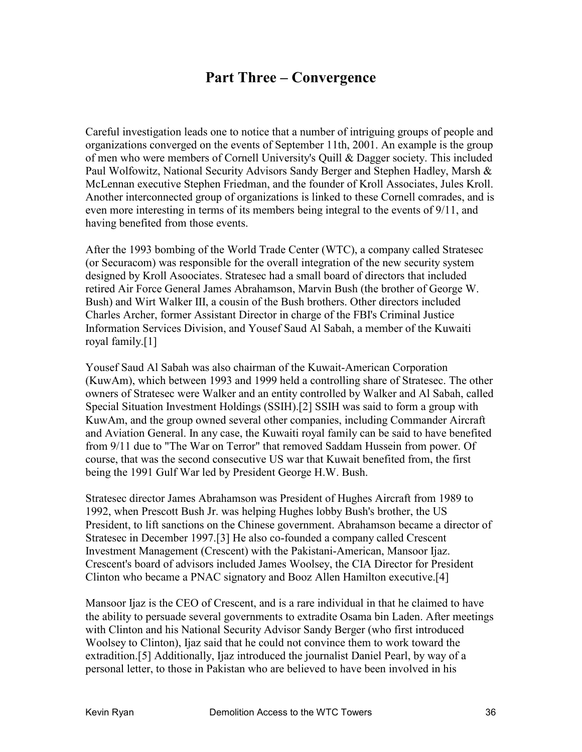## **Part Three – Convergence**

Careful investigation leads one to notice that a number of intriguing groups of people and organizations converged on the events of September 11th, 2001. An example is the group of men who were members of Cornell University's Quill & Dagger society. This included Paul Wolfowitz, National Security Advisors Sandy Berger and Stephen Hadley, Marsh & McLennan executive Stephen Friedman, and the founder of Kroll Associates, Jules Kroll. Another interconnected group of organizations is linked to these Cornell comrades, and is even more interesting in terms of its members being integral to the events of 9/11, and having benefited from those events.

After the 1993 bombing of the World Trade Center (WTC), a company called Stratesec (or Securacom) was responsible for the overall integration of the new security system designed by Kroll Asoociates. Stratesec had a small board of directors that included retired Air Force General James Abrahamson, Marvin Bush (the brother of George W. Bush) and Wirt Walker III, a cousin of the Bush brothers. Other directors included Charles Archer, former Assistant Director in charge of the FBI's Criminal Justice Information Services Division, and Yousef Saud Al Sabah, a member of the Kuwaiti royal family.[1]

Yousef Saud Al Sabah was also chairman of the Kuwait-American Corporation (KuwAm), which between 1993 and 1999 held a controlling share of Stratesec. The other owners of Stratesec were Walker and an entity controlled by Walker and Al Sabah, called Special Situation Investment Holdings (SSIH).[2] SSIH was said to form a group with KuwAm, and the group owned several other companies, including Commander Aircraft and Aviation General. In any case, the Kuwaiti royal family can be said to have benefited from 9/11 due to "The War on Terror" that removed Saddam Hussein from power. Of course, that was the second consecutive US war that Kuwait benefited from, the first being the 1991 Gulf War led by President George H.W. Bush.

Stratesec director James Abrahamson was President of Hughes Aircraft from 1989 to 1992, when Prescott Bush Jr. was helping Hughes lobby Bush's brother, the US President, to lift sanctions on the Chinese government. Abrahamson became a director of Stratesec in December 1997.[3] He also co-founded a company called Crescent Investment Management (Crescent) with the Pakistani-American, Mansoor Ijaz. Crescent's board of advisors included James Woolsey, the CIA Director for President Clinton who became a PNAC signatory and Booz Allen Hamilton executive.[4]

Mansoor Ijaz is the CEO of Crescent, and is a rare individual in that he claimed to have the ability to persuade several governments to extradite Osama bin Laden. After meetings with Clinton and his National Security Advisor Sandy Berger (who first introduced Woolsey to Clinton), Ijaz said that he could not convince them to work toward the extradition.[5] Additionally, Ijaz introduced the journalist Daniel Pearl, by way of a personal letter, to those in Pakistan who are believed to have been involved in his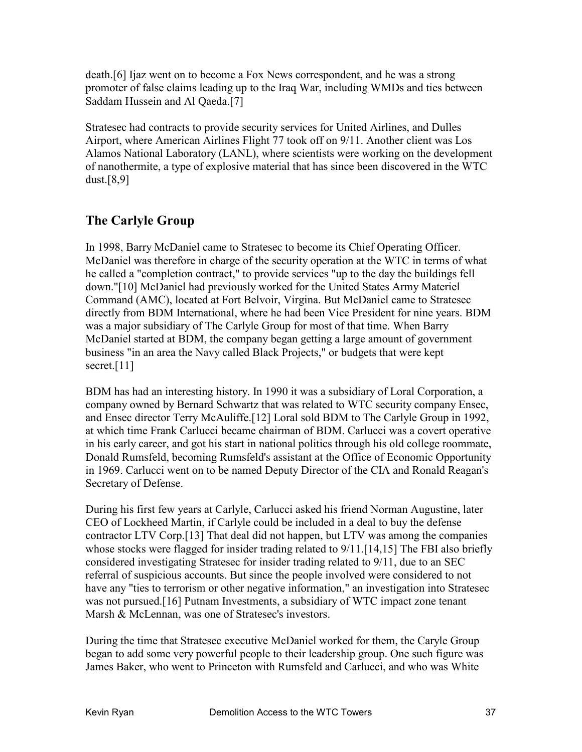death.[6] Ijaz went on to become a Fox News correspondent, and he was a strong promoter of false claims leading up to the Iraq War, including WMDs and ties between Saddam Hussein and Al Qaeda.[7]

Stratesec had contracts to provide security services for United Airlines, and Dulles Airport, where American Airlines Flight 77 took off on 9/11. Another client was Los Alamos National Laboratory (LANL), where scientists were working on the development of nanothermite, a type of explosive material that has since been discovered in the WTC dust.[8,9]

## **The Carlyle Group**

In 1998, Barry McDaniel came to Stratesec to become its Chief Operating Officer. McDaniel was therefore in charge of the security operation at the WTC in terms of what he called a "completion contract," to provide services "up to the day the buildings fell down."[10] McDaniel had previously worked for the United States Army Materiel Command (AMC), located at Fort Belvoir, Virgina. But McDaniel came to Stratesec directly from BDM International, where he had been Vice President for nine years. BDM was a major subsidiary of The Carlyle Group for most of that time. When Barry McDaniel started at BDM, the company began getting a large amount of government business "in an area the Navy called Black Projects," or budgets that were kept secret.<sup>[11]</sup>

BDM has had an interesting history. In 1990 it was a subsidiary of Loral Corporation, a company owned by Bernard Schwartz that was related to WTC security company Ensec, and Ensec director Terry McAuliffe.[12] Loral sold BDM to The Carlyle Group in 1992, at which time Frank Carlucci became chairman of BDM. Carlucci was a covert operative in his early career, and got his start in national politics through his old college roommate, Donald Rumsfeld, becoming Rumsfeld's assistant at the Office of Economic Opportunity in 1969. Carlucci went on to be named Deputy Director of the CIA and Ronald Reagan's Secretary of Defense.

During his first few years at Carlyle, Carlucci asked his friend Norman Augustine, later CEO of Lockheed Martin, if Carlyle could be included in a deal to buy the defense contractor LTV Corp.[13] That deal did not happen, but LTV was among the companies whose stocks were flagged for insider trading related to 9/11.[14,15] The FBI also briefly considered investigating Stratesec for insider trading related to 9/11, due to an SEC referral of suspicious accounts. But since the people involved were considered to not have any "ties to terrorism or other negative information," an investigation into Stratesec was not pursued.[16] Putnam Investments, a subsidiary of WTC impact zone tenant Marsh & McLennan, was one of Stratesec's investors.

During the time that Stratesec executive McDaniel worked for them, the Caryle Group began to add some very powerful people to their leadership group. One such figure was James Baker, who went to Princeton with Rumsfeld and Carlucci, and who was White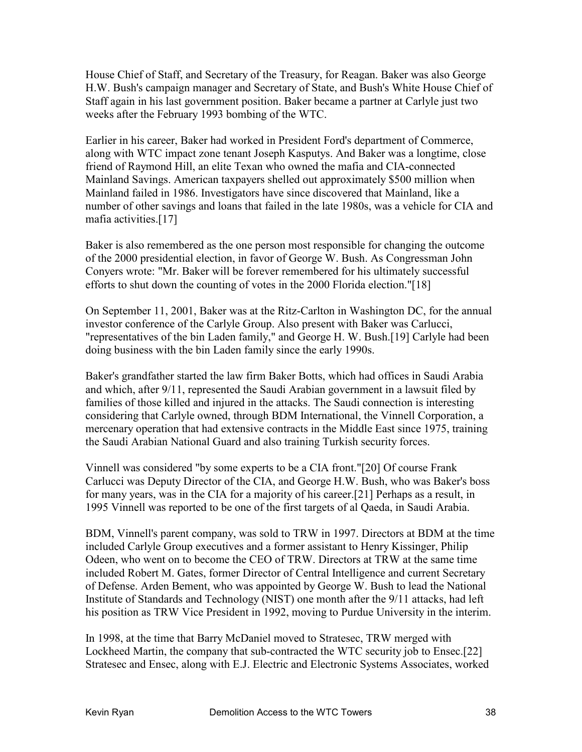House Chief of Staff, and Secretary of the Treasury, for Reagan. Baker was also George H.W. Bush's campaign manager and Secretary of State, and Bush's White House Chief of Staff again in his last government position. Baker became a partner at Carlyle just two weeks after the February 1993 bombing of the WTC.

Earlier in his career, Baker had worked in President Ford's department of Commerce, along with WTC impact zone tenant Joseph Kasputys. And Baker was a longtime, close friend of Raymond Hill, an elite Texan who owned the mafia and CIA-connected Mainland Savings. American taxpayers shelled out approximately \$500 million when Mainland failed in 1986. Investigators have since discovered that Mainland, like a number of other savings and loans that failed in the late 1980s, was a vehicle for CIA and mafia activities.[17]

Baker is also remembered as the one person most responsible for changing the outcome of the 2000 presidential election, in favor of George W. Bush. As Congressman John Conyers wrote: "Mr. Baker will be forever remembered for his ultimately successful efforts to shut down the counting of votes in the 2000 Florida election."[18]

On September 11, 2001, Baker was at the Ritz-Carlton in Washington DC, for the annual investor conference of the Carlyle Group. Also present with Baker was Carlucci, "representatives of the bin Laden family," and George H. W. Bush.[19] Carlyle had been doing business with the bin Laden family since the early 1990s.

Baker's grandfather started the law firm Baker Botts, which had offices in Saudi Arabia and which, after 9/11, represented the Saudi Arabian government in a lawsuit filed by families of those killed and injured in the attacks. The Saudi connection is interesting considering that Carlyle owned, through BDM International, the Vinnell Corporation, a mercenary operation that had extensive contracts in the Middle East since 1975, training the Saudi Arabian National Guard and also training Turkish security forces.

Vinnell was considered "by some experts to be a CIA front."[20] Of course Frank Carlucci was Deputy Director of the CIA, and George H.W. Bush, who was Baker's boss for many years, was in the CIA for a majority of his career.[21] Perhaps as a result, in 1995 Vinnell was reported to be one of the first targets of al Qaeda, in Saudi Arabia.

BDM, Vinnell's parent company, was sold to TRW in 1997. Directors at BDM at the time included Carlyle Group executives and a former assistant to Henry Kissinger, Philip Odeen, who went on to become the CEO of TRW. Directors at TRW at the same time included Robert M. Gates, former Director of Central Intelligence and current Secretary of Defense. Arden Bement, who was appointed by George W. Bush to lead the National Institute of Standards and Technology (NIST) one month after the 9/11 attacks, had left his position as TRW Vice President in 1992, moving to Purdue University in the interim.

In 1998, at the time that Barry McDaniel moved to Stratesec, TRW merged with Lockheed Martin, the company that sub-contracted the WTC security job to Ensec.[22] Stratesec and Ensec, along with E.J. Electric and Electronic Systems Associates, worked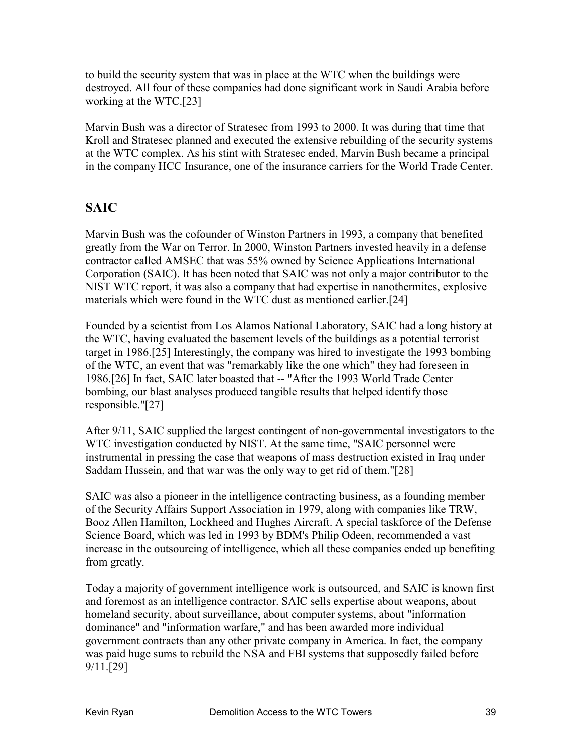to build the security system that was in place at the WTC when the buildings were destroyed. All four of these companies had done significant work in Saudi Arabia before working at the WTC.[23]

Marvin Bush was a director of Stratesec from 1993 to 2000. It was during that time that Kroll and Stratesec planned and executed the extensive rebuilding of the security systems at the WTC complex. As his stint with Stratesec ended, Marvin Bush became a principal in the company HCC Insurance, one of the insurance carriers for the World Trade Center.

## **SAIC**

Marvin Bush was the cofounder of Winston Partners in 1993, a company that benefited greatly from the War on Terror. In 2000, Winston Partners invested heavily in a defense contractor called AMSEC that was 55% owned by Science Applications International Corporation (SAIC). It has been noted that SAIC was not only a major contributor to the NIST WTC report, it was also a company that had expertise in nanothermites, explosive materials which were found in the WTC dust as mentioned earlier.[24]

Founded by a scientist from Los Alamos National Laboratory, SAIC had a long history at the WTC, having evaluated the basement levels of the buildings as a potential terrorist target in 1986.[25] Interestingly, the company was hired to investigate the 1993 bombing of the WTC, an event that was "remarkably like the one which" they had foreseen in 1986.[26] In fact, SAIC later boasted that -- "After the 1993 World Trade Center bombing, our blast analyses produced tangible results that helped identify those responsible."[27]

After 9/11, SAIC supplied the largest contingent of non-governmental investigators to the WTC investigation conducted by NIST. At the same time, "SAIC personnel were instrumental in pressing the case that weapons of mass destruction existed in Iraq under Saddam Hussein, and that war was the only way to get rid of them."[28]

SAIC was also a pioneer in the intelligence contracting business, as a founding member of the Security Affairs Support Association in 1979, along with companies like TRW, Booz Allen Hamilton, Lockheed and Hughes Aircraft. A special taskforce of the Defense Science Board, which was led in 1993 by BDM's Philip Odeen, recommended a vast increase in the outsourcing of intelligence, which all these companies ended up benefiting from greatly.

Today a majority of government intelligence work is outsourced, and SAIC is known first and foremost as an intelligence contractor. SAIC sells expertise about weapons, about homeland security, about surveillance, about computer systems, about "information dominance" and "information warfare," and has been awarded more individual government contracts than any other private company in America. In fact, the company was paid huge sums to rebuild the NSA and FBI systems that supposedly failed before 9/11.[29]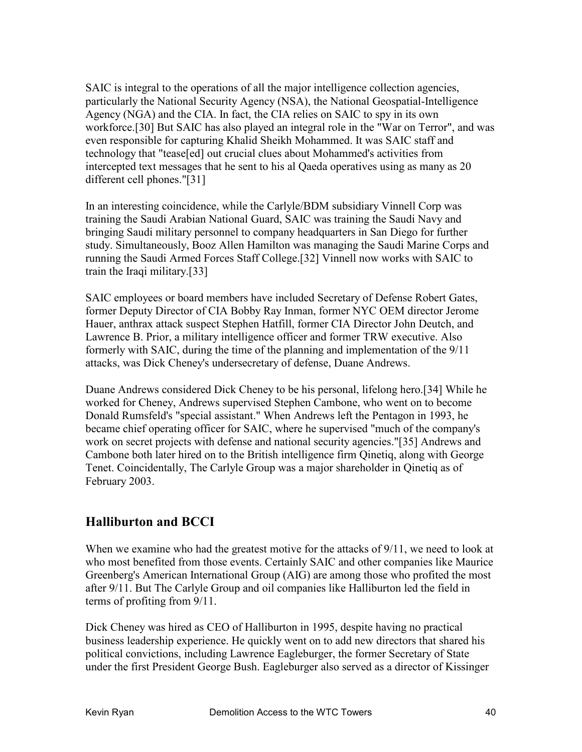SAIC is integral to the operations of all the major intelligence collection agencies, particularly the National Security Agency (NSA), the National Geospatial-Intelligence Agency (NGA) and the CIA. In fact, the CIA relies on SAIC to spy in its own workforce.[30] But SAIC has also played an integral role in the "War on Terror", and was even responsible for capturing Khalid Sheikh Mohammed. It was SAIC staff and technology that "tease[ed] out crucial clues about Mohammed's activities from intercepted text messages that he sent to his al Qaeda operatives using as many as 20 different cell phones."[31]

In an interesting coincidence, while the Carlyle/BDM subsidiary Vinnell Corp was training the Saudi Arabian National Guard, SAIC was training the Saudi Navy and bringing Saudi military personnel to company headquarters in San Diego for further study. Simultaneously, Booz Allen Hamilton was managing the Saudi Marine Corps and running the Saudi Armed Forces Staff College.[32] Vinnell now works with SAIC to train the Iraqi military.[33]

SAIC employees or board members have included Secretary of Defense Robert Gates, former Deputy Director of CIA Bobby Ray Inman, former NYC OEM director Jerome Hauer, anthrax attack suspect Stephen Hatfill, former CIA Director John Deutch, and Lawrence B. Prior, a military intelligence officer and former TRW executive. Also formerly with SAIC, during the time of the planning and implementation of the 9/11 attacks, was Dick Cheney's undersecretary of defense, Duane Andrews.

Duane Andrews considered Dick Cheney to be his personal, lifelong hero.[34] While he worked for Cheney, Andrews supervised Stephen Cambone, who went on to become Donald Rumsfeld's "special assistant." When Andrews left the Pentagon in 1993, he became chief operating officer for SAIC, where he supervised "much of the company's work on secret projects with defense and national security agencies."[35] Andrews and Cambone both later hired on to the British intelligence firm Qinetiq, along with George Tenet. Coincidentally, The Carlyle Group was a major shareholder in Qinetiq as of February 2003.

## **Halliburton and BCCI**

When we examine who had the greatest motive for the attacks of  $9/11$ , we need to look at who most benefited from those events. Certainly SAIC and other companies like Maurice Greenberg's American International Group (AIG) are among those who profited the most after 9/11. But The Carlyle Group and oil companies like Halliburton led the field in terms of profiting from 9/11.

Dick Cheney was hired as CEO of Halliburton in 1995, despite having no practical business leadership experience. He quickly went on to add new directors that shared his political convictions, including Lawrence Eagleburger, the former Secretary of State under the first President George Bush. Eagleburger also served as a director of Kissinger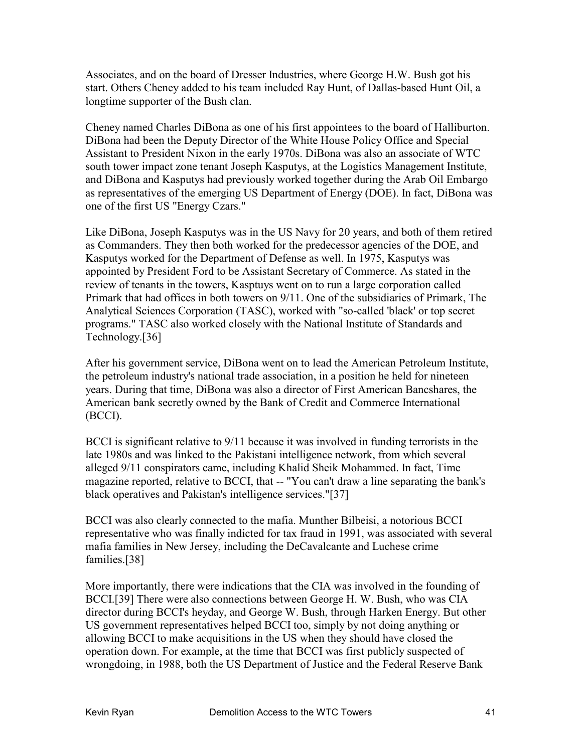Associates, and on the board of Dresser Industries, where George H.W. Bush got his start. Others Cheney added to his team included Ray Hunt, of Dallas-based Hunt Oil, a longtime supporter of the Bush clan.

Cheney named Charles DiBona as one of his first appointees to the board of Halliburton. DiBona had been the Deputy Director of the White House Policy Office and Special Assistant to President Nixon in the early 1970s. DiBona was also an associate of WTC south tower impact zone tenant Joseph Kasputys, at the Logistics Management Institute, and DiBona and Kasputys had previously worked together during the Arab Oil Embargo as representatives of the emerging US Department of Energy (DOE). In fact, DiBona was one of the first US "Energy Czars."

Like DiBona, Joseph Kasputys was in the US Navy for 20 years, and both of them retired as Commanders. They then both worked for the predecessor agencies of the DOE, and Kasputys worked for the Department of Defense as well. In 1975, Kasputys was appointed by President Ford to be Assistant Secretary of Commerce. As stated in the review of tenants in the towers, Kasptuys went on to run a large corporation called Primark that had offices in both towers on 9/11. One of the subsidiaries of Primark, The Analytical Sciences Corporation (TASC), worked with "so-called 'black' or top secret programs." TASC also worked closely with the National Institute of Standards and Technology.[36]

After his government service, DiBona went on to lead the American Petroleum Institute, the petroleum industry's national trade association, in a position he held for nineteen years. During that time, DiBona was also a director of First American Bancshares, the American bank secretly owned by the Bank of Credit and Commerce International (BCCI).

BCCI is significant relative to 9/11 because it was involved in funding terrorists in the late 1980s and was linked to the Pakistani intelligence network, from which several alleged 9/11 conspirators came, including Khalid Sheik Mohammed. In fact, Time magazine reported, relative to BCCI, that -- "You can't draw a line separating the bank's black operatives and Pakistan's intelligence services."[37]

BCCI was also clearly connected to the mafia. Munther Bilbeisi, a notorious BCCI representative who was finally indicted for tax fraud in 1991, was associated with several mafia families in New Jersey, including the DeCavalcante and Luchese crime families.[38]

More importantly, there were indications that the CIA was involved in the founding of BCCI.[39] There were also connections between George H. W. Bush, who was CIA director during BCCI's heyday, and George W. Bush, through Harken Energy. But other US government representatives helped BCCI too, simply by not doing anything or allowing BCCI to make acquisitions in the US when they should have closed the operation down. For example, at the time that BCCI was first publicly suspected of wrongdoing, in 1988, both the US Department of Justice and the Federal Reserve Bank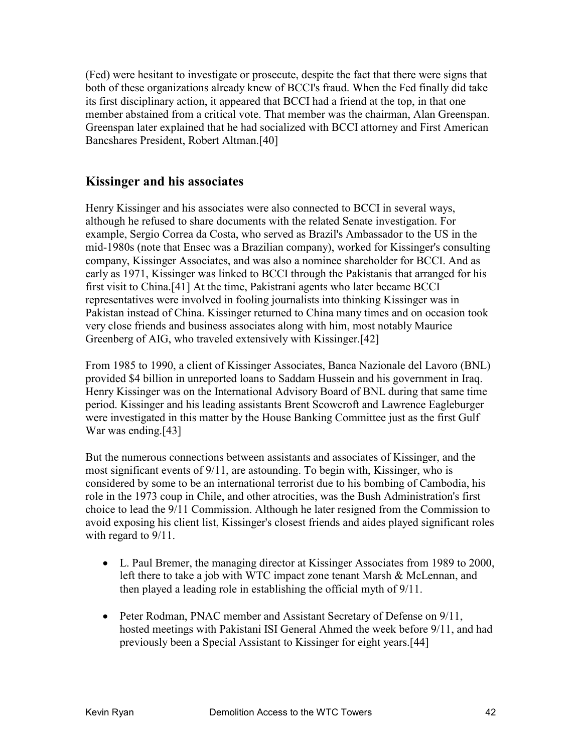(Fed) were hesitant to investigate or prosecute, despite the fact that there were signs that both of these organizations already knew of BCCI's fraud. When the Fed finally did take its first disciplinary action, it appeared that BCCI had a friend at the top, in that one member abstained from a critical vote. That member was the chairman, Alan Greenspan. Greenspan later explained that he had socialized with BCCI attorney and First American Bancshares President, Robert Altman.[40]

#### **Kissinger and his associates**

Henry Kissinger and his associates were also connected to BCCI in several ways, although he refused to share documents with the related Senate investigation. For example, Sergio Correa da Costa, who served as Brazil's Ambassador to the US in the mid-1980s (note that Ensec was a Brazilian company), worked for Kissinger's consulting company, Kissinger Associates, and was also a nominee shareholder for BCCI. And as early as 1971, Kissinger was linked to BCCI through the Pakistanis that arranged for his first visit to China.[41] At the time, Pakistrani agents who later became BCCI representatives were involved in fooling journalists into thinking Kissinger was in Pakistan instead of China. Kissinger returned to China many times and on occasion took very close friends and business associates along with him, most notably Maurice Greenberg of AIG, who traveled extensively with Kissinger.[42]

From 1985 to 1990, a client of Kissinger Associates, Banca Nazionale del Lavoro (BNL) provided \$4 billion in unreported loans to Saddam Hussein and his government in Iraq. Henry Kissinger was on the International Advisory Board of BNL during that same time period. Kissinger and his leading assistants Brent Scowcroft and Lawrence Eagleburger were investigated in this matter by the House Banking Committee just as the first Gulf War was ending.[43]

But the numerous connections between assistants and associates of Kissinger, and the most significant events of 9/11, are astounding. To begin with, Kissinger, who is considered by some to be an international terrorist due to his bombing of Cambodia, his role in the 1973 coup in Chile, and other atrocities, was the Bush Administration's first choice to lead the 9/11 Commission. Although he later resigned from the Commission to avoid exposing his client list, Kissinger's closest friends and aides played significant roles with regard to  $9/11$ .

- L. Paul Bremer, the managing director at Kissinger Associates from 1989 to 2000, left there to take a job with WTC impact zone tenant Marsh & McLennan, and then played a leading role in establishing the official myth of 9/11.
- Peter Rodman, PNAC member and Assistant Secretary of Defense on 9/11, hosted meetings with Pakistani ISI General Ahmed the week before 9/11, and had previously been a Special Assistant to Kissinger for eight years.[44]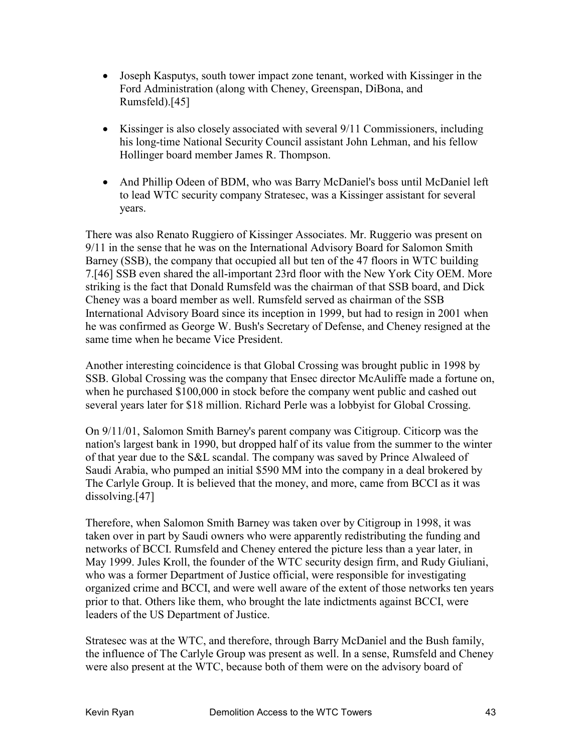- Joseph Kasputys, south tower impact zone tenant, worked with Kissinger in the Ford Administration (along with Cheney, Greenspan, DiBona, and Rumsfeld).[45]
- Kissinger is also closely associated with several 9/11 Commissioners, including his long-time National Security Council assistant John Lehman, and his fellow Hollinger board member James R. Thompson.
- And Phillip Odeen of BDM, who was Barry McDaniel's boss until McDaniel left to lead WTC security company Stratesec, was a Kissinger assistant for several years.

There was also Renato Ruggiero of Kissinger Associates. Mr. Ruggerio was present on 9/11 in the sense that he was on the International Advisory Board for Salomon Smith Barney (SSB), the company that occupied all but ten of the 47 floors in WTC building 7.[46] SSB even shared the all-important 23rd floor with the New York City OEM. More striking is the fact that Donald Rumsfeld was the chairman of that SSB board, and Dick Cheney was a board member as well. Rumsfeld served as chairman of the SSB International Advisory Board since its inception in 1999, but had to resign in 2001 when he was confirmed as George W. Bush's Secretary of Defense, and Cheney resigned at the same time when he became Vice President.

Another interesting coincidence is that Global Crossing was brought public in 1998 by SSB. Global Crossing was the company that Ensec director McAuliffe made a fortune on, when he purchased \$100,000 in stock before the company went public and cashed out several years later for \$18 million. Richard Perle was a lobbyist for Global Crossing.

On 9/11/01, Salomon Smith Barney's parent company was Citigroup. Citicorp was the nation's largest bank in 1990, but dropped half of its value from the summer to the winter of that year due to the S&L scandal. The company was saved by Prince Alwaleed of Saudi Arabia, who pumped an initial \$590 MM into the company in a deal brokered by The Carlyle Group. It is believed that the money, and more, came from BCCI as it was dissolving.[47]

Therefore, when Salomon Smith Barney was taken over by Citigroup in 1998, it was taken over in part by Saudi owners who were apparently redistributing the funding and networks of BCCI. Rumsfeld and Cheney entered the picture less than a year later, in May 1999. Jules Kroll, the founder of the WTC security design firm, and Rudy Giuliani, who was a former Department of Justice official, were responsible for investigating organized crime and BCCI, and were well aware of the extent of those networks ten years prior to that. Others like them, who brought the late indictments against BCCI, were leaders of the US Department of Justice.

Stratesec was at the WTC, and therefore, through Barry McDaniel and the Bush family, the influence of The Carlyle Group was present as well. In a sense, Rumsfeld and Cheney were also present at the WTC, because both of them were on the advisory board of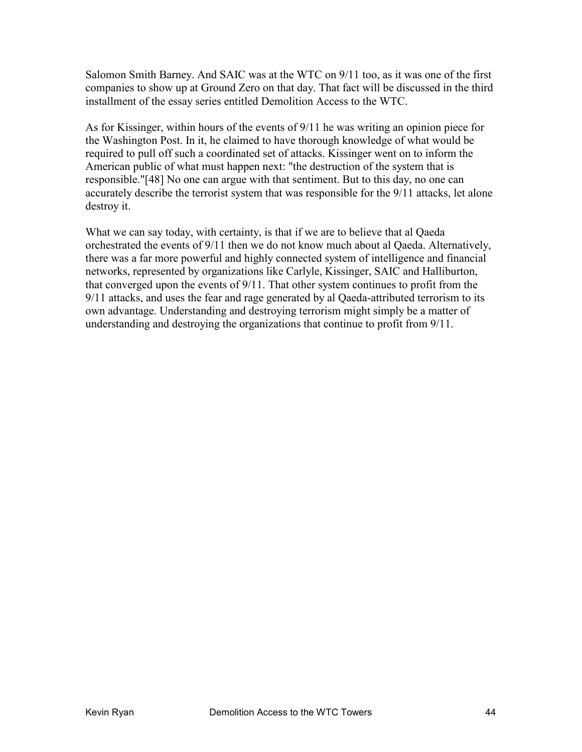Salomon Smith Barney. And SAIC was at the WTC on 9/11 too, as it was one of the first companies to show up at Ground Zero on that day. That fact will be discussed in the third installment of the essay series entitled Demolition Access to the WTC.

As for Kissinger, within hours of the events of 9/11 he was writing an opinion piece for the Washington Post. In it, he claimed to have thorough knowledge of what would be required to pull off such a coordinated set of attacks. Kissinger went on to inform the American public of what must happen next: "the destruction of the system that is responsible."[48] No one can argue with that sentiment. But to this day, no one can accurately describe the terrorist system that was responsible for the 9/11 attacks, let alone destroy it.

What we can say today, with certainty, is that if we are to believe that al Qaeda orchestrated the events of 9/11 then we do not know much about al Qaeda. Alternatively, there was a far more powerful and highly connected system of intelligence and financial networks, represented by organizations like Carlyle, Kissinger, SAIC and Halliburton, that converged upon the events of 9/11. That other system continues to profit from the 9/11 attacks, and uses the fear and rage generated by al Qaeda-attributed terrorism to its own advantage. Understanding and destroying terrorism might simply be a matter of understanding and destroying the organizations that continue to profit from 9/11.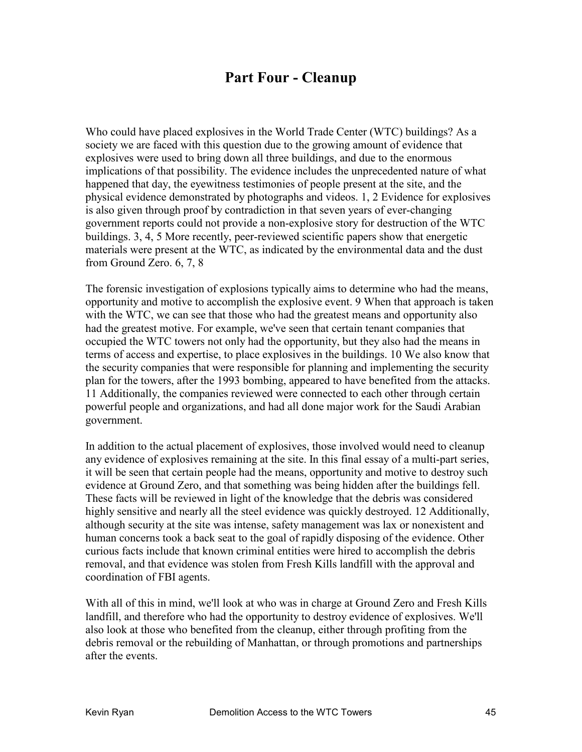# **Part Four - Cleanup**

Who could have placed explosives in the World Trade Center (WTC) buildings? As a society we are faced with this question due to the growing amount of evidence that explosives were used to bring down all three buildings, and due to the enormous implications of that possibility. The evidence includes the unprecedented nature of what happened that day, the eyewitness testimonies of people present at the site, and the physical evidence demonstrated by photographs and videos. 1, 2 Evidence for explosives is also given through proof by contradiction in that seven years of ever-changing government reports could not provide a non-explosive story for destruction of the WTC buildings. 3, 4, 5 More recently, peer-reviewed scientific papers show that energetic materials were present at the WTC, as indicated by the environmental data and the dust from Ground Zero. 6, 7, 8

The forensic investigation of explosions typically aims to determine who had the means, opportunity and motive to accomplish the explosive event. 9 When that approach is taken with the WTC, we can see that those who had the greatest means and opportunity also had the greatest motive. For example, we've seen that certain tenant companies that occupied the WTC towers not only had the opportunity, but they also had the means in terms of access and expertise, to place explosives in the buildings. 10 We also know that the security companies that were responsible for planning and implementing the security plan for the towers, after the 1993 bombing, appeared to have benefited from the attacks. 11 Additionally, the companies reviewed were connected to each other through certain powerful people and organizations, and had all done major work for the Saudi Arabian government.

In addition to the actual placement of explosives, those involved would need to cleanup any evidence of explosives remaining at the site. In this final essay of a multi-part series, it will be seen that certain people had the means, opportunity and motive to destroy such evidence at Ground Zero, and that something was being hidden after the buildings fell. These facts will be reviewed in light of the knowledge that the debris was considered highly sensitive and nearly all the steel evidence was quickly destroyed. 12 Additionally, although security at the site was intense, safety management was lax or nonexistent and human concerns took a back seat to the goal of rapidly disposing of the evidence. Other curious facts include that known criminal entities were hired to accomplish the debris removal, and that evidence was stolen from Fresh Kills landfill with the approval and coordination of FBI agents.

With all of this in mind, we'll look at who was in charge at Ground Zero and Fresh Kills landfill, and therefore who had the opportunity to destroy evidence of explosives. We'll also look at those who benefited from the cleanup, either through profiting from the debris removal or the rebuilding of Manhattan, or through promotions and partnerships after the events.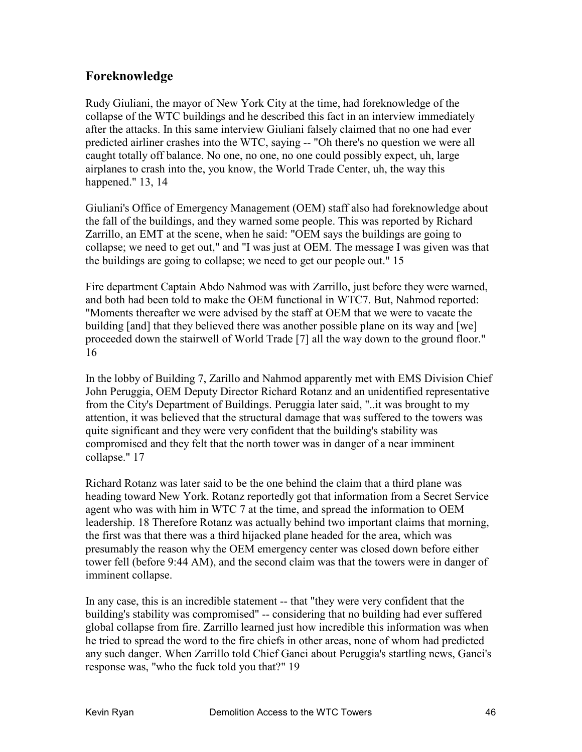### **Foreknowledge**

Rudy Giuliani, the mayor of New York City at the time, had foreknowledge of the collapse of the WTC buildings and he described this fact in an interview immediately after the attacks. In this same interview Giuliani falsely claimed that no one had ever predicted airliner crashes into the WTC, saying -- "Oh there's no question we were all caught totally off balance. No one, no one, no one could possibly expect, uh, large airplanes to crash into the, you know, the World Trade Center, uh, the way this happened." 13, 14

Giuliani's Office of Emergency Management (OEM) staff also had foreknowledge about the fall of the buildings, and they warned some people. This was reported by Richard Zarrillo, an EMT at the scene, when he said: "OEM says the buildings are going to collapse; we need to get out," and "I was just at OEM. The message I was given was that the buildings are going to collapse; we need to get our people out." 15

Fire department Captain Abdo Nahmod was with Zarrillo, just before they were warned, and both had been told to make the OEM functional in WTC7. But, Nahmod reported: "Moments thereafter we were advised by the staff at OEM that we were to vacate the building [and] that they believed there was another possible plane on its way and [we] proceeded down the stairwell of World Trade [7] all the way down to the ground floor." 16

In the lobby of Building 7, Zarillo and Nahmod apparently met with EMS Division Chief John Peruggia, OEM Deputy Director Richard Rotanz and an unidentified representative from the City's Department of Buildings. Peruggia later said, "..it was brought to my attention, it was believed that the structural damage that was suffered to the towers was quite significant and they were very confident that the building's stability was compromised and they felt that the north tower was in danger of a near imminent collapse." 17

Richard Rotanz was later said to be the one behind the claim that a third plane was heading toward New York. Rotanz reportedly got that information from a Secret Service agent who was with him in WTC 7 at the time, and spread the information to OEM leadership. 18 Therefore Rotanz was actually behind two important claims that morning, the first was that there was a third hijacked plane headed for the area, which was presumably the reason why the OEM emergency center was closed down before either tower fell (before 9:44 AM), and the second claim was that the towers were in danger of imminent collapse.

In any case, this is an incredible statement -- that "they were very confident that the building's stability was compromised" -- considering that no building had ever suffered global collapse from fire. Zarrillo learned just how incredible this information was when he tried to spread the word to the fire chiefs in other areas, none of whom had predicted any such danger. When Zarrillo told Chief Ganci about Peruggia's startling news, Ganci's response was, "who the fuck told you that?" 19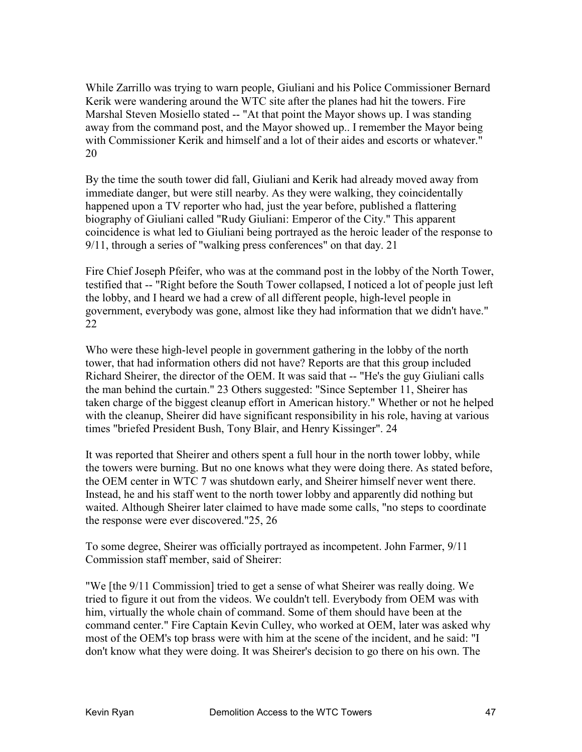While Zarrillo was trying to warn people, Giuliani and his Police Commissioner Bernard Kerik were wandering around the WTC site after the planes had hit the towers. Fire Marshal Steven Mosiello stated -- "At that point the Mayor shows up. I was standing away from the command post, and the Mayor showed up.. I remember the Mayor being with Commissioner Kerik and himself and a lot of their aides and escorts or whatever." 20

By the time the south tower did fall, Giuliani and Kerik had already moved away from immediate danger, but were still nearby. As they were walking, they coincidentally happened upon a TV reporter who had, just the year before, published a flattering biography of Giuliani called "Rudy Giuliani: Emperor of the City." This apparent coincidence is what led to Giuliani being portrayed as the heroic leader of the response to 9/11, through a series of "walking press conferences" on that day. 21

Fire Chief Joseph Pfeifer, who was at the command post in the lobby of the North Tower, testified that -- "Right before the South Tower collapsed, I noticed a lot of people just left the lobby, and I heard we had a crew of all different people, high-level people in government, everybody was gone, almost like they had information that we didn't have." 22

Who were these high-level people in government gathering in the lobby of the north tower, that had information others did not have? Reports are that this group included Richard Sheirer, the director of the OEM. It was said that -- "He's the guy Giuliani calls the man behind the curtain." 23 Others suggested: "Since September 11, Sheirer has taken charge of the biggest cleanup effort in American history." Whether or not he helped with the cleanup, Sheirer did have significant responsibility in his role, having at various times "briefed President Bush, Tony Blair, and Henry Kissinger". 24

It was reported that Sheirer and others spent a full hour in the north tower lobby, while the towers were burning. But no one knows what they were doing there. As stated before, the OEM center in WTC 7 was shutdown early, and Sheirer himself never went there. Instead, he and his staff went to the north tower lobby and apparently did nothing but waited. Although Sheirer later claimed to have made some calls, "no steps to coordinate the response were ever discovered."25, 26

To some degree, Sheirer was officially portrayed as incompetent. John Farmer, 9/11 Commission staff member, said of Sheirer:

"We [the 9/11 Commission] tried to get a sense of what Sheirer was really doing. We tried to figure it out from the videos. We couldn't tell. Everybody from OEM was with him, virtually the whole chain of command. Some of them should have been at the command center." Fire Captain Kevin Culley, who worked at OEM, later was asked why most of the OEM's top brass were with him at the scene of the incident, and he said: "I don't know what they were doing. It was Sheirer's decision to go there on his own. The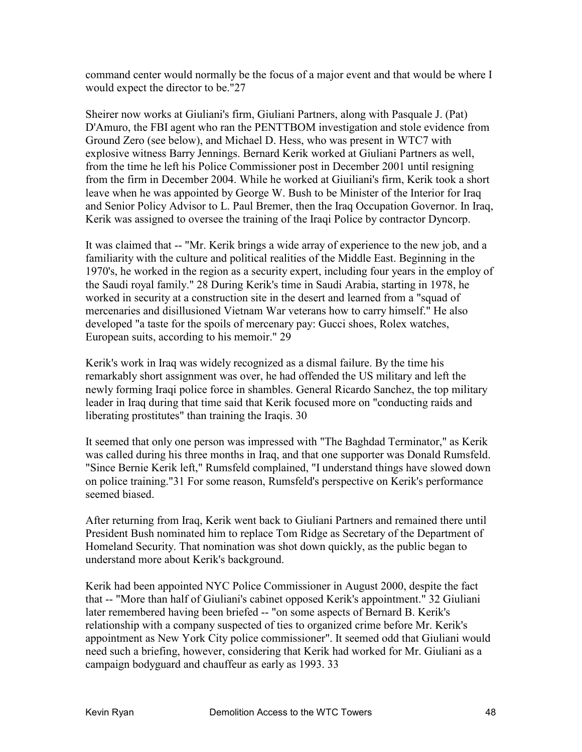command center would normally be the focus of a major event and that would be where I would expect the director to be."27

Sheirer now works at Giuliani's firm, Giuliani Partners, along with Pasquale J. (Pat) D'Amuro, the FBI agent who ran the PENTTBOM investigation and stole evidence from Ground Zero (see below), and Michael D. Hess, who was present in WTC7 with explosive witness Barry Jennings. Bernard Kerik worked at Giuliani Partners as well, from the time he left his Police Commissioner post in December 2001 until resigning from the firm in December 2004. While he worked at Giuiliani's firm, Kerik took a short leave when he was appointed by George W. Bush to be Minister of the Interior for Iraq and Senior Policy Advisor to L. Paul Bremer, then the Iraq Occupation Governor. In Iraq, Kerik was assigned to oversee the training of the Iraqi Police by contractor Dyncorp.

It was claimed that -- "Mr. Kerik brings a wide array of experience to the new job, and a familiarity with the culture and political realities of the Middle East. Beginning in the 1970's, he worked in the region as a security expert, including four years in the employ of the Saudi royal family." 28 During Kerik's time in Saudi Arabia, starting in 1978, he worked in security at a construction site in the desert and learned from a "squad of mercenaries and disillusioned Vietnam War veterans how to carry himself." He also developed "a taste for the spoils of mercenary pay: Gucci shoes, Rolex watches, European suits, according to his memoir." 29

Kerik's work in Iraq was widely recognized as a dismal failure. By the time his remarkably short assignment was over, he had offended the US military and left the newly forming Iraqi police force in shambles. General Ricardo Sanchez, the top military leader in Iraq during that time said that Kerik focused more on "conducting raids and liberating prostitutes" than training the Iraqis. 30

It seemed that only one person was impressed with "The Baghdad Terminator," as Kerik was called during his three months in Iraq, and that one supporter was Donald Rumsfeld. "Since Bernie Kerik left," Rumsfeld complained, "I understand things have slowed down on police training."31 For some reason, Rumsfeld's perspective on Kerik's performance seemed biased.

After returning from Iraq, Kerik went back to Giuliani Partners and remained there until President Bush nominated him to replace Tom Ridge as Secretary of the Department of Homeland Security. That nomination was shot down quickly, as the public began to understand more about Kerik's background.

Kerik had been appointed NYC Police Commissioner in August 2000, despite the fact that -- "More than half of Giuliani's cabinet opposed Kerik's appointment." 32 Giuliani later remembered having been briefed -- "on some aspects of Bernard B. Kerik's relationship with a company suspected of ties to organized crime before Mr. Kerik's appointment as New York City police commissioner". It seemed odd that Giuliani would need such a briefing, however, considering that Kerik had worked for Mr. Giuliani as a campaign bodyguard and chauffeur as early as 1993. 33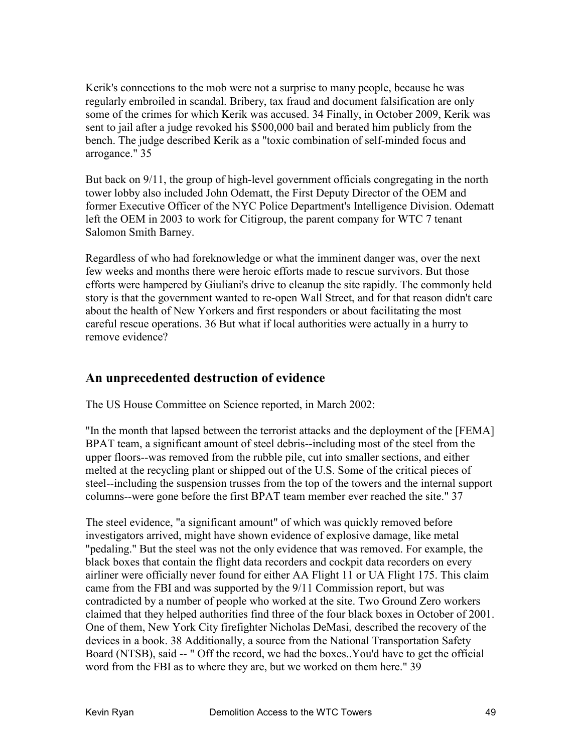Kerik's connections to the mob were not a surprise to many people, because he was regularly embroiled in scandal. Bribery, tax fraud and document falsification are only some of the crimes for which Kerik was accused. 34 Finally, in October 2009, Kerik was sent to jail after a judge revoked his \$500,000 bail and berated him publicly from the bench. The judge described Kerik as a "toxic combination of self-minded focus and arrogance." 35

But back on 9/11, the group of high-level government officials congregating in the north tower lobby also included John Odematt, the First Deputy Director of the OEM and former Executive Officer of the NYC Police Department's Intelligence Division. Odematt left the OEM in 2003 to work for Citigroup, the parent company for WTC 7 tenant Salomon Smith Barney.

Regardless of who had foreknowledge or what the imminent danger was, over the next few weeks and months there were heroic efforts made to rescue survivors. But those efforts were hampered by Giuliani's drive to cleanup the site rapidly. The commonly held story is that the government wanted to re-open Wall Street, and for that reason didn't care about the health of New Yorkers and first responders or about facilitating the most careful rescue operations. 36 But what if local authorities were actually in a hurry to remove evidence?

#### **An unprecedented destruction of evidence**

The US House Committee on Science reported, in March 2002:

"In the month that lapsed between the terrorist attacks and the deployment of the [FEMA] BPAT team, a significant amount of steel debris--including most of the steel from the upper floors--was removed from the rubble pile, cut into smaller sections, and either melted at the recycling plant or shipped out of the U.S. Some of the critical pieces of steel--including the suspension trusses from the top of the towers and the internal support columns--were gone before the first BPAT team member ever reached the site." 37

The steel evidence, "a significant amount" of which was quickly removed before investigators arrived, might have shown evidence of explosive damage, like metal "pedaling." But the steel was not the only evidence that was removed. For example, the black boxes that contain the flight data recorders and cockpit data recorders on every airliner were officially never found for either AA Flight 11 or UA Flight 175. This claim came from the FBI and was supported by the 9/11 Commission report, but was contradicted by a number of people who worked at the site. Two Ground Zero workers claimed that they helped authorities find three of the four black boxes in October of 2001. One of them, New York City firefighter Nicholas DeMasi, described the recovery of the devices in a book. 38 Additionally, a source from the National Transportation Safety Board (NTSB), said -- " Off the record, we had the boxes..You'd have to get the official word from the FBI as to where they are, but we worked on them here." 39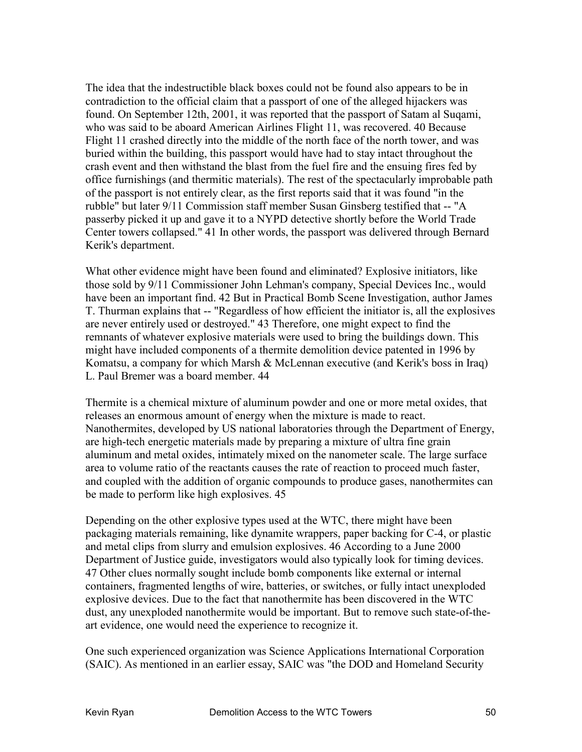The idea that the indestructible black boxes could not be found also appears to be in contradiction to the official claim that a passport of one of the alleged hijackers was found. On September 12th, 2001, it was reported that the passport of Satam al Suqami, who was said to be aboard American Airlines Flight 11, was recovered. 40 Because Flight 11 crashed directly into the middle of the north face of the north tower, and was buried within the building, this passport would have had to stay intact throughout the crash event and then withstand the blast from the fuel fire and the ensuing fires fed by office furnishings (and thermitic materials). The rest of the spectacularly improbable path of the passport is not entirely clear, as the first reports said that it was found "in the rubble" but later 9/11 Commission staff member Susan Ginsberg testified that -- "A passerby picked it up and gave it to a NYPD detective shortly before the World Trade Center towers collapsed." 41 In other words, the passport was delivered through Bernard Kerik's department.

What other evidence might have been found and eliminated? Explosive initiators, like those sold by 9/11 Commissioner John Lehman's company, Special Devices Inc., would have been an important find. 42 But in Practical Bomb Scene Investigation, author James T. Thurman explains that -- "Regardless of how efficient the initiator is, all the explosives are never entirely used or destroyed." 43 Therefore, one might expect to find the remnants of whatever explosive materials were used to bring the buildings down. This might have included components of a thermite demolition device patented in 1996 by Komatsu, a company for which Marsh & McLennan executive (and Kerik's boss in Iraq) L. Paul Bremer was a board member. 44

Thermite is a chemical mixture of aluminum powder and one or more metal oxides, that releases an enormous amount of energy when the mixture is made to react. Nanothermites, developed by US national laboratories through the Department of Energy, are high-tech energetic materials made by preparing a mixture of ultra fine grain aluminum and metal oxides, intimately mixed on the nanometer scale. The large surface area to volume ratio of the reactants causes the rate of reaction to proceed much faster, and coupled with the addition of organic compounds to produce gases, nanothermites can be made to perform like high explosives. 45

Depending on the other explosive types used at the WTC, there might have been packaging materials remaining, like dynamite wrappers, paper backing for C-4, or plastic and metal clips from slurry and emulsion explosives. 46 According to a June 2000 Department of Justice guide, investigators would also typically look for timing devices. 47 Other clues normally sought include bomb components like external or internal containers, fragmented lengths of wire, batteries, or switches, or fully intact unexploded explosive devices. Due to the fact that nanothermite has been discovered in the WTC dust, any unexploded nanothermite would be important. But to remove such state-of-theart evidence, one would need the experience to recognize it.

One such experienced organization was Science Applications International Corporation (SAIC). As mentioned in an earlier essay, SAIC was "the DOD and Homeland Security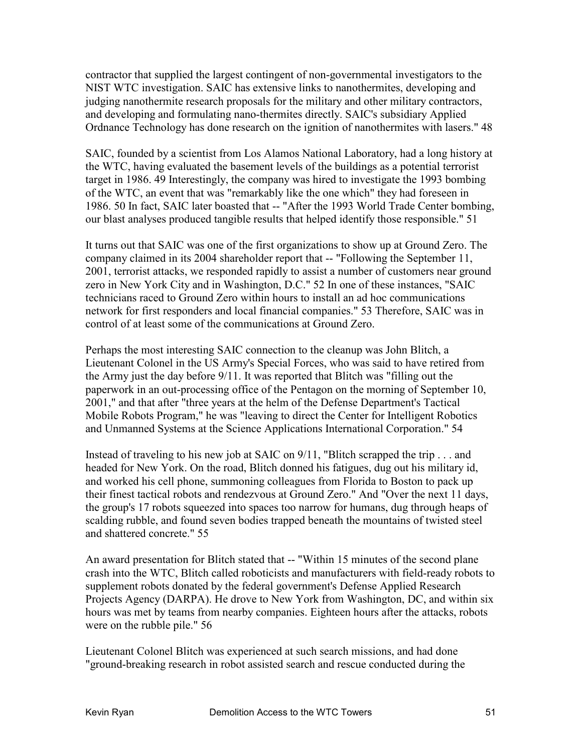contractor that supplied the largest contingent of non-governmental investigators to the NIST WTC investigation. SAIC has extensive links to nanothermites, developing and judging nanothermite research proposals for the military and other military contractors, and developing and formulating nano-thermites directly. SAIC's subsidiary Applied Ordnance Technology has done research on the ignition of nanothermites with lasers." 48

SAIC, founded by a scientist from Los Alamos National Laboratory, had a long history at the WTC, having evaluated the basement levels of the buildings as a potential terrorist target in 1986. 49 Interestingly, the company was hired to investigate the 1993 bombing of the WTC, an event that was "remarkably like the one which" they had foreseen in 1986. 50 In fact, SAIC later boasted that -- "After the 1993 World Trade Center bombing, our blast analyses produced tangible results that helped identify those responsible." 51

It turns out that SAIC was one of the first organizations to show up at Ground Zero. The company claimed in its 2004 shareholder report that -- "Following the September 11, 2001, terrorist attacks, we responded rapidly to assist a number of customers near ground zero in New York City and in Washington, D.C." 52 In one of these instances, "SAIC technicians raced to Ground Zero within hours to install an ad hoc communications network for first responders and local financial companies." 53 Therefore, SAIC was in control of at least some of the communications at Ground Zero.

Perhaps the most interesting SAIC connection to the cleanup was John Blitch, a Lieutenant Colonel in the US Army's Special Forces, who was said to have retired from the Army just the day before 9/11. It was reported that Blitch was "filling out the paperwork in an out-processing office of the Pentagon on the morning of September 10, 2001," and that after "three years at the helm of the Defense Department's Tactical Mobile Robots Program," he was "leaving to direct the Center for Intelligent Robotics and Unmanned Systems at the Science Applications International Corporation." 54

Instead of traveling to his new job at SAIC on 9/11, "Blitch scrapped the trip . . . and headed for New York. On the road, Blitch donned his fatigues, dug out his military id, and worked his cell phone, summoning colleagues from Florida to Boston to pack up their finest tactical robots and rendezvous at Ground Zero." And "Over the next 11 days, the group's 17 robots squeezed into spaces too narrow for humans, dug through heaps of scalding rubble, and found seven bodies trapped beneath the mountains of twisted steel and shattered concrete." 55

An award presentation for Blitch stated that -- "Within 15 minutes of the second plane crash into the WTC, Blitch called roboticists and manufacturers with field-ready robots to supplement robots donated by the federal government's Defense Applied Research Projects Agency (DARPA). He drove to New York from Washington, DC, and within six hours was met by teams from nearby companies. Eighteen hours after the attacks, robots were on the rubble pile." 56

Lieutenant Colonel Blitch was experienced at such search missions, and had done "ground-breaking research in robot assisted search and rescue conducted during the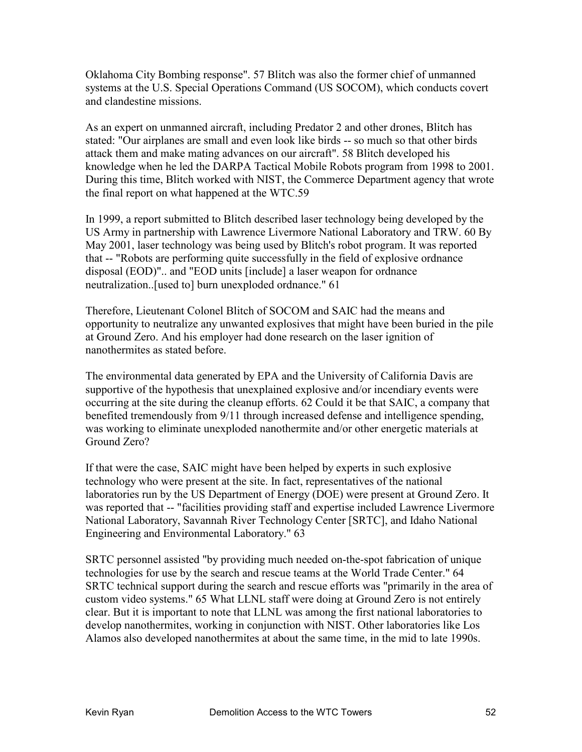Oklahoma City Bombing response". 57 Blitch was also the former chief of unmanned systems at the U.S. Special Operations Command (US SOCOM), which conducts covert and clandestine missions.

As an expert on unmanned aircraft, including Predator 2 and other drones, Blitch has stated: "Our airplanes are small and even look like birds -- so much so that other birds attack them and make mating advances on our aircraft". 58 Blitch developed his knowledge when he led the DARPA Tactical Mobile Robots program from 1998 to 2001. During this time, Blitch worked with NIST, the Commerce Department agency that wrote the final report on what happened at the WTC.59

In 1999, a report submitted to Blitch described laser technology being developed by the US Army in partnership with Lawrence Livermore National Laboratory and TRW. 60 By May 2001, laser technology was being used by Blitch's robot program. It was reported that -- "Robots are performing quite successfully in the field of explosive ordnance disposal (EOD)".. and "EOD units [include] a laser weapon for ordnance neutralization..[used to] burn unexploded ordnance." 61

Therefore, Lieutenant Colonel Blitch of SOCOM and SAIC had the means and opportunity to neutralize any unwanted explosives that might have been buried in the pile at Ground Zero. And his employer had done research on the laser ignition of nanothermites as stated before.

The environmental data generated by EPA and the University of California Davis are supportive of the hypothesis that unexplained explosive and/or incendiary events were occurring at the site during the cleanup efforts. 62 Could it be that SAIC, a company that benefited tremendously from 9/11 through increased defense and intelligence spending, was working to eliminate unexploded nanothermite and/or other energetic materials at Ground Zero?

If that were the case, SAIC might have been helped by experts in such explosive technology who were present at the site. In fact, representatives of the national laboratories run by the US Department of Energy (DOE) were present at Ground Zero. It was reported that -- "facilities providing staff and expertise included Lawrence Livermore National Laboratory, Savannah River Technology Center [SRTC], and Idaho National Engineering and Environmental Laboratory." 63

SRTC personnel assisted "by providing much needed on-the-spot fabrication of unique technologies for use by the search and rescue teams at the World Trade Center." 64 SRTC technical support during the search and rescue efforts was "primarily in the area of custom video systems." 65 What LLNL staff were doing at Ground Zero is not entirely clear. But it is important to note that LLNL was among the first national laboratories to develop nanothermites, working in conjunction with NIST. Other laboratories like Los Alamos also developed nanothermites at about the same time, in the mid to late 1990s.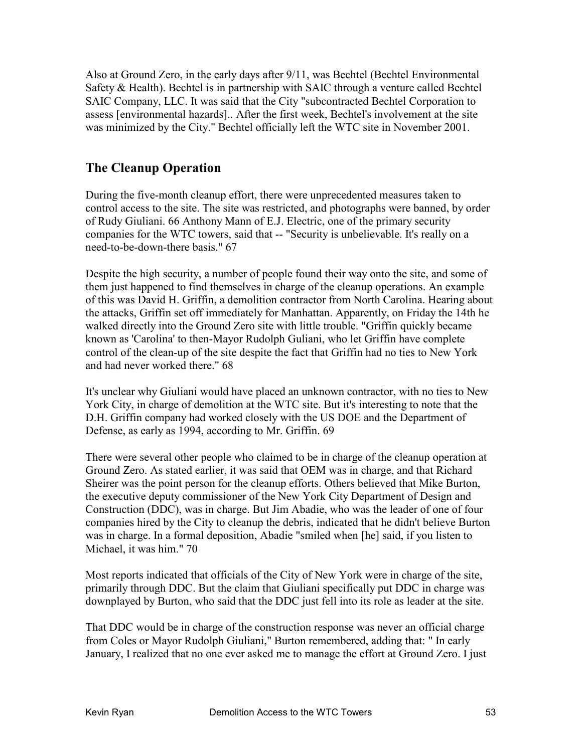Also at Ground Zero, in the early days after 9/11, was Bechtel (Bechtel Environmental Safety & Health). Bechtel is in partnership with SAIC through a venture called Bechtel SAIC Company, LLC. It was said that the City "subcontracted Bechtel Corporation to assess [environmental hazards].. After the first week, Bechtel's involvement at the site was minimized by the City." Bechtel officially left the WTC site in November 2001.

### **The Cleanup Operation**

During the five-month cleanup effort, there were unprecedented measures taken to control access to the site. The site was restricted, and photographs were banned, by order of Rudy Giuliani. 66 Anthony Mann of E.J. Electric, one of the primary security companies for the WTC towers, said that -- "Security is unbelievable. It's really on a need-to-be-down-there basis." 67

Despite the high security, a number of people found their way onto the site, and some of them just happened to find themselves in charge of the cleanup operations. An example of this was David H. Griffin, a demolition contractor from North Carolina. Hearing about the attacks, Griffin set off immediately for Manhattan. Apparently, on Friday the 14th he walked directly into the Ground Zero site with little trouble. "Griffin quickly became known as 'Carolina' to then-Mayor Rudolph Guliani, who let Griffin have complete control of the clean-up of the site despite the fact that Griffin had no ties to New York and had never worked there." 68

It's unclear why Giuliani would have placed an unknown contractor, with no ties to New York City, in charge of demolition at the WTC site. But it's interesting to note that the D.H. Griffin company had worked closely with the US DOE and the Department of Defense, as early as 1994, according to Mr. Griffin. 69

There were several other people who claimed to be in charge of the cleanup operation at Ground Zero. As stated earlier, it was said that OEM was in charge, and that Richard Sheirer was the point person for the cleanup efforts. Others believed that Mike Burton, the executive deputy commissioner of the New York City Department of Design and Construction (DDC), was in charge. But Jim Abadie, who was the leader of one of four companies hired by the City to cleanup the debris, indicated that he didn't believe Burton was in charge. In a formal deposition, Abadie "smiled when [he] said, if you listen to Michael, it was him." 70

Most reports indicated that officials of the City of New York were in charge of the site, primarily through DDC. But the claim that Giuliani specifically put DDC in charge was downplayed by Burton, who said that the DDC just fell into its role as leader at the site.

That DDC would be in charge of the construction response was never an official charge from Coles or Mayor Rudolph Giuliani," Burton remembered, adding that: " In early January, I realized that no one ever asked me to manage the effort at Ground Zero. I just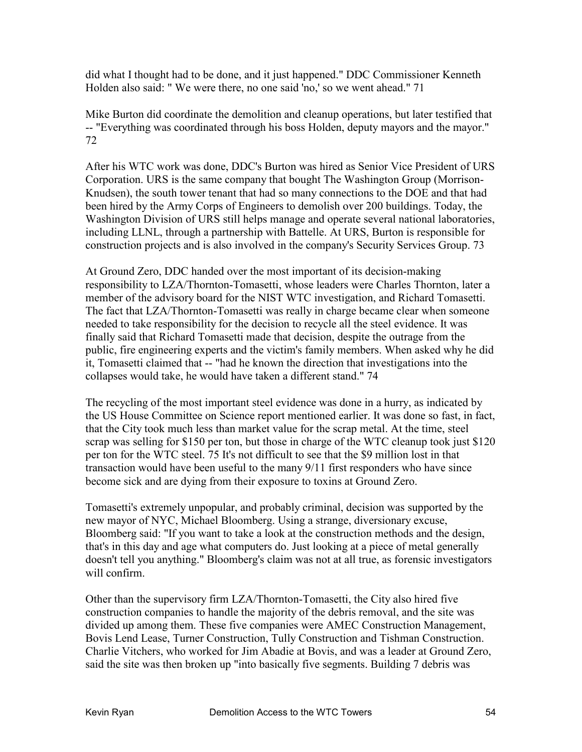did what I thought had to be done, and it just happened." DDC Commissioner Kenneth Holden also said: " We were there, no one said 'no,' so we went ahead." 71

Mike Burton did coordinate the demolition and cleanup operations, but later testified that -- "Everything was coordinated through his boss Holden, deputy mayors and the mayor." 72

After his WTC work was done, DDC's Burton was hired as Senior Vice President of URS Corporation. URS is the same company that bought The Washington Group (Morrison-Knudsen), the south tower tenant that had so many connections to the DOE and that had been hired by the Army Corps of Engineers to demolish over 200 buildings. Today, the Washington Division of URS still helps manage and operate several national laboratories, including LLNL, through a partnership with Battelle. At URS, Burton is responsible for construction projects and is also involved in the company's Security Services Group. 73

At Ground Zero, DDC handed over the most important of its decision-making responsibility to LZA/Thornton-Tomasetti, whose leaders were Charles Thornton, later a member of the advisory board for the NIST WTC investigation, and Richard Tomasetti. The fact that LZA/Thornton-Tomasetti was really in charge became clear when someone needed to take responsibility for the decision to recycle all the steel evidence. It was finally said that Richard Tomasetti made that decision, despite the outrage from the public, fire engineering experts and the victim's family members. When asked why he did it, Tomasetti claimed that -- "had he known the direction that investigations into the collapses would take, he would have taken a different stand." 74

The recycling of the most important steel evidence was done in a hurry, as indicated by the US House Committee on Science report mentioned earlier. It was done so fast, in fact, that the City took much less than market value for the scrap metal. At the time, steel scrap was selling for \$150 per ton, but those in charge of the WTC cleanup took just \$120 per ton for the WTC steel. 75 It's not difficult to see that the \$9 million lost in that transaction would have been useful to the many 9/11 first responders who have since become sick and are dying from their exposure to toxins at Ground Zero.

Tomasetti's extremely unpopular, and probably criminal, decision was supported by the new mayor of NYC, Michael Bloomberg. Using a strange, diversionary excuse, Bloomberg said: "If you want to take a look at the construction methods and the design, that's in this day and age what computers do. Just looking at a piece of metal generally doesn't tell you anything." Bloomberg's claim was not at all true, as forensic investigators will confirm.

Other than the supervisory firm LZA/Thornton-Tomasetti, the City also hired five construction companies to handle the majority of the debris removal, and the site was divided up among them. These five companies were AMEC Construction Management, Bovis Lend Lease, Turner Construction, Tully Construction and Tishman Construction. Charlie Vitchers, who worked for Jim Abadie at Bovis, and was a leader at Ground Zero, said the site was then broken up "into basically five segments. Building 7 debris was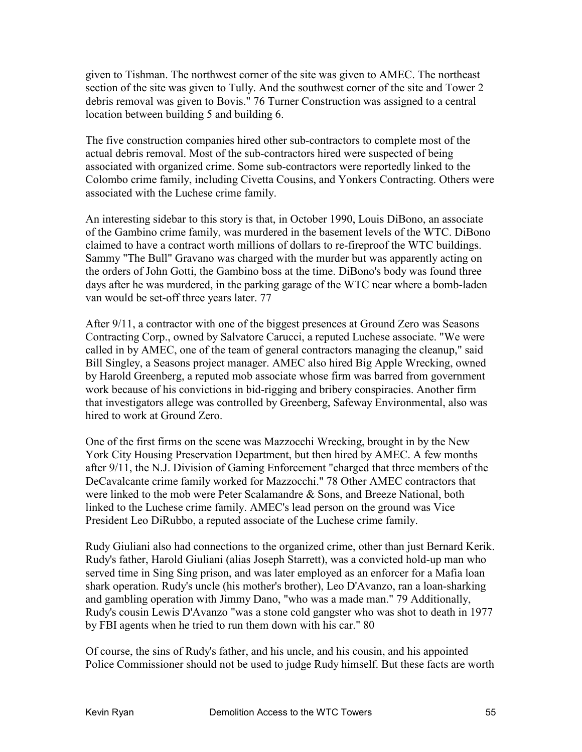given to Tishman. The northwest corner of the site was given to AMEC. The northeast section of the site was given to Tully. And the southwest corner of the site and Tower 2 debris removal was given to Bovis." 76 Turner Construction was assigned to a central location between building 5 and building 6.

The five construction companies hired other sub-contractors to complete most of the actual debris removal. Most of the sub-contractors hired were suspected of being associated with organized crime. Some sub-contractors were reportedly linked to the Colombo crime family, including Civetta Cousins, and Yonkers Contracting. Others were associated with the Luchese crime family.

An interesting sidebar to this story is that, in October 1990, Louis DiBono, an associate of the Gambino crime family, was murdered in the basement levels of the WTC. DiBono claimed to have a contract worth millions of dollars to re-fireproof the WTC buildings. Sammy "The Bull" Gravano was charged with the murder but was apparently acting on the orders of John Gotti, the Gambino boss at the time. DiBono's body was found three days after he was murdered, in the parking garage of the WTC near where a bomb-laden van would be set-off three years later. 77

After 9/11, a contractor with one of the biggest presences at Ground Zero was Seasons Contracting Corp., owned by Salvatore Carucci, a reputed Luchese associate. "We were called in by AMEC, one of the team of general contractors managing the cleanup," said Bill Singley, a Seasons project manager. AMEC also hired Big Apple Wrecking, owned by Harold Greenberg, a reputed mob associate whose firm was barred from government work because of his convictions in bid-rigging and bribery conspiracies. Another firm that investigators allege was controlled by Greenberg, Safeway Environmental, also was hired to work at Ground Zero.

One of the first firms on the scene was Mazzocchi Wrecking, brought in by the New York City Housing Preservation Department, but then hired by AMEC. A few months after 9/11, the N.J. Division of Gaming Enforcement "charged that three members of the DeCavalcante crime family worked for Mazzocchi." 78 Other AMEC contractors that were linked to the mob were Peter Scalamandre & Sons, and Breeze National, both linked to the Luchese crime family. AMEC's lead person on the ground was Vice President Leo DiRubbo, a reputed associate of the Luchese crime family.

Rudy Giuliani also had connections to the organized crime, other than just Bernard Kerik. Rudy's father, Harold Giuliani (alias Joseph Starrett), was a convicted hold-up man who served time in Sing Sing prison, and was later employed as an enforcer for a Mafia loan shark operation. Rudy's uncle (his mother's brother), Leo D'Avanzo, ran a loan-sharking and gambling operation with Jimmy Dano, "who was a made man." 79 Additionally, Rudy's cousin Lewis D'Avanzo "was a stone cold gangster who was shot to death in 1977 by FBI agents when he tried to run them down with his car." 80

Of course, the sins of Rudy's father, and his uncle, and his cousin, and his appointed Police Commissioner should not be used to judge Rudy himself. But these facts are worth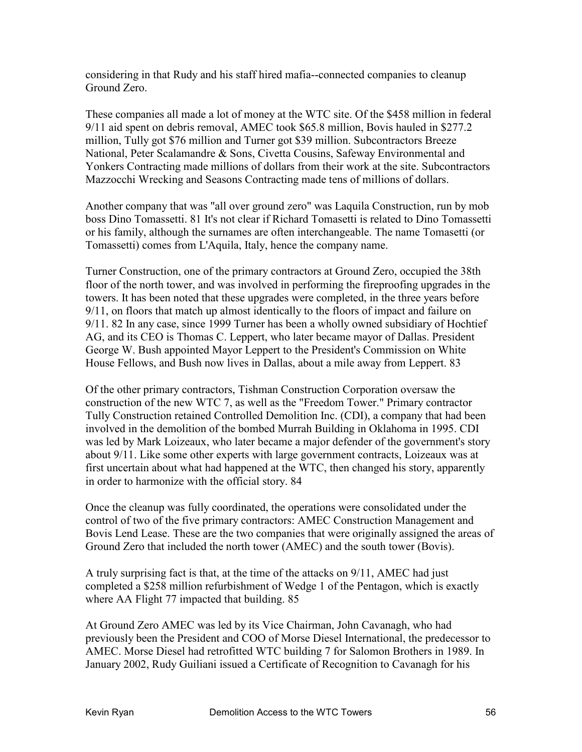considering in that Rudy and his staff hired mafia--connected companies to cleanup Ground Zero.

These companies all made a lot of money at the WTC site. Of the \$458 million in federal 9/11 aid spent on debris removal, AMEC took \$65.8 million, Bovis hauled in \$277.2 million, Tully got \$76 million and Turner got \$39 million. Subcontractors Breeze National, Peter Scalamandre & Sons, Civetta Cousins, Safeway Environmental and Yonkers Contracting made millions of dollars from their work at the site. Subcontractors Mazzocchi Wrecking and Seasons Contracting made tens of millions of dollars.

Another company that was "all over ground zero" was Laquila Construction, run by mob boss Dino Tomassetti. 81 It's not clear if Richard Tomasetti is related to Dino Tomassetti or his family, although the surnames are often interchangeable. The name Tomasetti (or Tomassetti) comes from L'Aquila, Italy, hence the company name.

Turner Construction, one of the primary contractors at Ground Zero, occupied the 38th floor of the north tower, and was involved in performing the fireproofing upgrades in the towers. It has been noted that these upgrades were completed, in the three years before 9/11, on floors that match up almost identically to the floors of impact and failure on 9/11. 82 In any case, since 1999 Turner has been a wholly owned subsidiary of Hochtief AG, and its CEO is Thomas C. Leppert, who later became mayor of Dallas. President George W. Bush appointed Mayor Leppert to the President's Commission on White House Fellows, and Bush now lives in Dallas, about a mile away from Leppert. 83

Of the other primary contractors, Tishman Construction Corporation oversaw the construction of the new WTC 7, as well as the "Freedom Tower." Primary contractor Tully Construction retained Controlled Demolition Inc. (CDI), a company that had been involved in the demolition of the bombed Murrah Building in Oklahoma in 1995. CDI was led by Mark Loizeaux, who later became a major defender of the government's story about 9/11. Like some other experts with large government contracts, Loizeaux was at first uncertain about what had happened at the WTC, then changed his story, apparently in order to harmonize with the official story. 84

Once the cleanup was fully coordinated, the operations were consolidated under the control of two of the five primary contractors: AMEC Construction Management and Bovis Lend Lease. These are the two companies that were originally assigned the areas of Ground Zero that included the north tower (AMEC) and the south tower (Bovis).

A truly surprising fact is that, at the time of the attacks on 9/11, AMEC had just completed a \$258 million refurbishment of Wedge 1 of the Pentagon, which is exactly where AA Flight 77 impacted that building. 85

At Ground Zero AMEC was led by its Vice Chairman, John Cavanagh, who had previously been the President and COO of Morse Diesel International, the predecessor to AMEC. Morse Diesel had retrofitted WTC building 7 for Salomon Brothers in 1989. In January 2002, Rudy Guiliani issued a Certificate of Recognition to Cavanagh for his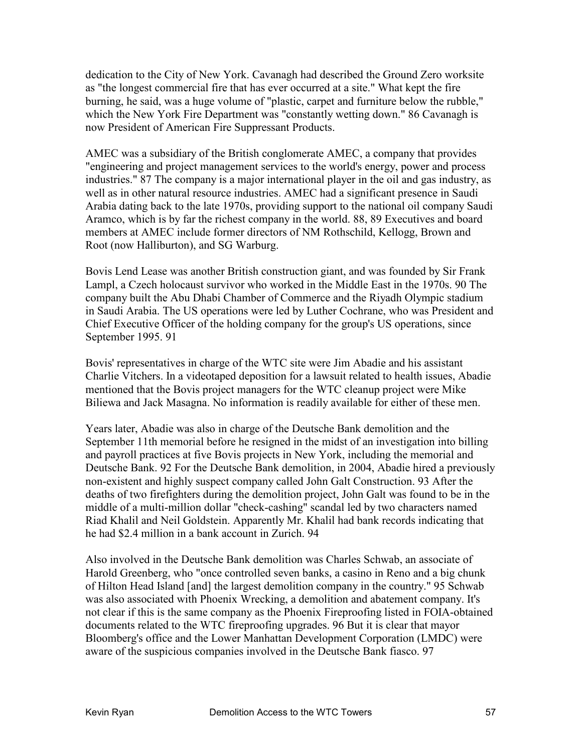dedication to the City of New York. Cavanagh had described the Ground Zero worksite as "the longest commercial fire that has ever occurred at a site." What kept the fire burning, he said, was a huge volume of "plastic, carpet and furniture below the rubble," which the New York Fire Department was "constantly wetting down." 86 Cavanagh is now President of American Fire Suppressant Products.

AMEC was a subsidiary of the British conglomerate AMEC, a company that provides "engineering and project management services to the world's energy, power and process industries." 87 The company is a major international player in the oil and gas industry, as well as in other natural resource industries. AMEC had a significant presence in Saudi Arabia dating back to the late 1970s, providing support to the national oil company Saudi Aramco, which is by far the richest company in the world. 88, 89 Executives and board members at AMEC include former directors of NM Rothschild, Kellogg, Brown and Root (now Halliburton), and SG Warburg.

Bovis Lend Lease was another British construction giant, and was founded by Sir Frank Lampl, a Czech holocaust survivor who worked in the Middle East in the 1970s. 90 The company built the Abu Dhabi Chamber of Commerce and the Riyadh Olympic stadium in Saudi Arabia. The US operations were led by Luther Cochrane, who was President and Chief Executive Officer of the holding company for the group's US operations, since September 1995. 91

Bovis' representatives in charge of the WTC site were Jim Abadie and his assistant Charlie Vitchers. In a videotaped deposition for a lawsuit related to health issues, Abadie mentioned that the Bovis project managers for the WTC cleanup project were Mike Biliewa and Jack Masagna. No information is readily available for either of these men.

Years later, Abadie was also in charge of the Deutsche Bank demolition and the September 11th memorial before he resigned in the midst of an investigation into billing and payroll practices at five Bovis projects in New York, including the memorial and Deutsche Bank. 92 For the Deutsche Bank demolition, in 2004, Abadie hired a previously non-existent and highly suspect company called John Galt Construction. 93 After the deaths of two firefighters during the demolition project, John Galt was found to be in the middle of a multi-million dollar "check-cashing" scandal led by two characters named Riad Khalil and Neil Goldstein. Apparently Mr. Khalil had bank records indicating that he had \$2.4 million in a bank account in Zurich. 94

Also involved in the Deutsche Bank demolition was Charles Schwab, an associate of Harold Greenberg, who "once controlled seven banks, a casino in Reno and a big chunk of Hilton Head Island [and] the largest demolition company in the country." 95 Schwab was also associated with Phoenix Wrecking, a demolition and abatement company. It's not clear if this is the same company as the Phoenix Fireproofing listed in FOIA-obtained documents related to the WTC fireproofing upgrades. 96 But it is clear that mayor Bloomberg's office and the Lower Manhattan Development Corporation (LMDC) were aware of the suspicious companies involved in the Deutsche Bank fiasco. 97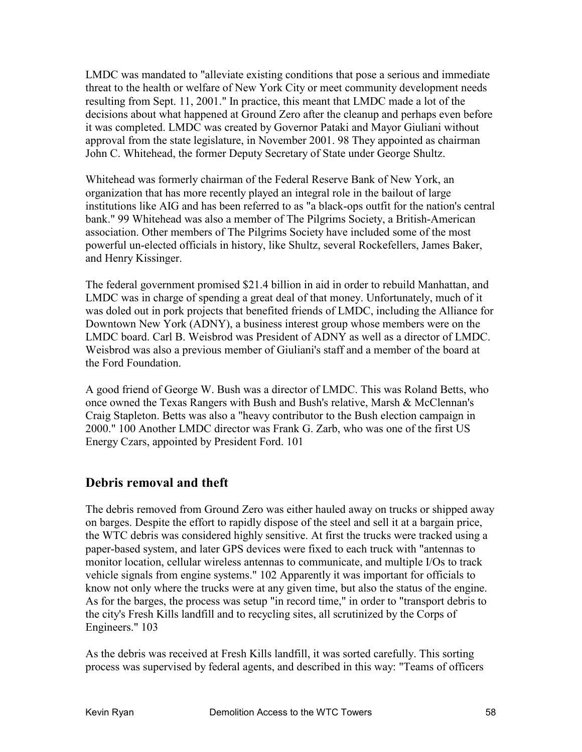LMDC was mandated to "alleviate existing conditions that pose a serious and immediate threat to the health or welfare of New York City or meet community development needs resulting from Sept. 11, 2001." In practice, this meant that LMDC made a lot of the decisions about what happened at Ground Zero after the cleanup and perhaps even before it was completed. LMDC was created by Governor Pataki and Mayor Giuliani without approval from the state legislature, in November 2001. 98 They appointed as chairman John C. Whitehead, the former Deputy Secretary of State under George Shultz.

Whitehead was formerly chairman of the Federal Reserve Bank of New York, an organization that has more recently played an integral role in the bailout of large institutions like AIG and has been referred to as "a black-ops outfit for the nation's central bank." 99 Whitehead was also a member of The Pilgrims Society, a British-American association. Other members of The Pilgrims Society have included some of the most powerful un-elected officials in history, like Shultz, several Rockefellers, James Baker, and Henry Kissinger.

The federal government promised \$21.4 billion in aid in order to rebuild Manhattan, and LMDC was in charge of spending a great deal of that money. Unfortunately, much of it was doled out in pork projects that benefited friends of LMDC, including the Alliance for Downtown New York (ADNY), a business interest group whose members were on the LMDC board. Carl B. Weisbrod was President of ADNY as well as a director of LMDC. Weisbrod was also a previous member of Giuliani's staff and a member of the board at the Ford Foundation.

A good friend of George W. Bush was a director of LMDC. This was Roland Betts, who once owned the Texas Rangers with Bush and Bush's relative, Marsh & McClennan's Craig Stapleton. Betts was also a "heavy contributor to the Bush election campaign in 2000." 100 Another LMDC director was Frank G. Zarb, who was one of the first US Energy Czars, appointed by President Ford. 101

#### **Debris removal and theft**

The debris removed from Ground Zero was either hauled away on trucks or shipped away on barges. Despite the effort to rapidly dispose of the steel and sell it at a bargain price, the WTC debris was considered highly sensitive. At first the trucks were tracked using a paper-based system, and later GPS devices were fixed to each truck with "antennas to monitor location, cellular wireless antennas to communicate, and multiple I/Os to track vehicle signals from engine systems." 102 Apparently it was important for officials to know not only where the trucks were at any given time, but also the status of the engine. As for the barges, the process was setup "in record time," in order to "transport debris to the city's Fresh Kills landfill and to recycling sites, all scrutinized by the Corps of Engineers." 103

As the debris was received at Fresh Kills landfill, it was sorted carefully. This sorting process was supervised by federal agents, and described in this way: "Teams of officers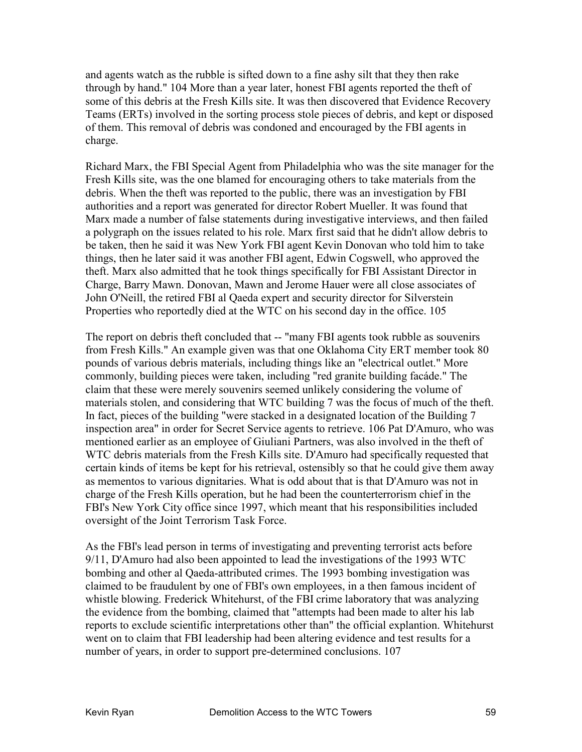and agents watch as the rubble is sifted down to a fine ashy silt that they then rake through by hand." 104 More than a year later, honest FBI agents reported the theft of some of this debris at the Fresh Kills site. It was then discovered that Evidence Recovery Teams (ERTs) involved in the sorting process stole pieces of debris, and kept or disposed of them. This removal of debris was condoned and encouraged by the FBI agents in charge.

Richard Marx, the FBI Special Agent from Philadelphia who was the site manager for the Fresh Kills site, was the one blamed for encouraging others to take materials from the debris. When the theft was reported to the public, there was an investigation by FBI authorities and a report was generated for director Robert Mueller. It was found that Marx made a number of false statements during investigative interviews, and then failed a polygraph on the issues related to his role. Marx first said that he didn't allow debris to be taken, then he said it was New York FBI agent Kevin Donovan who told him to take things, then he later said it was another FBI agent, Edwin Cogswell, who approved the theft. Marx also admitted that he took things specifically for FBI Assistant Director in Charge, Barry Mawn. Donovan, Mawn and Jerome Hauer were all close associates of John O'Neill, the retired FBI al Qaeda expert and security director for Silverstein Properties who reportedly died at the WTC on his second day in the office. 105

The report on debris theft concluded that -- "many FBI agents took rubble as souvenirs from Fresh Kills." An example given was that one Oklahoma City ERT member took 80 pounds of various debris materials, including things like an "electrical outlet." More commonly, building pieces were taken, including "red granite building facáde." The claim that these were merely souvenirs seemed unlikely considering the volume of materials stolen, and considering that WTC building 7 was the focus of much of the theft. In fact, pieces of the building "were stacked in a designated location of the Building 7 inspection area" in order for Secret Service agents to retrieve. 106 Pat D'Amuro, who was mentioned earlier as an employee of Giuliani Partners, was also involved in the theft of WTC debris materials from the Fresh Kills site. D'Amuro had specifically requested that certain kinds of items be kept for his retrieval, ostensibly so that he could give them away as mementos to various dignitaries. What is odd about that is that D'Amuro was not in charge of the Fresh Kills operation, but he had been the counterterrorism chief in the FBI's New York City office since 1997, which meant that his responsibilities included oversight of the Joint Terrorism Task Force.

As the FBI's lead person in terms of investigating and preventing terrorist acts before 9/11, D'Amuro had also been appointed to lead the investigations of the 1993 WTC bombing and other al Qaeda-attributed crimes. The 1993 bombing investigation was claimed to be fraudulent by one of FBI's own employees, in a then famous incident of whistle blowing. Frederick Whitehurst, of the FBI crime laboratory that was analyzing the evidence from the bombing, claimed that "attempts had been made to alter his lab reports to exclude scientific interpretations other than" the official explantion. Whitehurst went on to claim that FBI leadership had been altering evidence and test results for a number of years, in order to support pre-determined conclusions. 107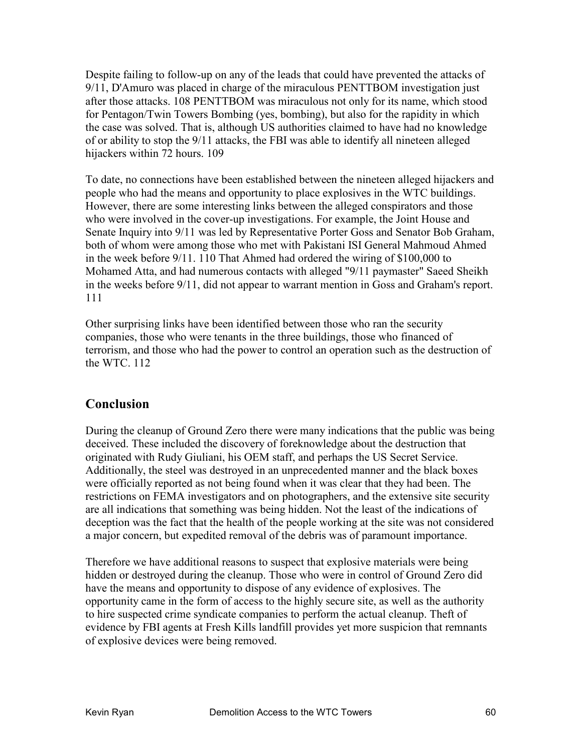Despite failing to follow-up on any of the leads that could have prevented the attacks of 9/11, D'Amuro was placed in charge of the miraculous PENTTBOM investigation just after those attacks. 108 PENTTBOM was miraculous not only for its name, which stood for Pentagon/Twin Towers Bombing (yes, bombing), but also for the rapidity in which the case was solved. That is, although US authorities claimed to have had no knowledge of or ability to stop the 9/11 attacks, the FBI was able to identify all nineteen alleged hijackers within 72 hours. 109

To date, no connections have been established between the nineteen alleged hijackers and people who had the means and opportunity to place explosives in the WTC buildings. However, there are some interesting links between the alleged conspirators and those who were involved in the cover-up investigations. For example, the Joint House and Senate Inquiry into 9/11 was led by Representative Porter Goss and Senator Bob Graham, both of whom were among those who met with Pakistani ISI General Mahmoud Ahmed in the week before 9/11. 110 That Ahmed had ordered the wiring of \$100,000 to Mohamed Atta, and had numerous contacts with alleged "9/11 paymaster" Saeed Sheikh in the weeks before 9/11, did not appear to warrant mention in Goss and Graham's report. 111

Other surprising links have been identified between those who ran the security companies, those who were tenants in the three buildings, those who financed of terrorism, and those who had the power to control an operation such as the destruction of the WTC. 112

## **Conclusion**

During the cleanup of Ground Zero there were many indications that the public was being deceived. These included the discovery of foreknowledge about the destruction that originated with Rudy Giuliani, his OEM staff, and perhaps the US Secret Service. Additionally, the steel was destroyed in an unprecedented manner and the black boxes were officially reported as not being found when it was clear that they had been. The restrictions on FEMA investigators and on photographers, and the extensive site security are all indications that something was being hidden. Not the least of the indications of deception was the fact that the health of the people working at the site was not considered a major concern, but expedited removal of the debris was of paramount importance.

Therefore we have additional reasons to suspect that explosive materials were being hidden or destroyed during the cleanup. Those who were in control of Ground Zero did have the means and opportunity to dispose of any evidence of explosives. The opportunity came in the form of access to the highly secure site, as well as the authority to hire suspected crime syndicate companies to perform the actual cleanup. Theft of evidence by FBI agents at Fresh Kills landfill provides yet more suspicion that remnants of explosive devices were being removed.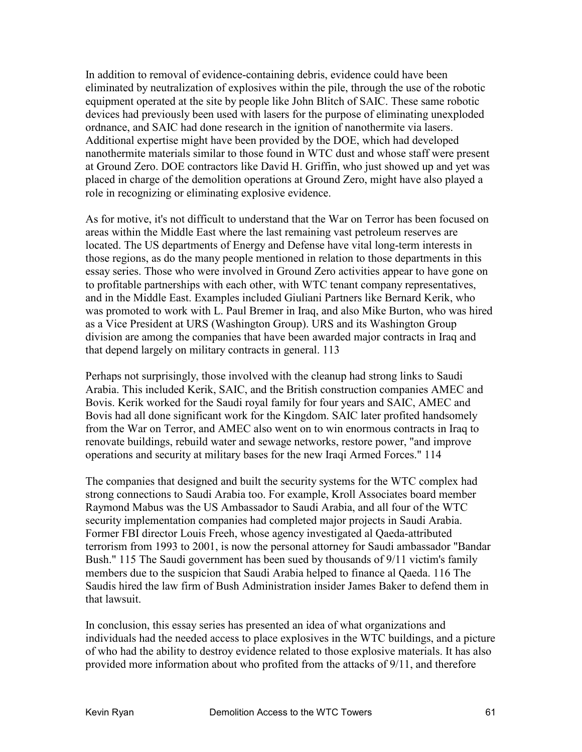In addition to removal of evidence-containing debris, evidence could have been eliminated by neutralization of explosives within the pile, through the use of the robotic equipment operated at the site by people like John Blitch of SAIC. These same robotic devices had previously been used with lasers for the purpose of eliminating unexploded ordnance, and SAIC had done research in the ignition of nanothermite via lasers. Additional expertise might have been provided by the DOE, which had developed nanothermite materials similar to those found in WTC dust and whose staff were present at Ground Zero. DOE contractors like David H. Griffin, who just showed up and yet was placed in charge of the demolition operations at Ground Zero, might have also played a role in recognizing or eliminating explosive evidence.

As for motive, it's not difficult to understand that the War on Terror has been focused on areas within the Middle East where the last remaining vast petroleum reserves are located. The US departments of Energy and Defense have vital long-term interests in those regions, as do the many people mentioned in relation to those departments in this essay series. Those who were involved in Ground Zero activities appear to have gone on to profitable partnerships with each other, with WTC tenant company representatives, and in the Middle East. Examples included Giuliani Partners like Bernard Kerik, who was promoted to work with L. Paul Bremer in Iraq, and also Mike Burton, who was hired as a Vice President at URS (Washington Group). URS and its Washington Group division are among the companies that have been awarded major contracts in Iraq and that depend largely on military contracts in general. 113

Perhaps not surprisingly, those involved with the cleanup had strong links to Saudi Arabia. This included Kerik, SAIC, and the British construction companies AMEC and Bovis. Kerik worked for the Saudi royal family for four years and SAIC, AMEC and Bovis had all done significant work for the Kingdom. SAIC later profited handsomely from the War on Terror, and AMEC also went on to win enormous contracts in Iraq to renovate buildings, rebuild water and sewage networks, restore power, "and improve operations and security at military bases for the new Iraqi Armed Forces." 114

The companies that designed and built the security systems for the WTC complex had strong connections to Saudi Arabia too. For example, Kroll Associates board member Raymond Mabus was the US Ambassador to Saudi Arabia, and all four of the WTC security implementation companies had completed major projects in Saudi Arabia. Former FBI director Louis Freeh, whose agency investigated al Qaeda-attributed terrorism from 1993 to 2001, is now the personal attorney for Saudi ambassador "Bandar Bush." 115 The Saudi government has been sued by thousands of 9/11 victim's family members due to the suspicion that Saudi Arabia helped to finance al Qaeda. 116 The Saudis hired the law firm of Bush Administration insider James Baker to defend them in that lawsuit.

In conclusion, this essay series has presented an idea of what organizations and individuals had the needed access to place explosives in the WTC buildings, and a picture of who had the ability to destroy evidence related to those explosive materials. It has also provided more information about who profited from the attacks of 9/11, and therefore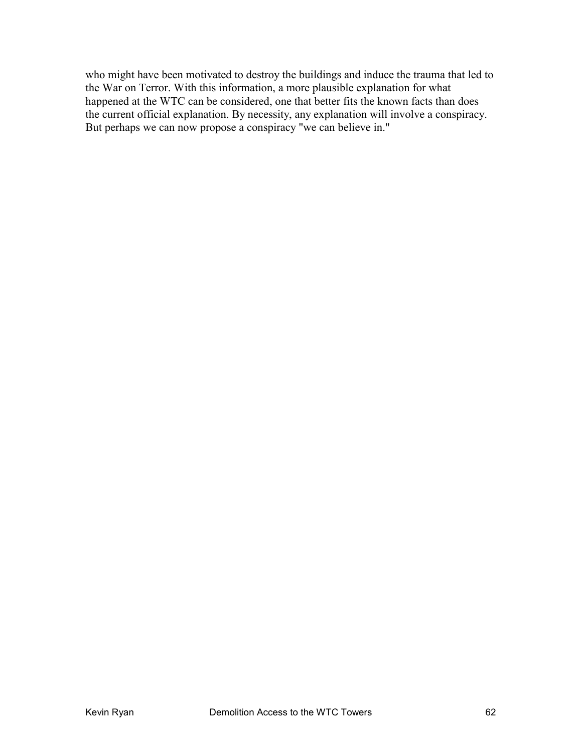who might have been motivated to destroy the buildings and induce the trauma that led to the War on Terror. With this information, a more plausible explanation for what happened at the WTC can be considered, one that better fits the known facts than does the current official explanation. By necessity, any explanation will involve a conspiracy. But perhaps we can now propose a conspiracy "we can believe in."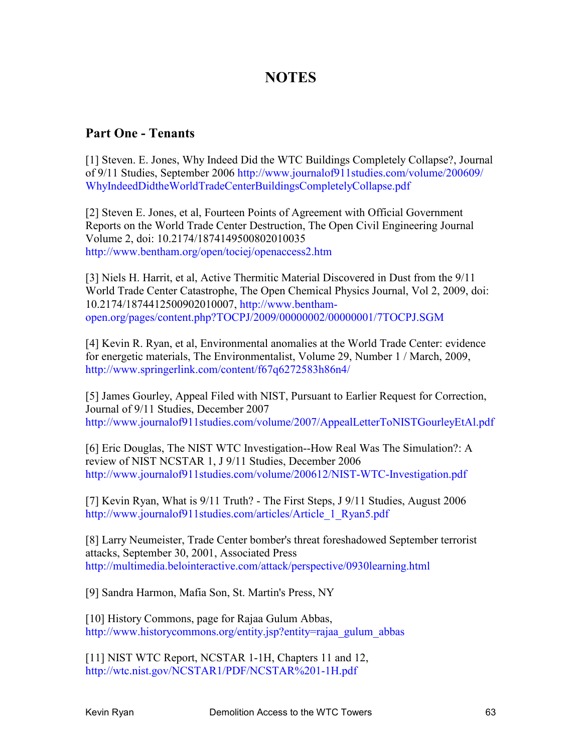# **NOTES**

#### **Part One - Tenants**

[1] Steven. E. Jones, Why Indeed Did the WTC Buildings Completely Collapse?, Journal of 9/11 Studies, September 2006 http://www.journalof911studies.com/volume/200609/ WhyIndeedDidtheWorldTradeCenterBuildingsCompletelyCollapse.pdf

[2] Steven E. Jones, et al, Fourteen Points of Agreement with Official Government Reports on the World Trade Center Destruction, The Open Civil Engineering Journal Volume 2, doi: 10.2174/1874149500802010035 http://www.bentham.org/open/tociej/openaccess2.htm

[3] Niels H. Harrit, et al, Active Thermitic Material Discovered in Dust from the 9/11 World Trade Center Catastrophe, The Open Chemical Physics Journal, Vol 2, 2009, doi: 10.2174/1874412500902010007, http://www.benthamopen.org/pages/content.php?TOCPJ/2009/00000002/00000001/7TOCPJ.SGM

[4] Kevin R. Ryan, et al, Environmental anomalies at the World Trade Center: evidence for energetic materials, The Environmentalist, Volume 29, Number 1 / March, 2009, http://www.springerlink.com/content/f67q6272583h86n4/

[5] James Gourley, Appeal Filed with NIST, Pursuant to Earlier Request for Correction, Journal of 9/11 Studies, December 2007 http://www.journalof911studies.com/volume/2007/AppealLetterToNISTGourleyEtAl.pdf

[6] Eric Douglas, The NIST WTC Investigation--How Real Was The Simulation?: A review of NIST NCSTAR 1, J 9/11 Studies, December 2006 http://www.journalof911studies.com/volume/200612/NIST-WTC-Investigation.pdf

[7] Kevin Ryan, What is 9/11 Truth? - The First Steps, J 9/11 Studies, August 2006 http://www.journalof911studies.com/articles/Article\_1\_Ryan5.pdf

[8] Larry Neumeister, Trade Center bomber's threat foreshadowed September terrorist attacks, September 30, 2001, Associated Press http://multimedia.belointeractive.com/attack/perspective/0930learning.html

[9] Sandra Harmon, Mafia Son, St. Martin's Press, NY

[10] History Commons, page for Rajaa Gulum Abbas, http://www.historycommons.org/entity.jsp?entity=rajaa\_gulum\_abbas

[11] NIST WTC Report, NCSTAR 1-1H, Chapters 11 and 12, http://wtc.nist.gov/NCSTAR1/PDF/NCSTAR%201-1H.pdf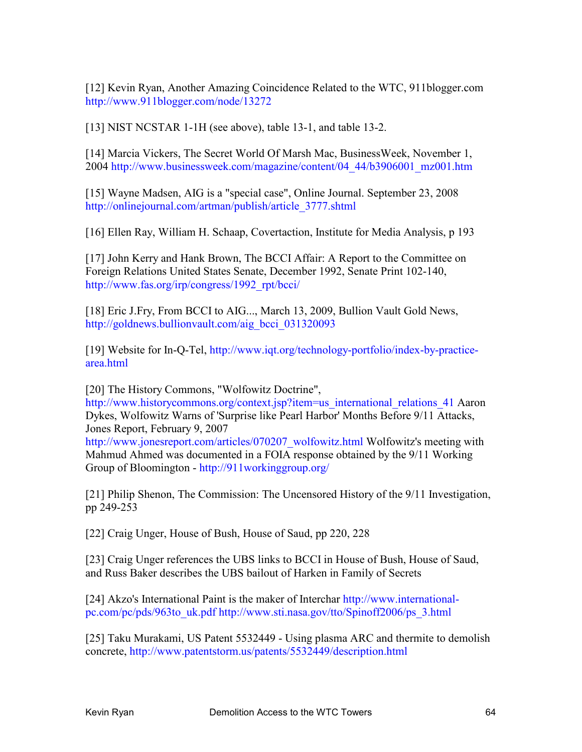[12] Kevin Ryan, Another Amazing Coincidence Related to the WTC, 911blogger.com http://www.911blogger.com/node/13272

[13] NIST NCSTAR 1-1H (see above), table 13-1, and table 13-2.

[14] Marcia Vickers, The Secret World Of Marsh Mac, BusinessWeek, November 1, 2004 http://www.businessweek.com/magazine/content/04\_44/b3906001\_mz001.htm

[15] Wayne Madsen, AIG is a "special case", Online Journal. September 23, 2008 http://onlinejournal.com/artman/publish/article\_3777.shtml

[16] Ellen Ray, William H. Schaap, Covertaction, Institute for Media Analysis, p 193

[17] John Kerry and Hank Brown, The BCCI Affair: A Report to the Committee on Foreign Relations United States Senate, December 1992, Senate Print 102-140, http://www.fas.org/irp/congress/1992\_rpt/bcci/

[18] Eric J.Fry, From BCCI to AIG..., March 13, 2009, Bullion Vault Gold News, http://goldnews.bullionvault.com/aig\_bcci\_031320093

[19] Website for In-Q-Tel, http://www.iqt.org/technology-portfolio/index-by-practicearea.html

[20] The History Commons, "Wolfowitz Doctrine",

http://www.historycommons.org/context.jsp?item=us\_international\_relations\_41 Aaron Dykes, Wolfowitz Warns of 'Surprise like Pearl Harbor' Months Before 9/11 Attacks, Jones Report, February 9, 2007

http://www.jonesreport.com/articles/070207\_wolfowitz.html Wolfowitz's meeting with Mahmud Ahmed was documented in a FOIA response obtained by the 9/11 Working Group of Bloomington - http://911workinggroup.org/

[21] Philip Shenon, The Commission: The Uncensored History of the 9/11 Investigation, pp 249-253

[22] Craig Unger, House of Bush, House of Saud, pp 220, 228

[23] Craig Unger references the UBS links to BCCI in House of Bush, House of Saud, and Russ Baker describes the UBS bailout of Harken in Family of Secrets

[24] Akzo's International Paint is the maker of Interchar http://www.internationalpc.com/pc/pds/963to\_uk.pdf http://www.sti.nasa.gov/tto/Spinoff2006/ps\_3.html

[25] Taku Murakami, US Patent 5532449 - Using plasma ARC and thermite to demolish concrete, http://www.patentstorm.us/patents/5532449/description.html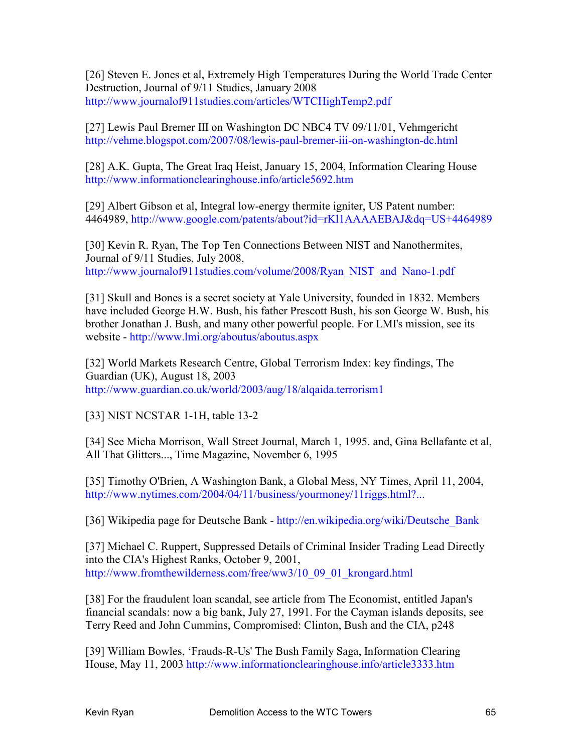[26] Steven E. Jones et al, Extremely High Temperatures During the World Trade Center Destruction, Journal of 9/11 Studies, January 2008 http://www.journalof911studies.com/articles/WTCHighTemp2.pdf

[27] Lewis Paul Bremer III on Washington DC NBC4 TV 09/11/01, Vehmgericht http://vehme.blogspot.com/2007/08/lewis-paul-bremer-iii-on-washington-dc.html

[28] A.K. Gupta, The Great Iraq Heist, January 15, 2004, Information Clearing House http://www.informationclearinghouse.info/article5692.htm

[29] Albert Gibson et al, Integral low-energy thermite igniter, US Patent number: 4464989, http://www.google.com/patents/about?id=rKl1AAAAEBAJ&dq=US+4464989

[30] Kevin R. Ryan, The Top Ten Connections Between NIST and Nanothermites, Journal of 9/11 Studies, July 2008, http://www.journalof911studies.com/volume/2008/Ryan\_NIST\_and\_Nano-1.pdf

[31] Skull and Bones is a secret society at Yale University, founded in 1832. Members have included George H.W. Bush, his father Prescott Bush, his son George W. Bush, his brother Jonathan J. Bush, and many other powerful people. For LMI's mission, see its website - http://www.lmi.org/aboutus/aboutus.aspx

[32] World Markets Research Centre, Global Terrorism Index: key findings, The Guardian (UK), August 18, 2003 http://www.guardian.co.uk/world/2003/aug/18/alqaida.terrorism1

[33] NIST NCSTAR 1-1H, table 13-2

[34] See Micha Morrison, Wall Street Journal, March 1, 1995. and, Gina Bellafante et al, All That Glitters..., Time Magazine, November 6, 1995

[35] Timothy O'Brien, A Washington Bank, a Global Mess, NY Times, April 11, 2004, http://www.nytimes.com/2004/04/11/business/yourmoney/11riggs.html?...

[36] Wikipedia page for Deutsche Bank - http://en.wikipedia.org/wiki/Deutsche\_Bank

[37] Michael C. Ruppert, Suppressed Details of Criminal Insider Trading Lead Directly into the CIA's Highest Ranks, October 9, 2001, http://www.fromthewilderness.com/free/ww3/10\_09\_01\_krongard.html

[38] For the fraudulent loan scandal, see article from The Economist, entitled Japan's financial scandals: now a big bank, July 27, 1991. For the Cayman islands deposits, see Terry Reed and John Cummins, Compromised: Clinton, Bush and the CIA, p248

[39] William Bowles, 'Frauds-R-Us' The Bush Family Saga, Information Clearing House, May 11, 2003 http://www.informationclearinghouse.info/article3333.htm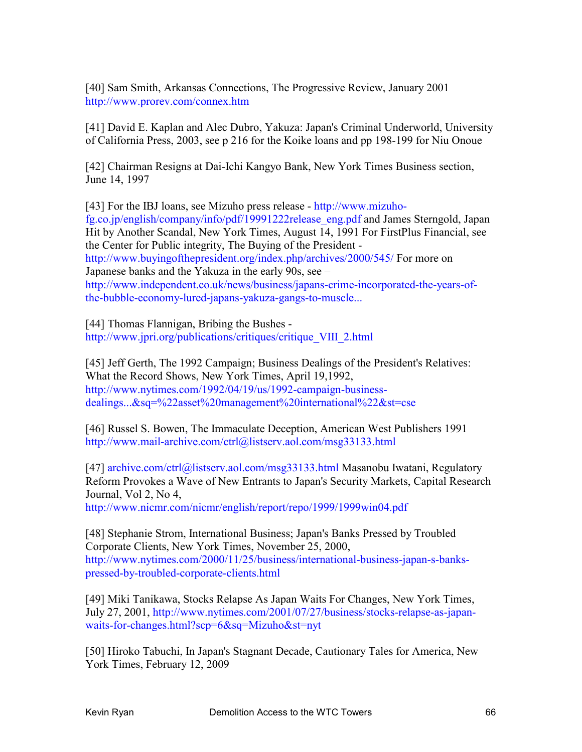[40] Sam Smith, Arkansas Connections, The Progressive Review, January 2001 http://www.prorev.com/connex.htm

[41] David E. Kaplan and Alec Dubro, Yakuza: Japan's Criminal Underworld, University of California Press, 2003, see p 216 for the Koike loans and pp 198-199 for Niu Onoue

[42] Chairman Resigns at Dai-Ichi Kangyo Bank, New York Times Business section, June 14, 1997

[43] For the IBJ loans, see Mizuho press release - http://www.mizuhofg.co.jp/english/company/info/pdf/19991222release\_eng.pdf and James Sterngold, Japan Hit by Another Scandal, New York Times, August 14, 1991 For FirstPlus Financial, see the Center for Public integrity, The Buying of the President http://www.buyingofthepresident.org/index.php/archives/2000/545/ For more on Japanese banks and the Yakuza in the early 90s, see – http://www.independent.co.uk/news/business/japans-crime-incorporated-the-years-ofthe-bubble-economy-lured-japans-yakuza-gangs-to-muscle...

[44] Thomas Flannigan, Bribing the Bushes http://www.jpri.org/publications/critiques/critique\_VIII\_2.html

[45] Jeff Gerth, The 1992 Campaign; Business Dealings of the President's Relatives: What the Record Shows, New York Times, April 19,1992, http://www.nytimes.com/1992/04/19/us/1992-campaign-businessdealings...&sq=%22asset%20management%20international%22&st=cse

[46] Russel S. Bowen, The Immaculate Deception, American West Publishers 1991 http://www.mail-archive.com/ctrl@listserv.aol.com/msg33133.html

[47] archive.com/ctrl@listserv.aol.com/msg33133.html Masanobu Iwatani, Regulatory Reform Provokes a Wave of New Entrants to Japan's Security Markets, Capital Research Journal, Vol 2, No 4,

http://www.nicmr.com/nicmr/english/report/repo/1999/1999win04.pdf

[48] Stephanie Strom, International Business; Japan's Banks Pressed by Troubled Corporate Clients, New York Times, November 25, 2000, http://www.nytimes.com/2000/11/25/business/international-business-japan-s-bankspressed-by-troubled-corporate-clients.html

[49] Miki Tanikawa, Stocks Relapse As Japan Waits For Changes, New York Times, July 27, 2001, http://www.nytimes.com/2001/07/27/business/stocks-relapse-as-japanwaits-for-changes.html?scp=6&sq=Mizuho&st=nyt

[50] Hiroko Tabuchi, In Japan's Stagnant Decade, Cautionary Tales for America, New York Times, February 12, 2009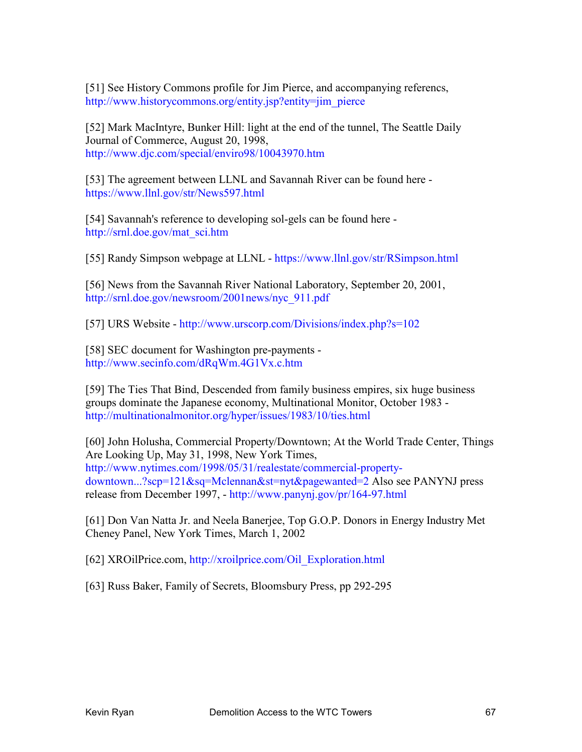[51] See History Commons profile for Jim Pierce, and accompanying referencs, http://www.historycommons.org/entity.jsp?entity=jim\_pierce

[52] Mark MacIntyre, Bunker Hill: light at the end of the tunnel, The Seattle Daily Journal of Commerce, August 20, 1998, http://www.djc.com/special/enviro98/10043970.htm

[53] The agreement between LLNL and Savannah River can be found here https://www.llnl.gov/str/News597.html

[54] Savannah's reference to developing sol-gels can be found here http://srnl.doe.gov/mat\_sci.htm

[55] Randy Simpson webpage at LLNL - https://www.llnl.gov/str/RSimpson.html

[56] News from the Savannah River National Laboratory, September 20, 2001, http://srnl.doe.gov/newsroom/2001news/nyc\_911.pdf

[57] URS Website - http://www.urscorp.com/Divisions/index.php?s=102

[58] SEC document for Washington pre-payments http://www.secinfo.com/dRqWm.4G1Vx.c.htm

[59] The Ties That Bind, Descended from family business empires, six huge business groups dominate the Japanese economy, Multinational Monitor, October 1983 http://multinationalmonitor.org/hyper/issues/1983/10/ties.html

[60] John Holusha, Commercial Property/Downtown; At the World Trade Center, Things Are Looking Up, May 31, 1998, New York Times, http://www.nytimes.com/1998/05/31/realestate/commercial-propertydowntown...?scp=121&sq=Mclennan&st=nyt&pagewanted=2 Also see PANYNJ press release from December 1997, - http://www.panynj.gov/pr/164-97.html

[61] Don Van Natta Jr. and Neela Banerjee, Top G.O.P. Donors in Energy Industry Met Cheney Panel, New York Times, March 1, 2002

[62] XROilPrice.com, http://xroilprice.com/Oil\_Exploration.html

[63] Russ Baker, Family of Secrets, Bloomsbury Press, pp 292-295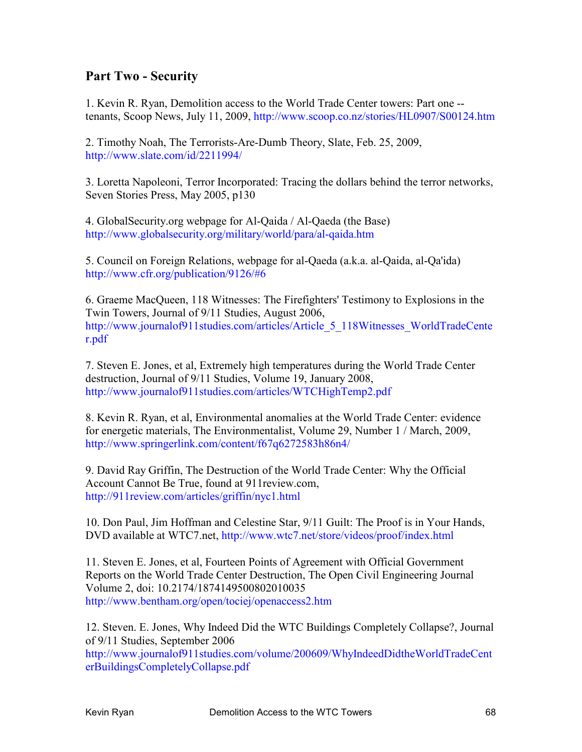### **Part Two - Security**

1. Kevin R. Ryan, Demolition access to the World Trade Center towers: Part one - tenants, Scoop News, July 11, 2009, http://www.scoop.co.nz/stories/HL0907/S00124.htm

2. Timothy Noah, The Terrorists-Are-Dumb Theory, Slate, Feb. 25, 2009, http://www.slate.com/id/2211994/

3. Loretta Napoleoni, Terror Incorporated: Tracing the dollars behind the terror networks, Seven Stories Press, May 2005, p130

4. GlobalSecurity.org webpage for Al-Qaida / Al-Qaeda (the Base) http://www.globalsecurity.org/military/world/para/al-qaida.htm

5. Council on Foreign Relations, webpage for al-Qaeda (a.k.a. al-Qaida, al-Qa'ida) http://www.cfr.org/publication/9126/#6

6. Graeme MacQueen, 118 Witnesses: The Firefighters' Testimony to Explosions in the Twin Towers, Journal of 9/11 Studies, August 2006, http://www.journalof911studies.com/articles/Article\_5\_118Witnesses\_WorldTradeCente r.pdf

7. Steven E. Jones, et al, Extremely high temperatures during the World Trade Center destruction, Journal of 9/11 Studies, Volume 19, January 2008, http://www.journalof911studies.com/articles/WTCHighTemp2.pdf

8. Kevin R. Ryan, et al, Environmental anomalies at the World Trade Center: evidence for energetic materials, The Environmentalist, Volume 29, Number 1 / March, 2009, http://www.springerlink.com/content/f67q6272583h86n4/

9. David Ray Griffin, The Destruction of the World Trade Center: Why the Official Account Cannot Be True, found at 911review.com, http://911review.com/articles/griffin/nyc1.html

10. Don Paul, Jim Hoffman and Celestine Star, 9/11 Guilt: The Proof is in Your Hands, DVD available at WTC7.net, http://www.wtc7.net/store/videos/proof/index.html

11. Steven E. Jones, et al, Fourteen Points of Agreement with Official Government Reports on the World Trade Center Destruction, The Open Civil Engineering Journal Volume 2, doi: 10.2174/1874149500802010035 http://www.bentham.org/open/tociej/openaccess2.htm

12. Steven. E. Jones, Why Indeed Did the WTC Buildings Completely Collapse?, Journal of 9/11 Studies, September 2006

http://www.journalof911studies.com/volume/200609/WhyIndeedDidtheWorldTradeCent erBuildingsCompletelyCollapse.pdf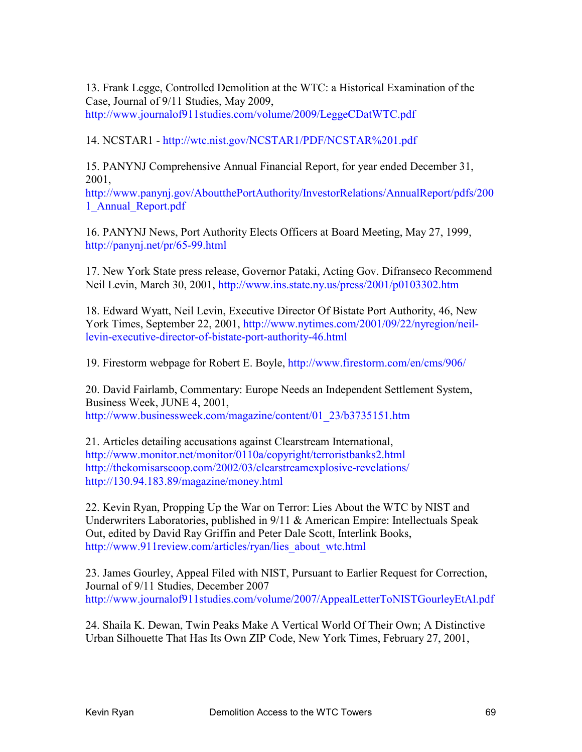13. Frank Legge, Controlled Demolition at the WTC: a Historical Examination of the Case, Journal of 9/11 Studies, May 2009, http://www.journalof911studies.com/volume/2009/LeggeCDatWTC.pdf

14. NCSTAR1 - http://wtc.nist.gov/NCSTAR1/PDF/NCSTAR%201.pdf

15. PANYNJ Comprehensive Annual Financial Report, for year ended December 31, 2001,

http://www.panynj.gov/AboutthePortAuthority/InvestorRelations/AnnualReport/pdfs/200 1<sup>-</sup>Annual Report.pdf

16. PANYNJ News, Port Authority Elects Officers at Board Meeting, May 27, 1999, http://panynj.net/pr/65-99.html

17. New York State press release, Governor Pataki, Acting Gov. Difranseco Recommend Neil Levin, March 30, 2001, http://www.ins.state.ny.us/press/2001/p0103302.htm

18. Edward Wyatt, Neil Levin, Executive Director Of Bistate Port Authority, 46, New York Times, September 22, 2001, http://www.nytimes.com/2001/09/22/nyregion/neillevin-executive-director-of-bistate-port-authority-46.html

19. Firestorm webpage for Robert E. Boyle, http://www.firestorm.com/en/cms/906/

20. David Fairlamb, Commentary: Europe Needs an Independent Settlement System, Business Week, JUNE 4, 2001, http://www.businessweek.com/magazine/content/01\_23/b3735151.htm

21. Articles detailing accusations against Clearstream International, http://www.monitor.net/monitor/0110a/copyright/terroristbanks2.html http://thekomisarscoop.com/2002/03/clearstreamexplosive-revelations/ http://130.94.183.89/magazine/money.html

22. Kevin Ryan, Propping Up the War on Terror: Lies About the WTC by NIST and Underwriters Laboratories, published in 9/11 & American Empire: Intellectuals Speak Out, edited by David Ray Griffin and Peter Dale Scott, Interlink Books, http://www.911review.com/articles/ryan/lies\_about\_wtc.html

23. James Gourley, Appeal Filed with NIST, Pursuant to Earlier Request for Correction, Journal of 9/11 Studies, December 2007 http://www.journalof911studies.com/volume/2007/AppealLetterToNISTGourleyEtAl.pdf

24. Shaila K. Dewan, Twin Peaks Make A Vertical World Of Their Own; A Distinctive Urban Silhouette That Has Its Own ZIP Code, New York Times, February 27, 2001,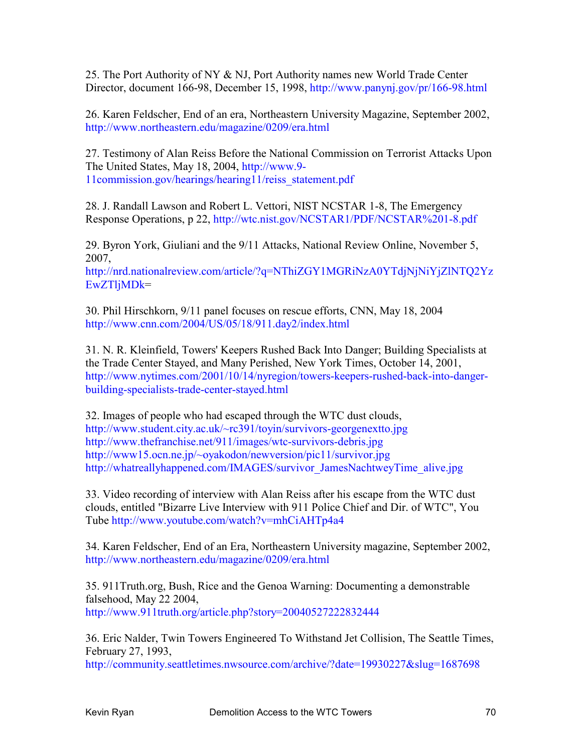25. The Port Authority of NY & NJ, Port Authority names new World Trade Center Director, document 166-98, December 15, 1998, http://www.panynj.gov/pr/166-98.html

26. Karen Feldscher, End of an era, Northeastern University Magazine, September 2002, http://www.northeastern.edu/magazine/0209/era.html

27. Testimony of Alan Reiss Before the National Commission on Terrorist Attacks Upon The United States, May 18, 2004, http://www.9- 11commission.gov/hearings/hearing11/reiss\_statement.pdf

28. J. Randall Lawson and Robert L. Vettori, NIST NCSTAR 1-8, The Emergency Response Operations, p 22, http://wtc.nist.gov/NCSTAR1/PDF/NCSTAR%201-8.pdf

29. Byron York, Giuliani and the 9/11 Attacks, National Review Online, November 5, 2007,

http://nrd.nationalreview.com/article/?q=NThiZGY1MGRiNzA0YTdjNjNiYjZlNTQ2Yz EwZTljMDk=

30. Phil Hirschkorn, 9/11 panel focuses on rescue efforts, CNN, May 18, 2004 http://www.cnn.com/2004/US/05/18/911.day2/index.html

31. N. R. Kleinfield, Towers' Keepers Rushed Back Into Danger; Building Specialists at the Trade Center Stayed, and Many Perished, New York Times, October 14, 2001, http://www.nytimes.com/2001/10/14/nyregion/towers-keepers-rushed-back-into-dangerbuilding-specialists-trade-center-stayed.html

32. Images of people who had escaped through the WTC dust clouds, http://www.student.city.ac.uk/~rc391/toyin/survivors-georgenextto.jpg http://www.thefranchise.net/911/images/wtc-survivors-debris.jpg http://www15.ocn.ne.jp/~oyakodon/newversion/pic11/survivor.jpg http://whatreallyhappened.com/IMAGES/survivor\_JamesNachtweyTime\_alive.jpg

33. Video recording of interview with Alan Reiss after his escape from the WTC dust clouds, entitled "Bizarre Live Interview with 911 Police Chief and Dir. of WTC", You Tube http://www.youtube.com/watch?v=mhCiAHTp4a4

34. Karen Feldscher, End of an Era, Northeastern University magazine, September 2002, http://www.northeastern.edu/magazine/0209/era.html

35. 911Truth.org, Bush, Rice and the Genoa Warning: Documenting a demonstrable falsehood, May 22 2004, http://www.911truth.org/article.php?story=20040527222832444

36. Eric Nalder, Twin Towers Engineered To Withstand Jet Collision, The Seattle Times, February 27, 1993,

http://community.seattletimes.nwsource.com/archive/?date=19930227&slug=1687698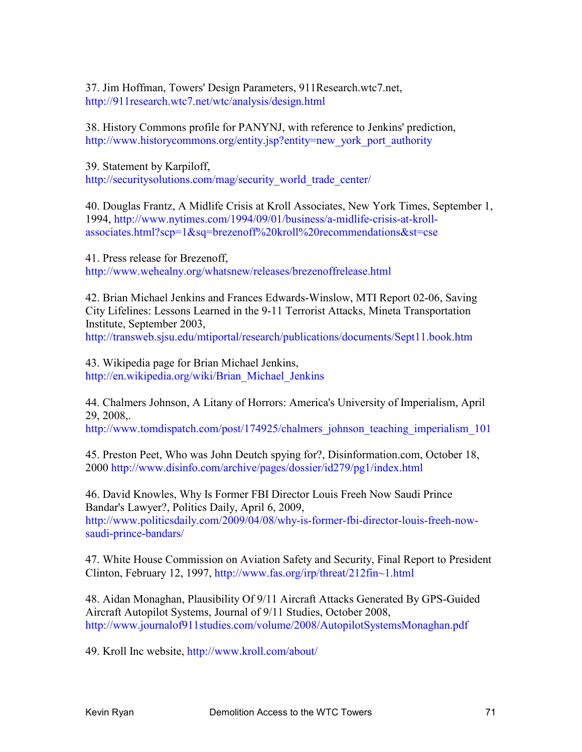37. Jim Hoffman, Towers' Design Parameters, 911Research.wtc7.net, http://911research.wtc7.net/wtc/analysis/design.html

38. History Commons profile for PANYNJ, with reference to Jenkins' prediction, http://www.historycommons.org/entity.jsp?entity=new\_york\_port\_authority

39. Statement by Karpiloff, http://securitysolutions.com/mag/security\_world\_trade\_center/

40. Douglas Frantz, A Midlife Crisis at Kroll Associates, New York Times, September 1, 1994, http://www.nytimes.com/1994/09/01/business/a-midlife-crisis-at-krollassociates.html?scp=1&sq=brezenoff%20kroll%20recommendations&st=cse

41. Press release for Brezenoff, http://www.wehealny.org/whatsnew/releases/brezenoffrelease.html

42. Brian Michael Jenkins and Frances Edwards-Winslow, MTI Report 02-06, Saving City Lifelines: Lessons Learned in the 9-11 Terrorist Attacks, Mineta Transportation Institute, September 2003, http://transweb.sjsu.edu/mtiportal/research/publications/documents/Sept11.book.htm

43. Wikipedia page for Brian Michael Jenkins, http://en.wikipedia.org/wiki/Brian\_Michael\_Jenkins

44. Chalmers Johnson, A Litany of Horrors: America's University of Imperialism, April 29, 2008,.

http://www.tomdispatch.com/post/174925/chalmers\_johnson\_teaching\_imperialism\_101

45. Preston Peet, Who was John Deutch spying for?, Disinformation.com, October 18, 2000 http://www.disinfo.com/archive/pages/dossier/id279/pg1/index.html

46. David Knowles, Why Is Former FBI Director Louis Freeh Now Saudi Prince Bandar's Lawyer?, Politics Daily, April 6, 2009, http://www.politicsdaily.com/2009/04/08/why-is-former-fbi-director-louis-freeh-nowsaudi-prince-bandars/

47. White House Commission on Aviation Safety and Security, Final Report to President Clinton, February 12, 1997, http://www.fas.org/irp/threat/212fin~1.html

48. Aidan Monaghan, Plausibility Of 9/11 Aircraft Attacks Generated By GPS-Guided Aircraft Autopilot Systems, Journal of 9/11 Studies, October 2008, http://www.journalof911studies.com/volume/2008/AutopilotSystemsMonaghan.pdf

49. Kroll Inc website, http://www.kroll.com/about/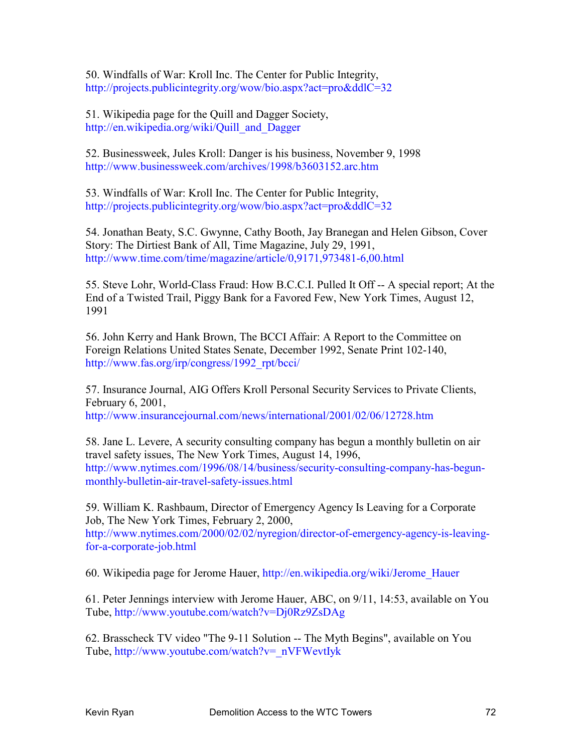50. Windfalls of War: Kroll Inc. The Center for Public Integrity, http://projects.publicintegrity.org/wow/bio.aspx?act=pro&ddlC=32

51. Wikipedia page for the Quill and Dagger Society, http://en.wikipedia.org/wiki/Quill\_and\_Dagger

52. Businessweek, Jules Kroll: Danger is his business, November 9, 1998 http://www.businessweek.com/archives/1998/b3603152.arc.htm

53. Windfalls of War: Kroll Inc. The Center for Public Integrity, http://projects.publicintegrity.org/wow/bio.aspx?act=pro&ddlC=32

54. Jonathan Beaty, S.C. Gwynne, Cathy Booth, Jay Branegan and Helen Gibson, Cover Story: The Dirtiest Bank of All, Time Magazine, July 29, 1991, http://www.time.com/time/magazine/article/0,9171,973481-6,00.html

55. Steve Lohr, World-Class Fraud: How B.C.C.I. Pulled It Off -- A special report; At the End of a Twisted Trail, Piggy Bank for a Favored Few, New York Times, August 12, 1991

56. John Kerry and Hank Brown, The BCCI Affair: A Report to the Committee on Foreign Relations United States Senate, December 1992, Senate Print 102-140, http://www.fas.org/irp/congress/1992\_rpt/bcci/

57. Insurance Journal, AIG Offers Kroll Personal Security Services to Private Clients, February 6, 2001, http://www.insurancejournal.com/news/international/2001/02/06/12728.htm

58. Jane L. Levere, A security consulting company has begun a monthly bulletin on air travel safety issues, The New York Times, August 14, 1996, http://www.nytimes.com/1996/08/14/business/security-consulting-company-has-begunmonthly-bulletin-air-travel-safety-issues.html

59. William K. Rashbaum, Director of Emergency Agency Is Leaving for a Corporate Job, The New York Times, February 2, 2000, http://www.nytimes.com/2000/02/02/nyregion/director-of-emergency-agency-is-leavingfor-a-corporate-job.html

60. Wikipedia page for Jerome Hauer, http://en.wikipedia.org/wiki/Jerome\_Hauer

61. Peter Jennings interview with Jerome Hauer, ABC, on 9/11, 14:53, available on You Tube, http://www.youtube.com/watch?v=Dj0Rz9ZsDAg

62. Brasscheck TV video "The 9-11 Solution -- The Myth Begins", available on You Tube, http://www.youtube.com/watch?v=\_nVFWevtIyk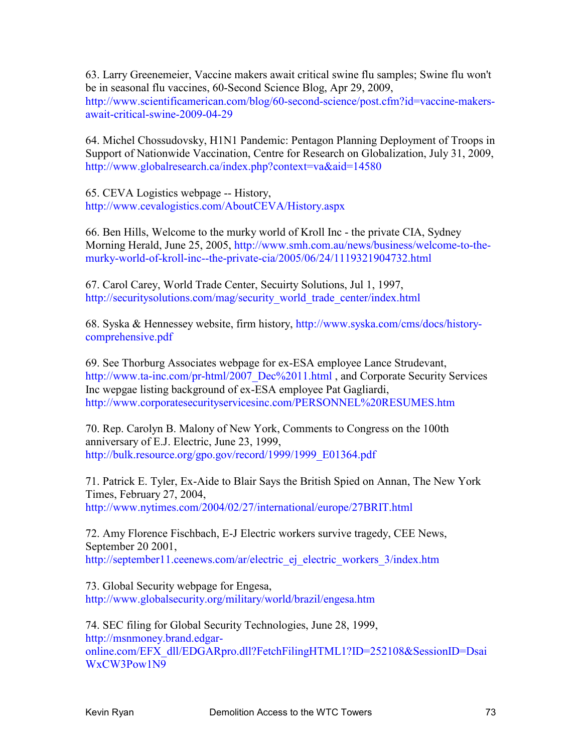63. Larry Greenemeier, Vaccine makers await critical swine flu samples; Swine flu won't be in seasonal flu vaccines, 60-Second Science Blog, Apr 29, 2009, http://www.scientificamerican.com/blog/60-second-science/post.cfm?id=vaccine-makersawait-critical-swine-2009-04-29

64. Michel Chossudovsky, H1N1 Pandemic: Pentagon Planning Deployment of Troops in Support of Nationwide Vaccination, Centre for Research on Globalization, July 31, 2009, http://www.globalresearch.ca/index.php?context=va&aid=14580

65. CEVA Logistics webpage -- History, http://www.cevalogistics.com/AboutCEVA/History.aspx

66. Ben Hills, Welcome to the murky world of Kroll Inc - the private CIA, Sydney Morning Herald, June 25, 2005, http://www.smh.com.au/news/business/welcome-to-themurky-world-of-kroll-inc--the-private-cia/2005/06/24/1119321904732.html

67. Carol Carey, World Trade Center, Secuirty Solutions, Jul 1, 1997, http://securitysolutions.com/mag/security\_world\_trade\_center/index.html

68. Syska & Hennessey website, firm history, http://www.syska.com/cms/docs/historycomprehensive.pdf

69. See Thorburg Associates webpage for ex-ESA employee Lance Strudevant, http://www.ta-inc.com/pr-html/2007\_Dec%2011.html, and Corporate Security Services Inc wepgae listing background of ex-ESA employee Pat Gagliardi, http://www.corporatesecurityservicesinc.com/PERSONNEL%20RESUMES.htm

70. Rep. Carolyn B. Malony of New York, Comments to Congress on the 100th anniversary of E.J. Electric, June 23, 1999, http://bulk.resource.org/gpo.gov/record/1999/1999\_E01364.pdf

71. Patrick E. Tyler, Ex-Aide to Blair Says the British Spied on Annan, The New York Times, February 27, 2004, http://www.nytimes.com/2004/02/27/international/europe/27BRIT.html

72. Amy Florence Fischbach, E-J Electric workers survive tragedy, CEE News, September 20 2001, http://september11.ceenews.com/ar/electric\_ej\_electric\_workers\_3/index.htm

73. Global Security webpage for Engesa, http://www.globalsecurity.org/military/world/brazil/engesa.htm

74. SEC filing for Global Security Technologies, June 28, 1999, http://msnmoney.brand.edgaronline.com/EFX\_dll/EDGARpro.dll?FetchFilingHTML1?ID=252108&SessionID=Dsai WxCW3Pow1N9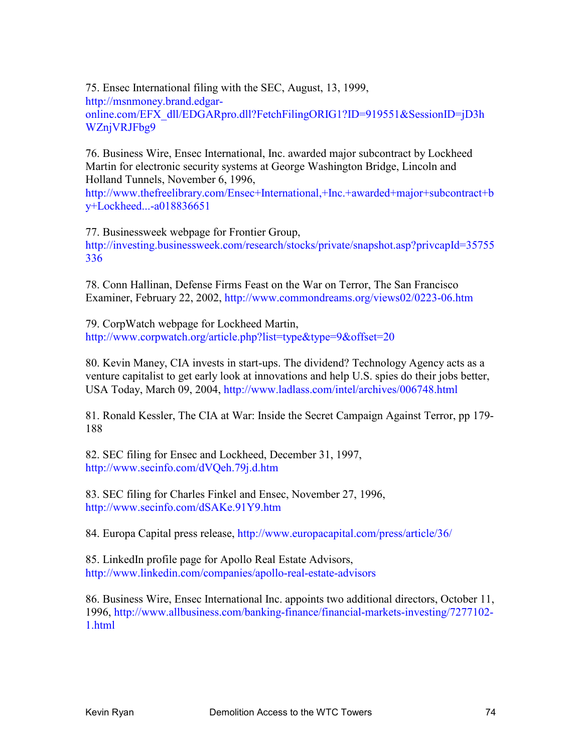75. Ensec International filing with the SEC, August, 13, 1999, http://msnmoney.brand.edgaronline.com/EFX\_dll/EDGARpro.dll?FetchFilingORIG1?ID=919551&SessionID=jD3h WZnjVRJFbg9

76. Business Wire, Ensec International, Inc. awarded major subcontract by Lockheed Martin for electronic security systems at George Washington Bridge, Lincoln and Holland Tunnels, November 6, 1996,

http://www.thefreelibrary.com/Ensec+International,+Inc.+awarded+major+subcontract+b y+Lockheed...-a018836651

77. Businessweek webpage for Frontier Group, http://investing.businessweek.com/research/stocks/private/snapshot.asp?privcapId=35755 336

78. Conn Hallinan, Defense Firms Feast on the War on Terror, The San Francisco Examiner, February 22, 2002, http://www.commondreams.org/views02/0223-06.htm

79. CorpWatch webpage for Lockheed Martin, http://www.corpwatch.org/article.php?list=type&type=9&offset=20

80. Kevin Maney, CIA invests in start-ups. The dividend? Technology Agency acts as a venture capitalist to get early look at innovations and help U.S. spies do their jobs better, USA Today, March 09, 2004, http://www.ladlass.com/intel/archives/006748.html

81. Ronald Kessler, The CIA at War: Inside the Secret Campaign Against Terror, pp 179- 188

82. SEC filing for Ensec and Lockheed, December 31, 1997, http://www.secinfo.com/dVQeh.79j.d.htm

83. SEC filing for Charles Finkel and Ensec, November 27, 1996, http://www.secinfo.com/dSAKe.91Y9.htm

84. Europa Capital press release, http://www.europacapital.com/press/article/36/

85. LinkedIn profile page for Apollo Real Estate Advisors, http://www.linkedin.com/companies/apollo-real-estate-advisors

86. Business Wire, Ensec International Inc. appoints two additional directors, October 11, 1996, http://www.allbusiness.com/banking-finance/financial-markets-investing/7277102- 1.html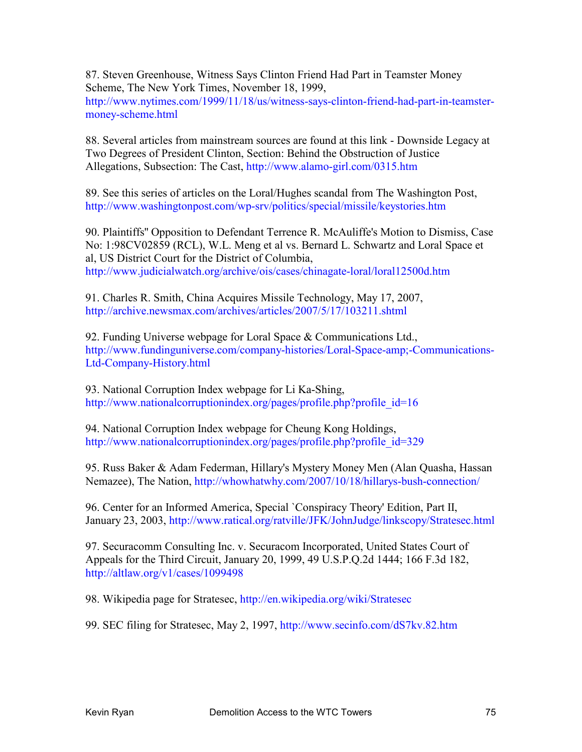87. Steven Greenhouse, Witness Says Clinton Friend Had Part in Teamster Money Scheme, The New York Times, November 18, 1999, http://www.nytimes.com/1999/11/18/us/witness-says-clinton-friend-had-part-in-teamstermoney-scheme.html

88. Several articles from mainstream sources are found at this link - Downside Legacy at Two Degrees of President Clinton, Section: Behind the Obstruction of Justice Allegations, Subsection: The Cast, http://www.alamo-girl.com/0315.htm

89. See this series of articles on the Loral/Hughes scandal from The Washington Post, http://www.washingtonpost.com/wp-srv/politics/special/missile/keystories.htm

90. Plaintiffs'' Opposition to Defendant Terrence R. McAuliffe's Motion to Dismiss, Case No: 1:98CV02859 (RCL), W.L. Meng et al vs. Bernard L. Schwartz and Loral Space et al, US District Court for the District of Columbia, http://www.judicialwatch.org/archive/ois/cases/chinagate-loral/loral12500d.htm

91. Charles R. Smith, China Acquires Missile Technology, May 17, 2007, http://archive.newsmax.com/archives/articles/2007/5/17/103211.shtml

92. Funding Universe webpage for Loral Space & Communications Ltd., http://www.fundinguniverse.com/company-histories/Loral-Space-amp;-Communications-Ltd-Company-History.html

93. National Corruption Index webpage for Li Ka-Shing, http://www.nationalcorruptionindex.org/pages/profile.php?profile\_id=16

94. National Corruption Index webpage for Cheung Kong Holdings, http://www.nationalcorruptionindex.org/pages/profile.php?profile\_id=329

95. Russ Baker & Adam Federman, Hillary's Mystery Money Men (Alan Quasha, Hassan Nemazee), The Nation, http://whowhatwhy.com/2007/10/18/hillarys-bush-connection/

96. Center for an Informed America, Special `Conspiracy Theory' Edition, Part II, January 23, 2003, http://www.ratical.org/ratville/JFK/JohnJudge/linkscopy/Stratesec.html

97. Securacomm Consulting Inc. v. Securacom Incorporated, United States Court of Appeals for the Third Circuit, January 20, 1999, 49 U.S.P.Q.2d 1444; 166 F.3d 182, http://altlaw.org/v1/cases/1099498

98. Wikipedia page for Stratesec, http://en.wikipedia.org/wiki/Stratesec

99. SEC filing for Stratesec, May 2, 1997, http://www.secinfo.com/dS7kv.82.htm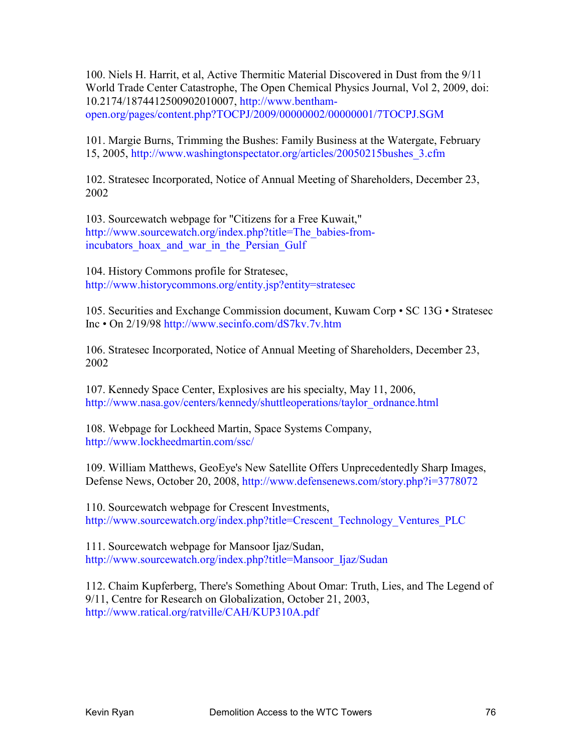100. Niels H. Harrit, et al, Active Thermitic Material Discovered in Dust from the 9/11 World Trade Center Catastrophe, The Open Chemical Physics Journal, Vol 2, 2009, doi: 10.2174/1874412500902010007, http://www.benthamopen.org/pages/content.php?TOCPJ/2009/00000002/00000001/7TOCPJ.SGM

101. Margie Burns, Trimming the Bushes: Family Business at the Watergate, February 15, 2005, http://www.washingtonspectator.org/articles/20050215bushes\_3.cfm

102. Stratesec Incorporated, Notice of Annual Meeting of Shareholders, December 23, 2002

103. Sourcewatch webpage for "Citizens for a Free Kuwait," http://www.sourcewatch.org/index.php?title=The\_babies-fromincubators hoax and war in the Persian Gulf

104. History Commons profile for Stratesec, http://www.historycommons.org/entity.jsp?entity=stratesec

105. Securities and Exchange Commission document, Kuwam Corp • SC 13G • Stratesec Inc • On 2/19/98 http://www.secinfo.com/dS7kv.7v.htm

106. Stratesec Incorporated, Notice of Annual Meeting of Shareholders, December 23, 2002

107. Kennedy Space Center, Explosives are his specialty, May 11, 2006, http://www.nasa.gov/centers/kennedy/shuttleoperations/taylor\_ordnance.html

108. Webpage for Lockheed Martin, Space Systems Company, http://www.lockheedmartin.com/ssc/

109. William Matthews, GeoEye's New Satellite Offers Unprecedentedly Sharp Images, Defense News, October 20, 2008, http://www.defensenews.com/story.php?i=3778072

110. Sourcewatch webpage for Crescent Investments, http://www.sourcewatch.org/index.php?title=Crescent\_Technology\_Ventures\_PLC

111. Sourcewatch webpage for Mansoor Ijaz/Sudan, http://www.sourcewatch.org/index.php?title=Mansoor\_Ijaz/Sudan

112. Chaim Kupferberg, There's Something About Omar: Truth, Lies, and The Legend of 9/11, Centre for Research on Globalization, October 21, 2003, http://www.ratical.org/ratville/CAH/KUP310A.pdf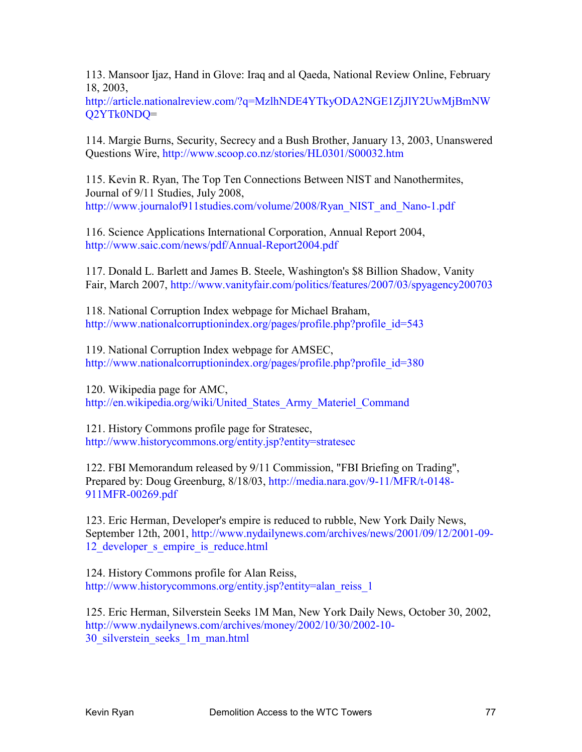113. Mansoor Ijaz, Hand in Glove: Iraq and al Qaeda, National Review Online, February 18, 2003,

http://article.nationalreview.com/?q=MzlhNDE4YTkyODA2NGE1ZjJlY2UwMjBmNW Q2YTk0NDQ=

114. Margie Burns, Security, Secrecy and a Bush Brother, January 13, 2003, Unanswered Questions Wire, http://www.scoop.co.nz/stories/HL0301/S00032.htm

115. Kevin R. Ryan, The Top Ten Connections Between NIST and Nanothermites, Journal of 9/11 Studies, July 2008, http://www.journalof911studies.com/volume/2008/Ryan\_NIST\_and\_Nano-1.pdf

116. Science Applications International Corporation, Annual Report 2004, http://www.saic.com/news/pdf/Annual-Report2004.pdf

117. Donald L. Barlett and James B. Steele, Washington's \$8 Billion Shadow, Vanity Fair, March 2007, http://www.vanityfair.com/politics/features/2007/03/spyagency200703

118. National Corruption Index webpage for Michael Braham, http://www.nationalcorruptionindex.org/pages/profile.php?profile\_id=543

119. National Corruption Index webpage for AMSEC, http://www.nationalcorruptionindex.org/pages/profile.php?profile\_id=380

120. Wikipedia page for AMC, http://en.wikipedia.org/wiki/United States Army Materiel Command

121. History Commons profile page for Stratesec, http://www.historycommons.org/entity.jsp?entity=stratesec

122. FBI Memorandum released by 9/11 Commission, "FBI Briefing on Trading", Prepared by: Doug Greenburg, 8/18/03, http://media.nara.gov/9-11/MFR/t-0148- 911MFR-00269.pdf

123. Eric Herman, Developer's empire is reduced to rubble, New York Daily News, September 12th, 2001, http://www.nydailynews.com/archives/news/2001/09/12/2001-09- 12 developer s empire is reduce.html

124. History Commons profile for Alan Reiss, http://www.historycommons.org/entity.jsp?entity=alan\_reiss\_1

125. Eric Herman, Silverstein Seeks 1M Man, New York Daily News, October 30, 2002, http://www.nydailynews.com/archives/money/2002/10/30/2002-10- 30\_silverstein\_seeks\_1m\_man.html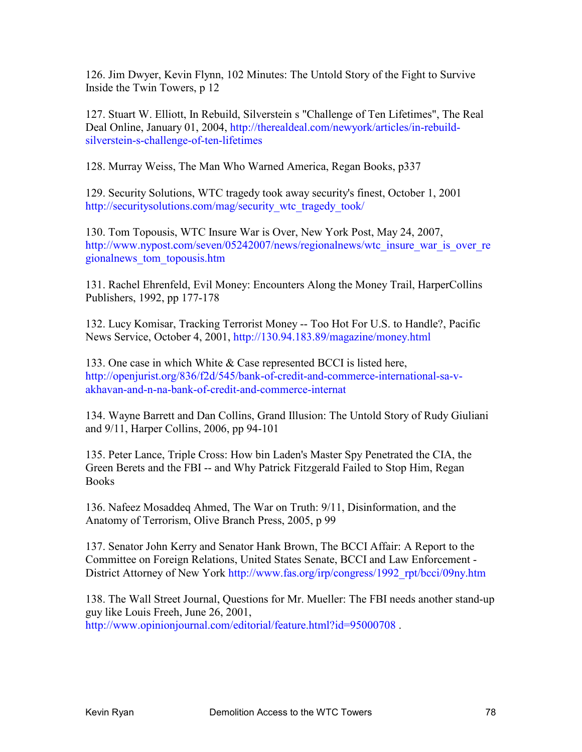126. Jim Dwyer, Kevin Flynn, 102 Minutes: The Untold Story of the Fight to Survive Inside the Twin Towers, p 12

127. Stuart W. Elliott, In Rebuild, Silverstein s "Challenge of Ten Lifetimes", The Real Deal Online, January 01, 2004, http://therealdeal.com/newyork/articles/in-rebuildsilverstein-s-challenge-of-ten-lifetimes

128. Murray Weiss, The Man Who Warned America, Regan Books, p337

129. Security Solutions, WTC tragedy took away security's finest, October 1, 2001 http://securitysolutions.com/mag/security\_wtc\_tragedy\_took/

130. Tom Topousis, WTC Insure War is Over, New York Post, May 24, 2007, http://www.nypost.com/seven/05242007/news/regionalnews/wtc\_insure\_war\_is\_over\_re gionalnews\_tom\_topousis.htm

131. Rachel Ehrenfeld, Evil Money: Encounters Along the Money Trail, HarperCollins Publishers, 1992, pp 177-178

132. Lucy Komisar, Tracking Terrorist Money -- Too Hot For U.S. to Handle?, Pacific News Service, October 4, 2001, http://130.94.183.89/magazine/money.html

133. One case in which White & Case represented BCCI is listed here, http://openjurist.org/836/f2d/545/bank-of-credit-and-commerce-international-sa-vakhavan-and-n-na-bank-of-credit-and-commerce-internat

134. Wayne Barrett and Dan Collins, Grand Illusion: The Untold Story of Rudy Giuliani and 9/11, Harper Collins, 2006, pp 94-101

135. Peter Lance, Triple Cross: How bin Laden's Master Spy Penetrated the CIA, the Green Berets and the FBI -- and Why Patrick Fitzgerald Failed to Stop Him, Regan Books

136. Nafeez Mosaddeq Ahmed, The War on Truth: 9/11, Disinformation, and the Anatomy of Terrorism, Olive Branch Press, 2005, p 99

137. Senator John Kerry and Senator Hank Brown, The BCCI Affair: A Report to the Committee on Foreign Relations, United States Senate, BCCI and Law Enforcement - District Attorney of New York http://www.fas.org/irp/congress/1992\_rpt/bcci/09ny.htm

138. The Wall Street Journal, Questions for Mr. Mueller: The FBI needs another stand-up guy like Louis Freeh, June 26, 2001, http://www.opinionjournal.com/editorial/feature.html?id=95000708.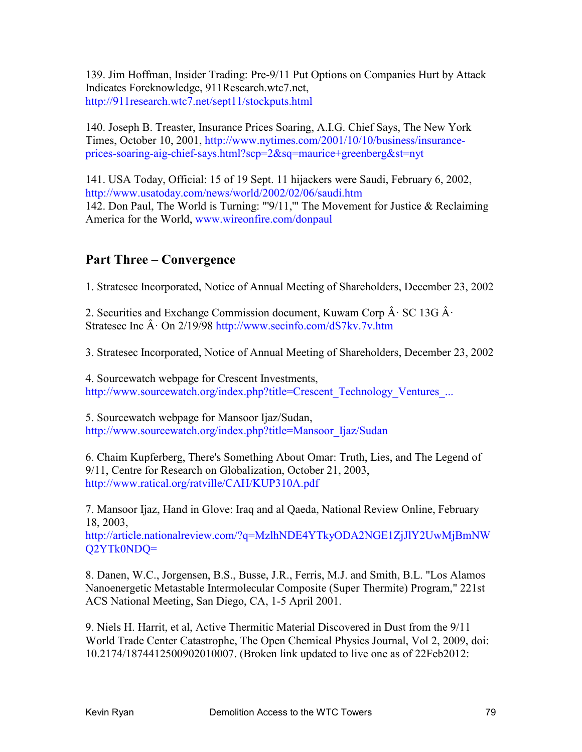139. Jim Hoffman, Insider Trading: Pre-9/11 Put Options on Companies Hurt by Attack Indicates Foreknowledge, 911Research.wtc7.net, http://911research.wtc7.net/sept11/stockputs.html

140. Joseph B. Treaster, Insurance Prices Soaring, A.I.G. Chief Says, The New York Times, October 10, 2001, http://www.nytimes.com/2001/10/10/business/insuranceprices-soaring-aig-chief-says.html?scp=2&sq=maurice+greenberg&st=nyt

141. USA Today, Official: 15 of 19 Sept. 11 hijackers were Saudi, February 6, 2002, http://www.usatoday.com/news/world/2002/02/06/saudi.htm 142. Don Paul, The World is Turning: "'9/11,'" The Movement for Justice & Reclaiming America for the World, www.wireonfire.com/donpaul

## **Part Three – Convergence**

1. Stratesec Incorporated, Notice of Annual Meeting of Shareholders, December 23, 2002

2. Securities and Exchange Commission document, Kuwam Corp  $\hat{A}$  · SC 13G  $\hat{A}$  · Stratesec Inc  $\hat{A}$  · On 2/19/98 http://www.secinfo.com/dS7kv.7v.htm

3. Stratesec Incorporated, Notice of Annual Meeting of Shareholders, December 23, 2002

4. Sourcewatch webpage for Crescent Investments, http://www.sourcewatch.org/index.php?title=Crescent\_Technology\_Ventures\_...

5. Sourcewatch webpage for Mansoor Ijaz/Sudan, http://www.sourcewatch.org/index.php?title=Mansoor\_Ijaz/Sudan

6. Chaim Kupferberg, There's Something About Omar: Truth, Lies, and The Legend of 9/11, Centre for Research on Globalization, October 21, 2003, http://www.ratical.org/ratville/CAH/KUP310A.pdf

7. Mansoor Ijaz, Hand in Glove: Iraq and al Qaeda, National Review Online, February 18, 2003,

http://article.nationalreview.com/?q=MzlhNDE4YTkyODA2NGE1ZjJlY2UwMjBmNW Q2YTk0NDQ=

8. Danen, W.C., Jorgensen, B.S., Busse, J.R., Ferris, M.J. and Smith, B.L. "Los Alamos Nanoenergetic Metastable Intermolecular Composite (Super Thermite) Program," 221st ACS National Meeting, San Diego, CA, 1-5 April 2001.

9. Niels H. Harrit, et al, Active Thermitic Material Discovered in Dust from the 9/11 World Trade Center Catastrophe, The Open Chemical Physics Journal, Vol 2, 2009, doi: 10.2174/1874412500902010007. (Broken link updated to live one as of 22Feb2012: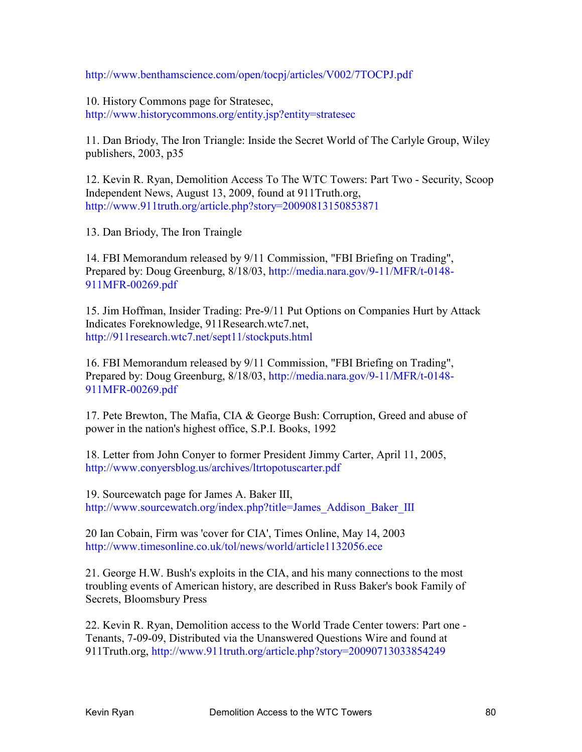http://www.benthamscience.com/open/tocpj/articles/V002/7TOCPJ.pdf

10. History Commons page for Stratesec, http://www.historycommons.org/entity.jsp?entity=stratesec

11. Dan Briody, The Iron Triangle: Inside the Secret World of The Carlyle Group, Wiley publishers, 2003, p35

12. Kevin R. Ryan, Demolition Access To The WTC Towers: Part Two - Security, Scoop Independent News, August 13, 2009, found at 911Truth.org, http://www.911truth.org/article.php?story=20090813150853871

13. Dan Briody, The Iron Traingle

14. FBI Memorandum released by 9/11 Commission, "FBI Briefing on Trading", Prepared by: Doug Greenburg, 8/18/03, http://media.nara.gov/9-11/MFR/t-0148- 911MFR-00269.pdf

15. Jim Hoffman, Insider Trading: Pre-9/11 Put Options on Companies Hurt by Attack Indicates Foreknowledge, 911Research.wtc7.net, http://911research.wtc7.net/sept11/stockputs.html

16. FBI Memorandum released by 9/11 Commission, "FBI Briefing on Trading", Prepared by: Doug Greenburg, 8/18/03, http://media.nara.gov/9-11/MFR/t-0148- 911MFR-00269.pdf

17. Pete Brewton, The Mafia, CIA & George Bush: Corruption, Greed and abuse of power in the nation's highest office, S.P.I. Books, 1992

18. Letter from John Conyer to former President Jimmy Carter, April 11, 2005, http://www.conyersblog.us/archives/ltrtopotuscarter.pdf

19. Sourcewatch page for James A. Baker III, http://www.sourcewatch.org/index.php?title=James\_Addison\_Baker\_III

20 Ian Cobain, Firm was 'cover for CIA', Times Online, May 14, 2003 http://www.timesonline.co.uk/tol/news/world/article1132056.ece

21. George H.W. Bush's exploits in the CIA, and his many connections to the most troubling events of American history, are described in Russ Baker's book Family of Secrets, Bloomsbury Press

22. Kevin R. Ryan, Demolition access to the World Trade Center towers: Part one - Tenants, 7-09-09, Distributed via the Unanswered Questions Wire and found at 911Truth.org, http://www.911truth.org/article.php?story=20090713033854249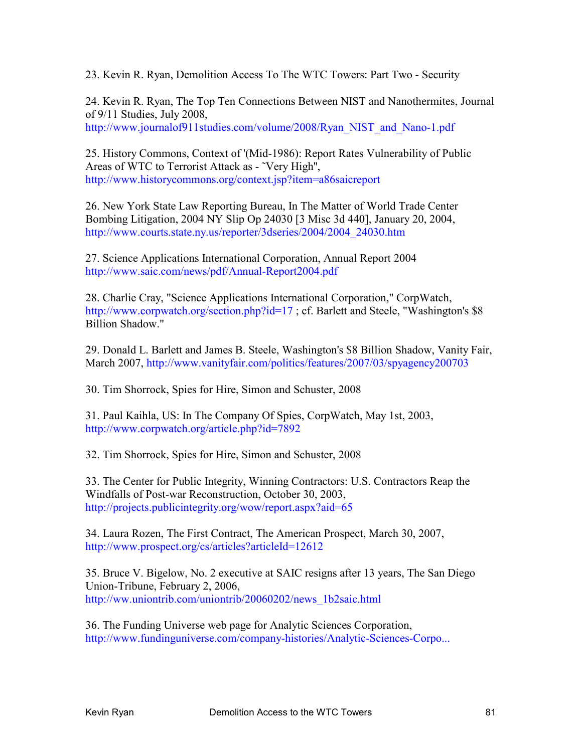23. Kevin R. Ryan, Demolition Access To The WTC Towers: Part Two - Security

24. Kevin R. Ryan, The Top Ten Connections Between NIST and Nanothermites, Journal of 9/11 Studies, July 2008, http://www.journalof911studies.com/volume/2008/Ryan\_NIST\_and\_Nano-1.pdf

25. History Commons, Context of '(Mid-1986): Report Rates Vulnerability of Public Areas of WTC to Terrorist Attack as - ˜Very High'', http://www.historycommons.org/context.jsp?item=a86saicreport

26. New York State Law Reporting Bureau, In The Matter of World Trade Center Bombing Litigation, 2004 NY Slip Op 24030 [3 Misc 3d 440], January 20, 2004, http://www.courts.state.ny.us/reporter/3dseries/2004/2004\_24030.htm

27. Science Applications International Corporation, Annual Report 2004 http://www.saic.com/news/pdf/Annual-Report2004.pdf

28. Charlie Cray, "Science Applications International Corporation," CorpWatch, http://www.corpwatch.org/section.php?id=17; cf. Barlett and Steele, "Washington's \$8 Billion Shadow."

29. Donald L. Barlett and James B. Steele, Washington's \$8 Billion Shadow, Vanity Fair, March 2007, http://www.vanityfair.com/politics/features/2007/03/spyagency200703

30. Tim Shorrock, Spies for Hire, Simon and Schuster, 2008

31. Paul Kaihla, US: In The Company Of Spies, CorpWatch, May 1st, 2003, http://www.corpwatch.org/article.php?id=7892

32. Tim Shorrock, Spies for Hire, Simon and Schuster, 2008

33. The Center for Public Integrity, Winning Contractors: U.S. Contractors Reap the Windfalls of Post-war Reconstruction, October 30, 2003, http://projects.publicintegrity.org/wow/report.aspx?aid=65

34. Laura Rozen, The First Contract, The American Prospect, March 30, 2007, http://www.prospect.org/cs/articles?articleId=12612

35. Bruce V. Bigelow, No. 2 executive at SAIC resigns after 13 years, The San Diego Union-Tribune, February 2, 2006, http://ww.uniontrib.com/uniontrib/20060202/news\_1b2saic.html

36. The Funding Universe web page for Analytic Sciences Corporation, http://www.fundinguniverse.com/company-histories/Analytic-Sciences-Corpo...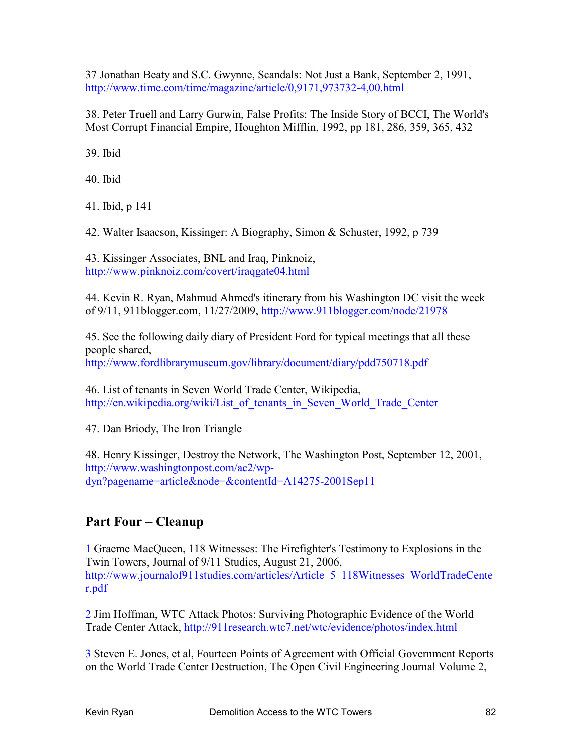37 Jonathan Beaty and S.C. Gwynne, Scandals: Not Just a Bank, September 2, 1991, http://www.time.com/time/magazine/article/0,9171,973732-4,00.html

38. Peter Truell and Larry Gurwin, False Profits: The Inside Story of BCCI, The World's Most Corrupt Financial Empire, Houghton Mifflin, 1992, pp 181, 286, 359, 365, 432

39. Ibid

40. Ibid

41. Ibid, p 141

42. Walter Isaacson, Kissinger: A Biography, Simon & Schuster, 1992, p 739

43. Kissinger Associates, BNL and Iraq, Pinknoiz, http://www.pinknoiz.com/covert/iraqgate04.html

44. Kevin R. Ryan, Mahmud Ahmed's itinerary from his Washington DC visit the week of 9/11, 911blogger.com, 11/27/2009, http://www.911blogger.com/node/21978

45. See the following daily diary of President Ford for typical meetings that all these people shared, http://www.fordlibrarymuseum.gov/library/document/diary/pdd750718.pdf

46. List of tenants in Seven World Trade Center, Wikipedia, http://en.wikipedia.org/wiki/List\_of\_tenants\_in\_Seven\_World\_Trade\_Center

47. Dan Briody, The Iron Triangle

48. Henry Kissinger, Destroy the Network, The Washington Post, September 12, 2001, http://www.washingtonpost.com/ac2/wpdyn?pagename=article&node=&contentId=A14275-2001Sep11

## **Part Four – Cleanup**

1 Graeme MacQueen, 118 Witnesses: The Firefighter's Testimony to Explosions in the Twin Towers, Journal of 9/11 Studies, August 21, 2006, http://www.journalof911studies.com/articles/Article\_5\_118Witnesses\_WorldTradeCente r.pdf

2 Jim Hoffman, WTC Attack Photos: Surviving Photographic Evidence of the World Trade Center Attack, http://911research.wtc7.net/wtc/evidence/photos/index.html

3 Steven E. Jones, et al, Fourteen Points of Agreement with Official Government Reports on the World Trade Center Destruction, The Open Civil Engineering Journal Volume 2,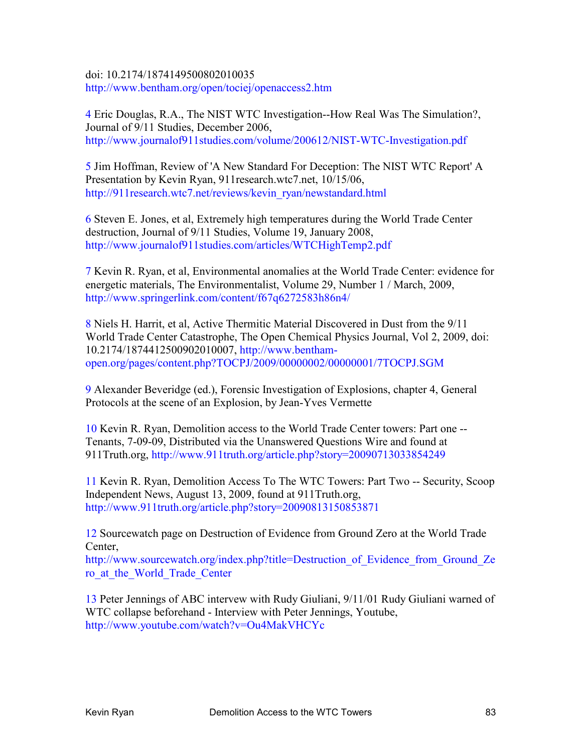doi: 10.2174/1874149500802010035 http://www.bentham.org/open/tociej/openaccess2.htm

4 Eric Douglas, R.A., The NIST WTC Investigation--How Real Was The Simulation?, Journal of 9/11 Studies, December 2006, http://www.journalof911studies.com/volume/200612/NIST-WTC-Investigation.pdf

5 Jim Hoffman, Review of 'A New Standard For Deception: The NIST WTC Report' A Presentation by Kevin Ryan, 911research.wtc7.net, 10/15/06, http://911research.wtc7.net/reviews/kevin\_ryan/newstandard.html

6 Steven E. Jones, et al, Extremely high temperatures during the World Trade Center destruction, Journal of 9/11 Studies, Volume 19, January 2008, http://www.journalof911studies.com/articles/WTCHighTemp2.pdf

7 Kevin R. Ryan, et al, Environmental anomalies at the World Trade Center: evidence for energetic materials, The Environmentalist, Volume 29, Number 1 / March, 2009, http://www.springerlink.com/content/f67q6272583h86n4/

8 Niels H. Harrit, et al, Active Thermitic Material Discovered in Dust from the 9/11 World Trade Center Catastrophe, The Open Chemical Physics Journal, Vol 2, 2009, doi: 10.2174/1874412500902010007, http://www.benthamopen.org/pages/content.php?TOCPJ/2009/00000002/00000001/7TOCPJ.SGM

9 Alexander Beveridge (ed.), Forensic Investigation of Explosions, chapter 4, General Protocols at the scene of an Explosion, by Jean-Yves Vermette

10 Kevin R. Ryan, Demolition access to the World Trade Center towers: Part one -- Tenants, 7-09-09, Distributed via the Unanswered Questions Wire and found at 911Truth.org, http://www.911truth.org/article.php?story=20090713033854249

11 Kevin R. Ryan, Demolition Access To The WTC Towers: Part Two -- Security, Scoop Independent News, August 13, 2009, found at 911Truth.org, http://www.911truth.org/article.php?story=20090813150853871

12 Sourcewatch page on Destruction of Evidence from Ground Zero at the World Trade Center,

http://www.sourcewatch.org/index.php?title=Destruction of Evidence from Ground Ze ro\_at\_the\_World\_Trade\_Center

13 Peter Jennings of ABC intervew with Rudy Giuliani, 9/11/01 Rudy Giuliani warned of WTC collapse beforehand - Interview with Peter Jennings, Youtube, http://www.youtube.com/watch?v=Ou4MakVHCYc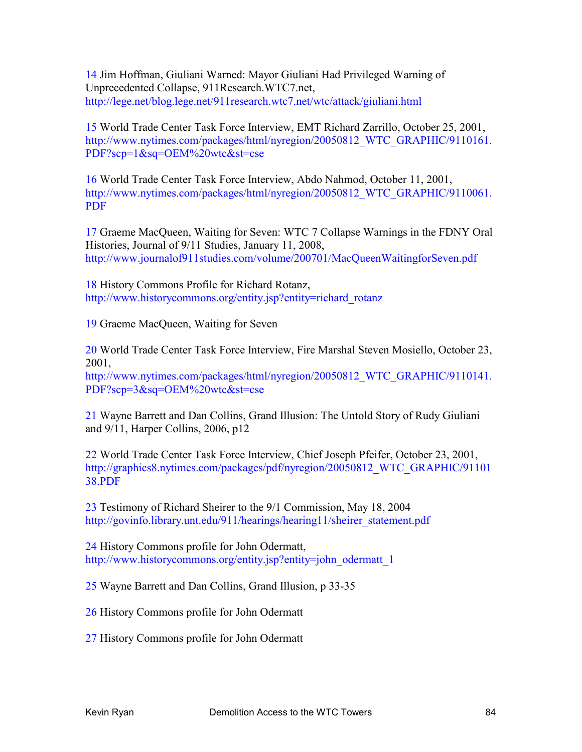14 Jim Hoffman, Giuliani Warned: Mayor Giuliani Had Privileged Warning of Unprecedented Collapse, 911Research.WTC7.net, http://lege.net/blog.lege.net/911research.wtc7.net/wtc/attack/giuliani.html

15 World Trade Center Task Force Interview, EMT Richard Zarrillo, October 25, 2001, http://www.nytimes.com/packages/html/nyregion/20050812 WTC GRAPHIC/9110161. PDF?scp=1&sq=OEM%20wtc&st=cse

16 World Trade Center Task Force Interview, Abdo Nahmod, October 11, 2001, http://www.nytimes.com/packages/html/nyregion/20050812 WTC GRAPHIC/9110061. PDF

17 Graeme MacQueen, Waiting for Seven: WTC 7 Collapse Warnings in the FDNY Oral Histories, Journal of 9/11 Studies, January 11, 2008, http://www.journalof911studies.com/volume/200701/MacQueenWaitingforSeven.pdf

18 History Commons Profile for Richard Rotanz, http://www.historycommons.org/entity.jsp?entity=richard\_rotanz

19 Graeme MacQueen, Waiting for Seven

20 World Trade Center Task Force Interview, Fire Marshal Steven Mosiello, October 23, 2001,

http://www.nytimes.com/packages/html/nyregion/20050812 WTC GRAPHIC/9110141. PDF?scp=3&sq=OEM%20wtc&st=cse

21 Wayne Barrett and Dan Collins, Grand Illusion: The Untold Story of Rudy Giuliani and 9/11, Harper Collins, 2006, p12

22 World Trade Center Task Force Interview, Chief Joseph Pfeifer, October 23, 2001, http://graphics8.nytimes.com/packages/pdf/nyregion/20050812 WTC\_GRAPHIC/91101 38.PDF

23 Testimony of Richard Sheirer to the 9/1 Commission, May 18, 2004 http://govinfo.library.unt.edu/911/hearings/hearing11/sheirer\_statement.pdf

24 History Commons profile for John Odermatt, http://www.historycommons.org/entity.jsp?entity=john\_odermatt\_1

25 Wayne Barrett and Dan Collins, Grand Illusion, p 33-35

26 History Commons profile for John Odermatt

27 History Commons profile for John Odermatt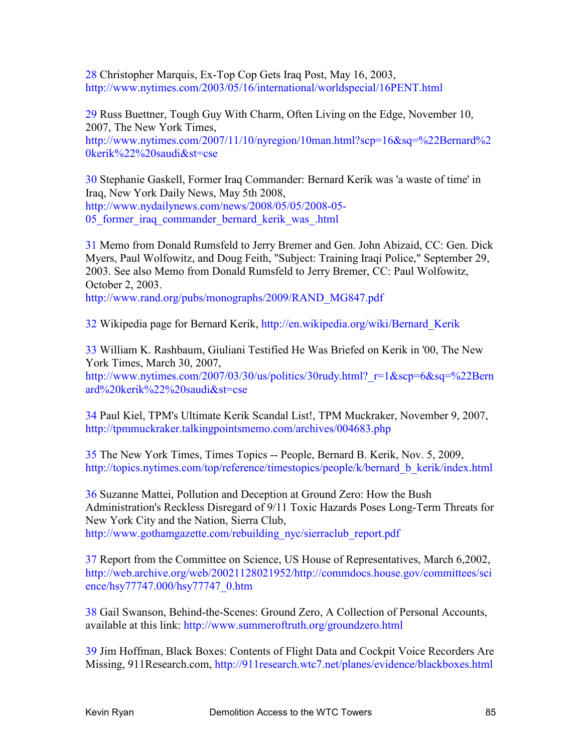28 Christopher Marquis, Ex-Top Cop Gets Iraq Post, May 16, 2003, http://www.nytimes.com/2003/05/16/international/worldspecial/16PENT.html

29 Russ Buettner, Tough Guy With Charm, Often Living on the Edge, November 10, 2007, The New York Times,

http://www.nytimes.com/2007/11/10/nyregion/10man.html?scp=16&sq=%22Bernard%2 0kerik%22%20saudi&st=cse

30 Stephanie Gaskell, Former Iraq Commander: Bernard Kerik was 'a waste of time' in Iraq, New York Daily News, May 5th 2008, http://www.nydailynews.com/news/2008/05/05/2008-05- 05 former iraq commander bernard kerik was .html

31 Memo from Donald Rumsfeld to Jerry Bremer and Gen. John Abizaid, CC: Gen. Dick Myers, Paul Wolfowitz, and Doug Feith, "Subject: Training Iraqi Police," September 29, 2003. See also Memo from Donald Rumsfeld to Jerry Bremer, CC: Paul Wolfowitz, October 2, 2003.

http://www.rand.org/pubs/monographs/2009/RAND\_MG847.pdf

32 Wikipedia page for Bernard Kerik, http://en.wikipedia.org/wiki/Bernard\_Kerik

33 William K. Rashbaum, Giuliani Testified He Was Briefed on Kerik in '00, The New York Times, March 30, 2007,

http://www.nytimes.com/2007/03/30/us/politics/30rudy.html?\_r=1&scp=6&sq=%22Bern ard%20kerik%22%20saudi&st=cse

34 Paul Kiel, TPM's Ultimate Kerik Scandal List!, TPM Muckraker, November 9, 2007, http://tpmmuckraker.talkingpointsmemo.com/archives/004683.php

35 The New York Times, Times Topics -- People, Bernard B. Kerik, Nov. 5, 2009, http://topics.nytimes.com/top/reference/timestopics/people/k/bernard\_b\_kerik/index.html

36 Suzanne Mattei, Pollution and Deception at Ground Zero: How the Bush Administration's Reckless Disregard of 9/11 Toxic Hazards Poses Long-Term Threats for New York City and the Nation, Sierra Club, http://www.gothamgazette.com/rebuilding\_nyc/sierraclub\_report.pdf

37 Report from the Committee on Science, US House of Representatives, March 6,2002, http://web.archive.org/web/20021128021952/http://commdocs.house.gov/committees/sci ence/hsy77747.000/hsy77747\_0.htm

38 Gail Swanson, Behind-the-Scenes: Ground Zero, A Collection of Personal Accounts, available at this link: http://www.summeroftruth.org/groundzero.html

39 Jim Hoffman, Black Boxes: Contents of Flight Data and Cockpit Voice Recorders Are Missing, 911Research.com, http://911research.wtc7.net/planes/evidence/blackboxes.html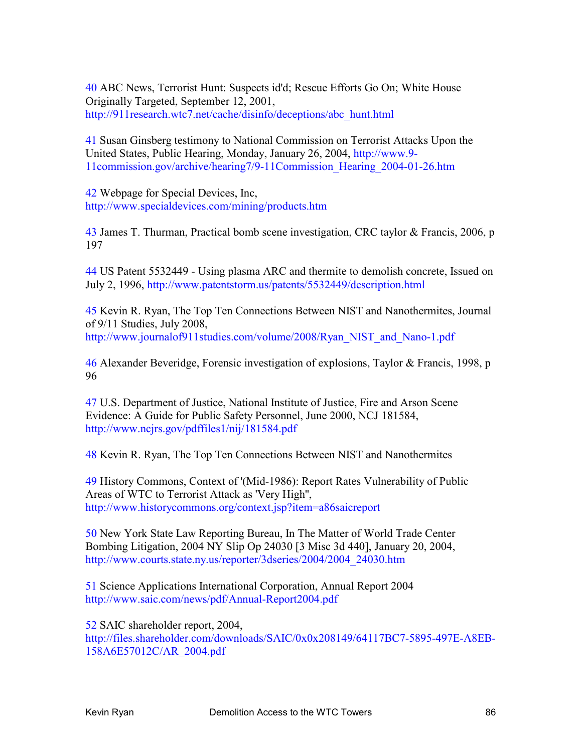40 ABC News, Terrorist Hunt: Suspects id'd; Rescue Efforts Go On; White House Originally Targeted, September 12, 2001, http://911research.wtc7.net/cache/disinfo/deceptions/abc\_hunt.html

41 Susan Ginsberg testimony to National Commission on Terrorist Attacks Upon the United States, Public Hearing, Monday, January 26, 2004, http://www.9- 11commission.gov/archive/hearing7/9-11Commission\_Hearing\_2004-01-26.htm

42 Webpage for Special Devices, Inc, http://www.specialdevices.com/mining/products.htm

43 James T. Thurman, Practical bomb scene investigation, CRC taylor & Francis, 2006, p 197

44 US Patent 5532449 - Using plasma ARC and thermite to demolish concrete, Issued on July 2, 1996, http://www.patentstorm.us/patents/5532449/description.html

45 Kevin R. Ryan, The Top Ten Connections Between NIST and Nanothermites, Journal of 9/11 Studies, July 2008, http://www.journalof911studies.com/volume/2008/Ryan\_NIST\_and\_Nano-1.pdf

46 Alexander Beveridge, Forensic investigation of explosions, Taylor & Francis, 1998, p 96

47 U.S. Department of Justice, National Institute of Justice, Fire and Arson Scene Evidence: A Guide for Public Safety Personnel, June 2000, NCJ 181584, http://www.ncjrs.gov/pdffiles1/nij/181584.pdf

48 Kevin R. Ryan, The Top Ten Connections Between NIST and Nanothermites

49 History Commons, Context of '(Mid-1986): Report Rates Vulnerability of Public Areas of WTC to Terrorist Attack as 'Very High'', http://www.historycommons.org/context.jsp?item=a86saicreport

50 New York State Law Reporting Bureau, In The Matter of World Trade Center Bombing Litigation, 2004 NY Slip Op 24030 [3 Misc 3d 440], January 20, 2004, http://www.courts.state.ny.us/reporter/3dseries/2004/2004\_24030.htm

51 Science Applications International Corporation, Annual Report 2004 http://www.saic.com/news/pdf/Annual-Report2004.pdf

52 SAIC shareholder report, 2004, http://files.shareholder.com/downloads/SAIC/0x0x208149/64117BC7-5895-497E-A8EB-158A6E57012C/AR\_2004.pdf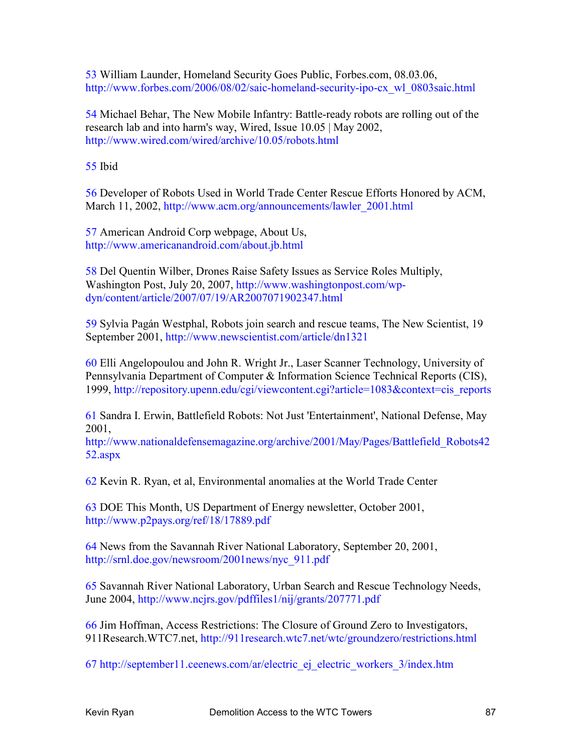53 William Launder, Homeland Security Goes Public, Forbes.com, 08.03.06, http://www.forbes.com/2006/08/02/saic-homeland-security-ipo-cx\_wl\_0803saic.html

54 Michael Behar, The New Mobile Infantry: Battle-ready robots are rolling out of the research lab and into harm's way, Wired, Issue 10.05 | May 2002, http://www.wired.com/wired/archive/10.05/robots.html

55 Ibid

56 Developer of Robots Used in World Trade Center Rescue Efforts Honored by ACM, March 11, 2002, http://www.acm.org/announcements/lawler\_2001.html

57 American Android Corp webpage, About Us, http://www.americanandroid.com/about.jb.html

58 Del Quentin Wilber, Drones Raise Safety Issues as Service Roles Multiply, Washington Post, July 20, 2007, http://www.washingtonpost.com/wpdyn/content/article/2007/07/19/AR2007071902347.html

59 Sylvia Pagán Westphal, Robots join search and rescue teams, The New Scientist, 19 September 2001, http://www.newscientist.com/article/dn1321

60 Elli Angelopoulou and John R. Wright Jr., Laser Scanner Technology, University of Pennsylvania Department of Computer & Information Science Technical Reports (CIS), 1999, http://repository.upenn.edu/cgi/viewcontent.cgi?article=1083&context=cis\_reports

61 Sandra I. Erwin, Battlefield Robots: Not Just 'Entertainment', National Defense, May 2001,

http://www.nationaldefensemagazine.org/archive/2001/May/Pages/Battlefield\_Robots42 52.aspx

62 Kevin R. Ryan, et al, Environmental anomalies at the World Trade Center

63 DOE This Month, US Department of Energy newsletter, October 2001, http://www.p2pays.org/ref/18/17889.pdf

64 News from the Savannah River National Laboratory, September 20, 2001, http://srnl.doe.gov/newsroom/2001news/nyc\_911.pdf

65 Savannah River National Laboratory, Urban Search and Rescue Technology Needs, June 2004, http://www.ncjrs.gov/pdffiles1/nij/grants/207771.pdf

66 Jim Hoffman, Access Restrictions: The Closure of Ground Zero to Investigators, 911Research.WTC7.net, http://911research.wtc7.net/wtc/groundzero/restrictions.html

67 http://september11.ceenews.com/ar/electric\_ej\_electric\_workers\_3/index.htm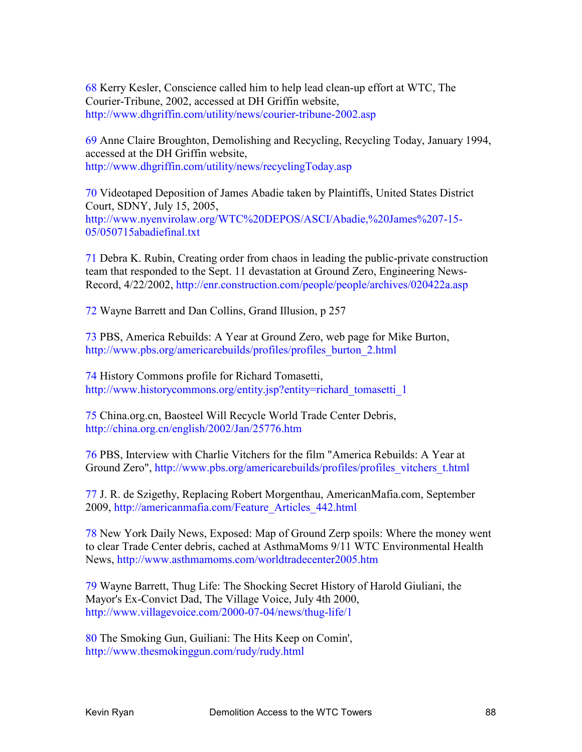68 Kerry Kesler, Conscience called him to help lead clean-up effort at WTC, The Courier-Tribune, 2002, accessed at DH Griffin website, http://www.dhgriffin.com/utility/news/courier-tribune-2002.asp

69 Anne Claire Broughton, Demolishing and Recycling, Recycling Today, January 1994, accessed at the DH Griffin website, http://www.dhgriffin.com/utility/news/recyclingToday.asp

70 Videotaped Deposition of James Abadie taken by Plaintiffs, United States District Court, SDNY, July 15, 2005, http://www.nyenvirolaw.org/WTC%20DEPOS/ASCI/Abadie,%20James%207-15- 05/050715abadiefinal.txt

71 Debra K. Rubin, Creating order from chaos in leading the public-private construction team that responded to the Sept. 11 devastation at Ground Zero, Engineering News-Record, 4/22/2002, http://enr.construction.com/people/people/archives/020422a.asp

72 Wayne Barrett and Dan Collins, Grand Illusion, p 257

73 PBS, America Rebuilds: A Year at Ground Zero, web page for Mike Burton, http://www.pbs.org/americarebuilds/profiles/profiles\_burton\_2.html

74 History Commons profile for Richard Tomasetti, http://www.historycommons.org/entity.jsp?entity=richard\_tomasetti\_1

75 China.org.cn, Baosteel Will Recycle World Trade Center Debris, http://china.org.cn/english/2002/Jan/25776.htm

76 PBS, Interview with Charlie Vitchers for the film "America Rebuilds: A Year at Ground Zero", http://www.pbs.org/americarebuilds/profiles/profiles\_vitchers\_t.html

77 J. R. de Szigethy, Replacing Robert Morgenthau, AmericanMafia.com, September 2009, http://americanmafia.com/Feature\_Articles\_442.html

78 New York Daily News, Exposed: Map of Ground Zerp spoils: Where the money went to clear Trade Center debris, cached at AsthmaMoms 9/11 WTC Environmental Health News, http://www.asthmamoms.com/worldtradecenter2005.htm

79 Wayne Barrett, Thug Life: The Shocking Secret History of Harold Giuliani, the Mayor's Ex-Convict Dad, The Village Voice, July 4th 2000, http://www.villagevoice.com/2000-07-04/news/thug-life/1

80 The Smoking Gun, Guiliani: The Hits Keep on Comin', http://www.thesmokinggun.com/rudy/rudy.html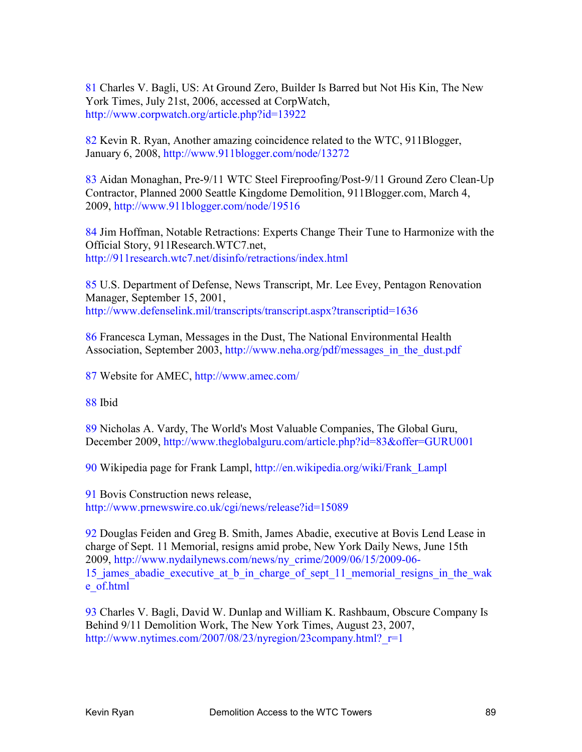81 Charles V. Bagli, US: At Ground Zero, Builder Is Barred but Not His Kin, The New York Times, July 21st, 2006, accessed at CorpWatch, http://www.corpwatch.org/article.php?id=13922

82 Kevin R. Ryan, Another amazing coincidence related to the WTC, 911Blogger, January 6, 2008, http://www.911blogger.com/node/13272

83 Aidan Monaghan, Pre-9/11 WTC Steel Fireproofing/Post-9/11 Ground Zero Clean-Up Contractor, Planned 2000 Seattle Kingdome Demolition, 911Blogger.com, March 4, 2009, http://www.911blogger.com/node/19516

84 Jim Hoffman, Notable Retractions: Experts Change Their Tune to Harmonize with the Official Story, 911Research.WTC7.net, http://911research.wtc7.net/disinfo/retractions/index.html

85 U.S. Department of Defense, News Transcript, Mr. Lee Evey, Pentagon Renovation Manager, September 15, 2001, http://www.defenselink.mil/transcripts/transcript.aspx?transcriptid=1636

86 Francesca Lyman, Messages in the Dust, The National Environmental Health Association, September 2003, http://www.neha.org/pdf/messages\_in\_the\_dust.pdf

87 Website for AMEC, http://www.amec.com/

88 Ibid

89 Nicholas A. Vardy, The World's Most Valuable Companies, The Global Guru, December 2009, http://www.theglobalguru.com/article.php?id=83&offer=GURU001

90 Wikipedia page for Frank Lampl, http://en.wikipedia.org/wiki/Frank\_Lampl

91 Bovis Construction news release, http://www.prnewswire.co.uk/cgi/news/release?id=15089

92 Douglas Feiden and Greg B. Smith, James Abadie, executive at Bovis Lend Lease in charge of Sept. 11 Memorial, resigns amid probe, New York Daily News, June 15th 2009, http://www.nydailynews.com/news/ny\_crime/2009/06/15/2009-06- 15 james abadie executive at b in charge of sept 11 memorial resigns in the wak e\_of.html

93 Charles V. Bagli, David W. Dunlap and William K. Rashbaum, Obscure Company Is Behind 9/11 Demolition Work, The New York Times, August 23, 2007, http://www.nytimes.com/2007/08/23/nyregion/23company.html? $r=1$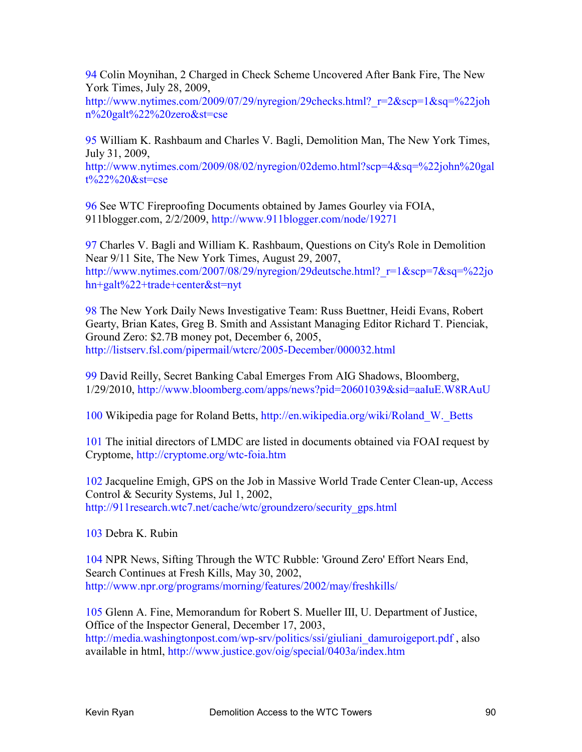94 Colin Moynihan, 2 Charged in Check Scheme Uncovered After Bank Fire, The New York Times, July 28, 2009,

http://www.nytimes.com/2009/07/29/nyregion/29checks.html? $r=2&$ scp=1 $&$ sq=%22joh n%20galt%22%20zero&st=cse

95 William K. Rashbaum and Charles V. Bagli, Demolition Man, The New York Times, July 31, 2009,

http://www.nytimes.com/2009/08/02/nyregion/02demo.html?scp=4&sq=%22john%20gal t%22%20&st=cse

96 See WTC Fireproofing Documents obtained by James Gourley via FOIA, 911blogger.com, 2/2/2009, http://www.911blogger.com/node/19271

97 Charles V. Bagli and William K. Rashbaum, Questions on City's Role in Demolition Near 9/11 Site, The New York Times, August 29, 2007, http://www.nytimes.com/2007/08/29/nyregion/29deutsche.html? $r=1$ &scp=7&sq=%22jo hn+galt%22+trade+center&st=nyt

98 The New York Daily News Investigative Team: Russ Buettner, Heidi Evans, Robert Gearty, Brian Kates, Greg B. Smith and Assistant Managing Editor Richard T. Pienciak, Ground Zero: \$2.7B money pot, December 6, 2005, http://listserv.fsl.com/pipermail/wtcrc/2005-December/000032.html

99 David Reilly, Secret Banking Cabal Emerges From AIG Shadows, Bloomberg, 1/29/2010, http://www.bloomberg.com/apps/news?pid=20601039&sid=aaIuE.W8RAuU

100 Wikipedia page for Roland Betts, http://en.wikipedia.org/wiki/Roland\_W.\_Betts

101 The initial directors of LMDC are listed in documents obtained via FOAI request by Cryptome, http://cryptome.org/wtc-foia.htm

102 Jacqueline Emigh, GPS on the Job in Massive World Trade Center Clean-up, Access Control & Security Systems, Jul 1, 2002, http://911research.wtc7.net/cache/wtc/groundzero/security\_gps.html

103 Debra K. Rubin

104 NPR News, Sifting Through the WTC Rubble: 'Ground Zero' Effort Nears End, Search Continues at Fresh Kills, May 30, 2002, http://www.npr.org/programs/morning/features/2002/may/freshkills/

105 Glenn A. Fine, Memorandum for Robert S. Mueller III, U. Department of Justice, Office of the Inspector General, December 17, 2003, http://media.washingtonpost.com/wp-srv/politics/ssi/giuliani\_damuroigeport.pdf , also available in html, http://www.justice.gov/oig/special/0403a/index.htm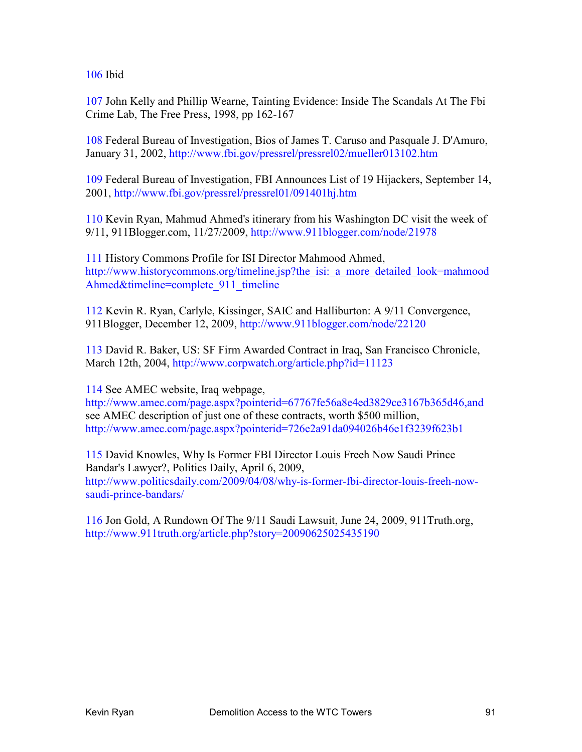106 Ibid

107 John Kelly and Phillip Wearne, Tainting Evidence: Inside The Scandals At The Fbi Crime Lab, The Free Press, 1998, pp 162-167

108 Federal Bureau of Investigation, Bios of James T. Caruso and Pasquale J. D'Amuro, January 31, 2002, http://www.fbi.gov/pressrel/pressrel02/mueller013102.htm

109 Federal Bureau of Investigation, FBI Announces List of 19 Hijackers, September 14, 2001, http://www.fbi.gov/pressrel/pressrel01/091401hj.htm

110 Kevin Ryan, Mahmud Ahmed's itinerary from his Washington DC visit the week of 9/11, 911Blogger.com, 11/27/2009, http://www.911blogger.com/node/21978

111 History Commons Profile for ISI Director Mahmood Ahmed, http://www.historycommons.org/timeline.jsp?the\_isi:\_a\_more\_detailed\_look=mahmood Ahmed&timeline=complete\_911\_timeline

112 Kevin R. Ryan, Carlyle, Kissinger, SAIC and Halliburton: A 9/11 Convergence, 911Blogger, December 12, 2009, http://www.911blogger.com/node/22120

113 David R. Baker, US: SF Firm Awarded Contract in Iraq, San Francisco Chronicle, March 12th, 2004, http://www.corpwatch.org/article.php?id=11123

114 See AMEC website, Iraq webpage,

http://www.amec.com/page.aspx?pointerid=67767fe56a8e4ed3829ce3167b365d46,and see AMEC description of just one of these contracts, worth \$500 million, http://www.amec.com/page.aspx?pointerid=726e2a91da094026b46e1f3239f623b1

115 David Knowles, Why Is Former FBI Director Louis Freeh Now Saudi Prince Bandar's Lawyer?, Politics Daily, April 6, 2009, http://www.politicsdaily.com/2009/04/08/why-is-former-fbi-director-louis-freeh-nowsaudi-prince-bandars/

116 Jon Gold, A Rundown Of The 9/11 Saudi Lawsuit, June 24, 2009, 911Truth.org, http://www.911truth.org/article.php?story=20090625025435190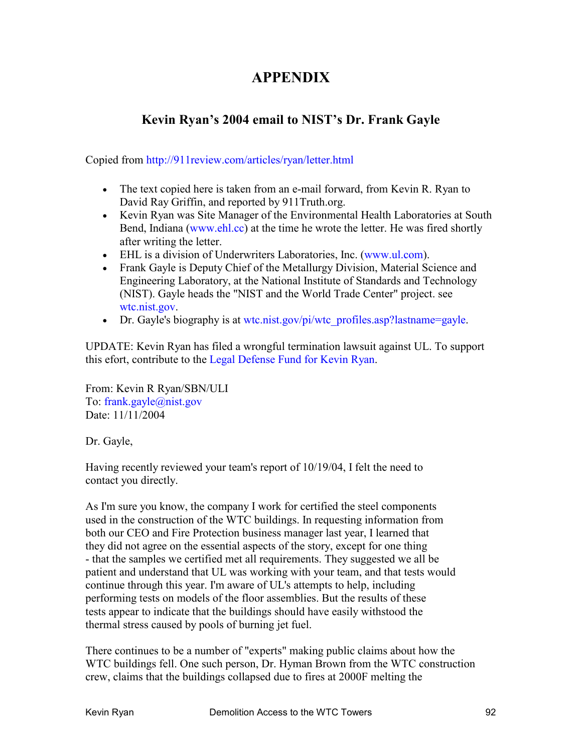## **APPENDIX**

## **Kevin Ryan's 2004 email to NIST's Dr. Frank Gayle**

Copied from http://911review.com/articles/ryan/letter.html

- The text copied here is taken from an e-mail forward, from Kevin R. Ryan to David Ray Griffin, and reported by 911Truth.org.
- Kevin Ryan was Site Manager of the Environmental Health Laboratories at South Bend, Indiana (www.ehl.cc) at the time he wrote the letter. He was fired shortly after writing the letter.
- EHL is a division of Underwriters Laboratories, Inc. (www.ul.com).
- Frank Gayle is Deputy Chief of the Metallurgy Division, Material Science and Engineering Laboratory, at the National Institute of Standards and Technology (NIST). Gayle heads the "NIST and the World Trade Center" project. see wtc.nist.gov.
- Dr. Gayle's biography is at wtc.nist.gov/pi/wtc\_profiles.asp?lastname=gayle.

UPDATE: Kevin Ryan has filed a wrongful termination lawsuit against UL. To support this efort, contribute to the Legal Defense Fund for Kevin Ryan.

From: Kevin R Ryan/SBN/ULI To: frank.gayle@nist.gov Date: 11/11/2004

Dr. Gayle,

Having recently reviewed your team's report of 10/19/04, I felt the need to contact you directly.

As I'm sure you know, the company I work for certified the steel components used in the construction of the WTC buildings. In requesting information from both our CEO and Fire Protection business manager last year, I learned that they did not agree on the essential aspects of the story, except for one thing - that the samples we certified met all requirements. They suggested we all be patient and understand that UL was working with your team, and that tests would continue through this year. I'm aware of UL's attempts to help, including performing tests on models of the floor assemblies. But the results of these tests appear to indicate that the buildings should have easily withstood the thermal stress caused by pools of burning jet fuel.

There continues to be a number of "experts" making public claims about how the WTC buildings fell. One such person, Dr. Hyman Brown from the WTC construction crew, claims that the buildings collapsed due to fires at 2000F melting the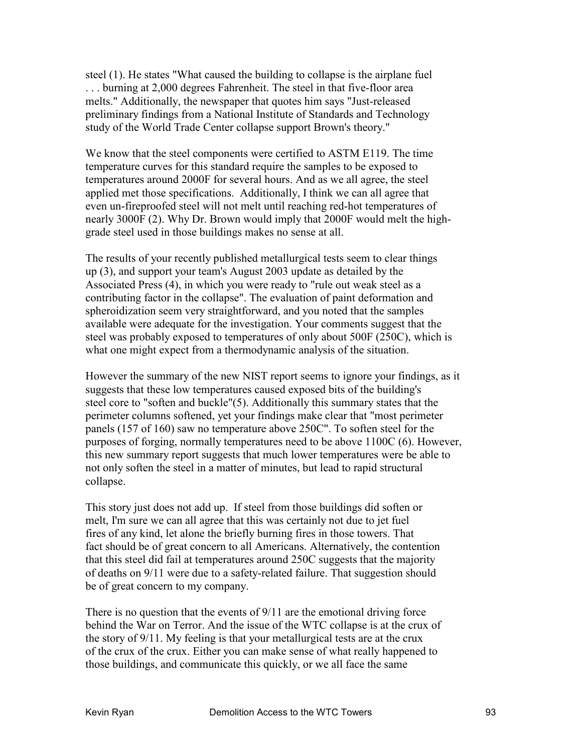steel (1). He states "What caused the building to collapse is the airplane fuel . . . burning at 2,000 degrees Fahrenheit. The steel in that five-floor area melts." Additionally, the newspaper that quotes him says "Just-released preliminary findings from a National Institute of Standards and Technology study of the World Trade Center collapse support Brown's theory."

We know that the steel components were certified to ASTM E119. The time temperature curves for this standard require the samples to be exposed to temperatures around 2000F for several hours. And as we all agree, the steel applied met those specifications. Additionally, I think we can all agree that even un-fireproofed steel will not melt until reaching red-hot temperatures of nearly 3000F (2). Why Dr. Brown would imply that 2000F would melt the highgrade steel used in those buildings makes no sense at all.

The results of your recently published metallurgical tests seem to clear things up (3), and support your team's August 2003 update as detailed by the Associated Press (4), in which you were ready to "rule out weak steel as a contributing factor in the collapse". The evaluation of paint deformation and spheroidization seem very straightforward, and you noted that the samples available were adequate for the investigation. Your comments suggest that the steel was probably exposed to temperatures of only about 500F (250C), which is what one might expect from a thermodynamic analysis of the situation.

However the summary of the new NIST report seems to ignore your findings, as it suggests that these low temperatures caused exposed bits of the building's steel core to "soften and buckle"(5). Additionally this summary states that the perimeter columns softened, yet your findings make clear that "most perimeter panels (157 of 160) saw no temperature above 250C". To soften steel for the purposes of forging, normally temperatures need to be above 1100C (6). However, this new summary report suggests that much lower temperatures were be able to not only soften the steel in a matter of minutes, but lead to rapid structural collapse.

This story just does not add up. If steel from those buildings did soften or melt, I'm sure we can all agree that this was certainly not due to jet fuel fires of any kind, let alone the briefly burning fires in those towers. That fact should be of great concern to all Americans. Alternatively, the contention that this steel did fail at temperatures around 250C suggests that the majority of deaths on 9/11 were due to a safety-related failure. That suggestion should be of great concern to my company.

There is no question that the events of 9/11 are the emotional driving force behind the War on Terror. And the issue of the WTC collapse is at the crux of the story of 9/11. My feeling is that your metallurgical tests are at the crux of the crux of the crux. Either you can make sense of what really happened to those buildings, and communicate this quickly, or we all face the same